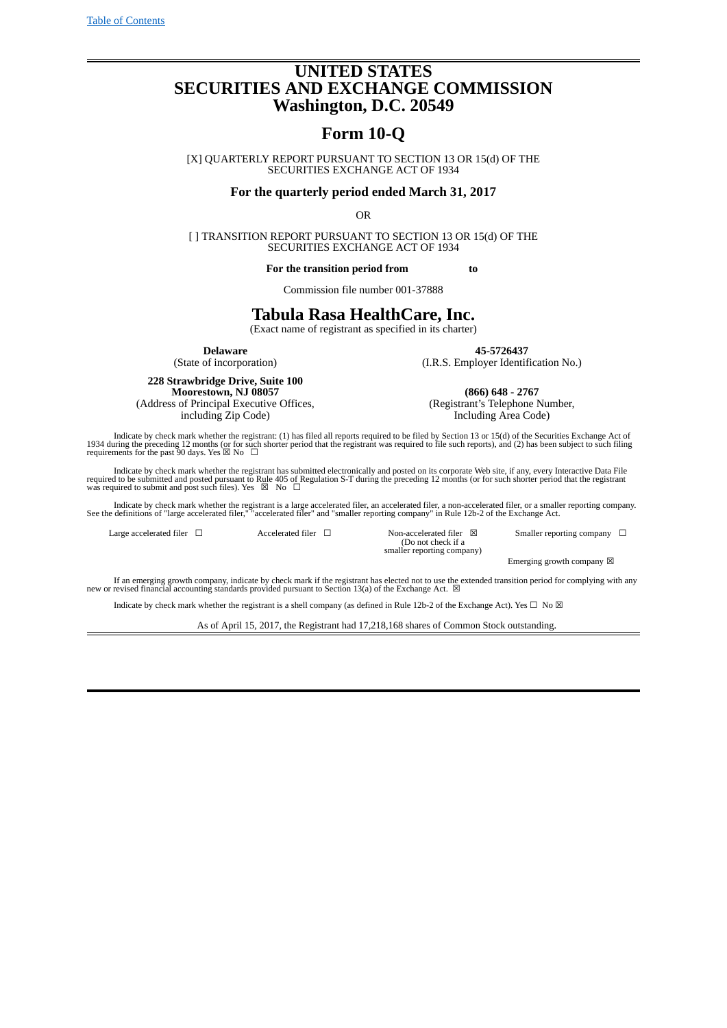# **UNITED STATES SECURITIES AND EXCHANGE COMMISSION Washington, D.C. 20549**

# **Form 10-Q**

[X] QUARTERLY REPORT PURSUANT TO SECTION 13 OR 15(d) OF THE SECURITIES EXCHANGE ACT OF 1934

**For the quarterly period ended March 31, 2017**

OR

[ ] TRANSITION REPORT PURSUANT TO SECTION 13 OR 15(d) OF THE SECURITIES EXCHANGE ACT OF 1934

**For the transition period from to**

Commission file number 001-37888

# **Tabula Rasa HealthCare, Inc.**

(Exact name of registrant as specified in its charter)

**Delaware** (State of incorporation)

**228 Strawbridge Drive, Suite 100 Moorestown, NJ 08057** (Address of Principal Executive Offices, including Zip Code)

**45-5726437** (I.R.S. Employer Identification No.)

**(866) 648 - 2767** (Registrant's Telephone Number, Including Area Code)

Indicate by check mark whether the registrant: (1) has filed all reports required to be filed by Section 13 or 15(d) of the Securities Exchange Act of<br>1934 during the preceding 12 months (or for such shorter period that t

Indicate by check mark whether the registrant has submitted electronically and posted on its corporate Web site, if any, every Interactive Data File<br>required to be submitted and posted pursuant to Rule 405 of Regulation S

Indicate by check mark whether the registrant is a large accelerated filer, an accelerated filer, a non-accelerated filer, or a smaller reporting company.<br>See the definitions of "large accelerated filer," "accelerated file

(Do not check if a smaller reporting company)

Large accelerated filer □ Accelerated filer □ Non-accelerated filer ⊠ Smaller reporting company □

Emerging growth company  $\boxtimes$ 

If an emerging growth company, indicate by check mark if the registrant has elected not to use the extended transition period for complying with any new or revised financial accounting standards provided pursuant to Secti

Indicate by check mark whether the registrant is a shell company (as defined in Rule 12b-2 of the Exchange Act). Yes  $\Box$  No  $\boxtimes$ 

As of April 15, 2017, the Registrant had 17,218,168 shares of Common Stock outstanding.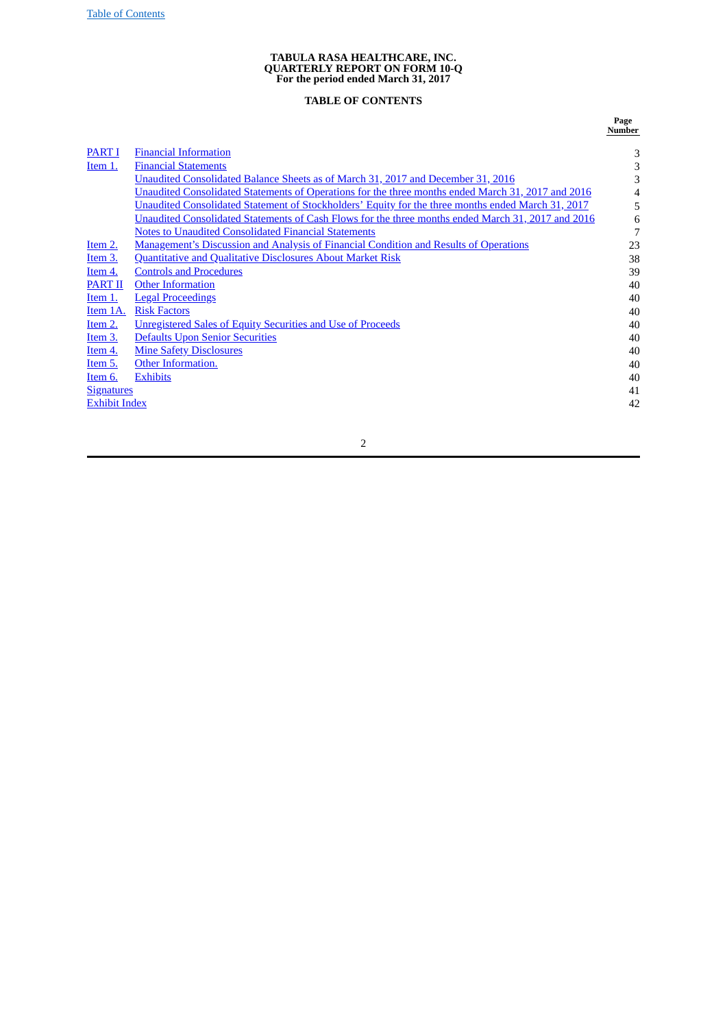#### **TABULA RASA HEALTHCARE, INC. QUARTERLY REPORT ON FORM 10-Q For the period ended March 31, 2017**

# <span id="page-1-0"></span>**TABLE OF CONTENTS**

**Page Number [PART](#page-2-0) I** Financial [Information](#page-2-0) 3 [Item](#page-2-1) 1. Financial [Statements](#page-2-1)<br>
Unaudited Consolidated Balance Sheets as of March 31, 2017 and December 31, 2016 Unaudited [Consolidated](#page-2-2) Balance Sheets as of March 31, 2017 and December 31, 2016 3 Unaudited [Consolidated](#page-3-0) Statements of Operations for the three months ended March 31, 2017 and 2016 4 Unaudited Consolidated Statement of [Stockholders'](#page-4-0) Equity for the three months ended March 31, 2017 Unaudited [Consolidated](#page-5-0) Statements of Cash Flows for the three months ended March 31, 2017 and 2016 6 Notes to Unaudited [Consolidated](#page-6-0) Financial Statements 7 [Item](#page-22-0) 2. [Management's](#page-22-0) Discussion and Analysis of Financial Condition and Results of Operations 23 [Item](#page-37-0) 3. [Quantitative](#page-37-0) and Qualitative Disclosures About Market Risk 38<br>Item 4. Controls and Procedures 39 **Controls and [Procedures](#page-38-0)** 39 **[PART](#page-39-0) II** Other [Information](#page-39-0) 40 [Item](#page-39-1) 1. Legal [Proceedings](#page-39-1) 40 [Item](#page-39-2) 1A. Risk [Factors](#page-39-2) 40 [Item](#page-39-3) 2. [Unregistered](#page-39-3) Sales of Equity Securities and Use of Proceeds 40<br>
Item 3. Defaults Upon Senior Securities 40<br>
40 [Item](#page-39-4) 3. Defaults Upon Senior [Securities](#page-39-4) 40 [Item](#page-39-5) 4. Mine Safety [Disclosures](#page-39-5) 40<br>Item 5. Other Information. 40 Other [Information.](#page-39-6) 40 **[Item](#page-39-7) 6.** [Exhibits](#page-39-7)  $\frac{1}{2}$  Exhibits 40 **[Signatures](#page-40-0)** 41 **[Exhibit](#page-41-0) Index** 42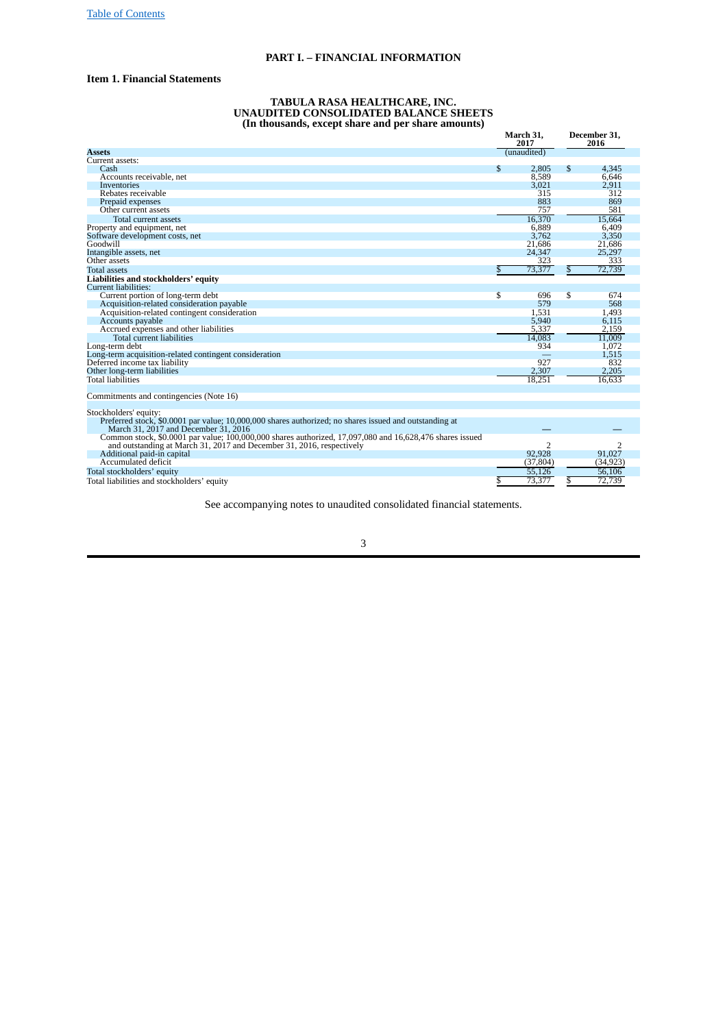# <span id="page-2-2"></span><span id="page-2-0"></span>**PART I. – FINANCIAL INFORMATION**

# **Item 1. Financial Statements**

#### <span id="page-2-1"></span>**TABULA RASA HEALTHCARE, INC. UNAUDITED CONSOLIDATED BALANCE SHEETS (In thousands, except share and per share amounts)**

|                                                                                                                                                                                   | March 31,<br>2017 |                |              | December 31,<br>2016 |
|-----------------------------------------------------------------------------------------------------------------------------------------------------------------------------------|-------------------|----------------|--------------|----------------------|
| <b>Assets</b>                                                                                                                                                                     |                   | (unaudited)    |              |                      |
| Current assets:                                                                                                                                                                   |                   |                |              |                      |
| Cash                                                                                                                                                                              | \$                | 2.805          | \$           | 4,345                |
| Accounts receivable, net                                                                                                                                                          |                   | 8,589          |              | 6,646                |
| Inventories                                                                                                                                                                       |                   | 3.021          |              | 2,911                |
| Rebates receivable                                                                                                                                                                |                   | 315            |              | 312                  |
| Prepaid expenses                                                                                                                                                                  |                   | 883            |              | 869                  |
| Other current assets                                                                                                                                                              |                   | 757            |              | 581                  |
| Total current assets                                                                                                                                                              |                   | 16,370         |              | 15,664               |
| Property and equipment, net                                                                                                                                                       |                   | 6,889          |              | 6,409                |
| Software development costs, net                                                                                                                                                   |                   | 3,762          |              | 3,350                |
| Goodwill                                                                                                                                                                          |                   | 21,686         |              | 21,686               |
| Intangible assets, net                                                                                                                                                            |                   | 24.347         |              | 25,297               |
| Other assets                                                                                                                                                                      |                   | 323            |              | 333                  |
| <b>Total assets</b>                                                                                                                                                               | \$                | 73,377         | \$           | 72,739               |
| Liabilities and stockholders' equity                                                                                                                                              |                   |                |              |                      |
| Current liabilities:                                                                                                                                                              |                   |                |              |                      |
| Current portion of long-term debt                                                                                                                                                 | \$                | 696            | $\mathbb{S}$ | 674                  |
| Acquisition-related consideration payable                                                                                                                                         |                   | 579            |              | 568                  |
| Acquisition-related contingent consideration                                                                                                                                      |                   | 1.531          |              | 1,493                |
| Accounts payable                                                                                                                                                                  |                   | 5,940          |              | 6,115                |
| Accrued expenses and other liabilities                                                                                                                                            |                   | 5.337          |              | 2.159                |
| Total current liabilities                                                                                                                                                         |                   | 14.083         |              | 11,009               |
| Long-term debt                                                                                                                                                                    |                   | 934            |              | 1,072                |
| Long-term acquisition-related contingent consideration                                                                                                                            |                   |                |              | 1,515                |
| Deferred income tax liability                                                                                                                                                     |                   | 927            |              | 832                  |
| Other long-term liabilities                                                                                                                                                       |                   | 2,307          |              | 2,205                |
| <b>Total liabilities</b>                                                                                                                                                          |                   | 18,251         |              | 16,633               |
|                                                                                                                                                                                   |                   |                |              |                      |
| Commitments and contingencies (Note 16)                                                                                                                                           |                   |                |              |                      |
| Stockholders' equity:                                                                                                                                                             |                   |                |              |                      |
| Preferred stock, \$0.0001 par value; 10,000,000 shares authorized; no shares issued and outstanding at<br>March 31, 2017 and December 31, 2016                                    |                   |                |              |                      |
| Common stock, \$0.0001 par value; 100,000,000 shares authorized, 17,097,080 and 16,628,476 shares issued<br>and outstanding at March 31, 2017 and December 31, 2016, respectively |                   | $\overline{2}$ |              | $\overline{2}$       |
| Additional paid-in capital                                                                                                                                                        |                   | 92,928         |              | 91,027               |
| Accumulated deficit                                                                                                                                                               |                   | (37, 804)      |              | (34, 923)            |
| Total stockholders' equity                                                                                                                                                        |                   | 55.126         |              | 56,106               |
| Total liabilities and stockholders' equity                                                                                                                                        | \$                | 73,377         | \$           | 72,739               |
|                                                                                                                                                                                   |                   |                |              |                      |

See accompanying notes to unaudited consolidated financial statements.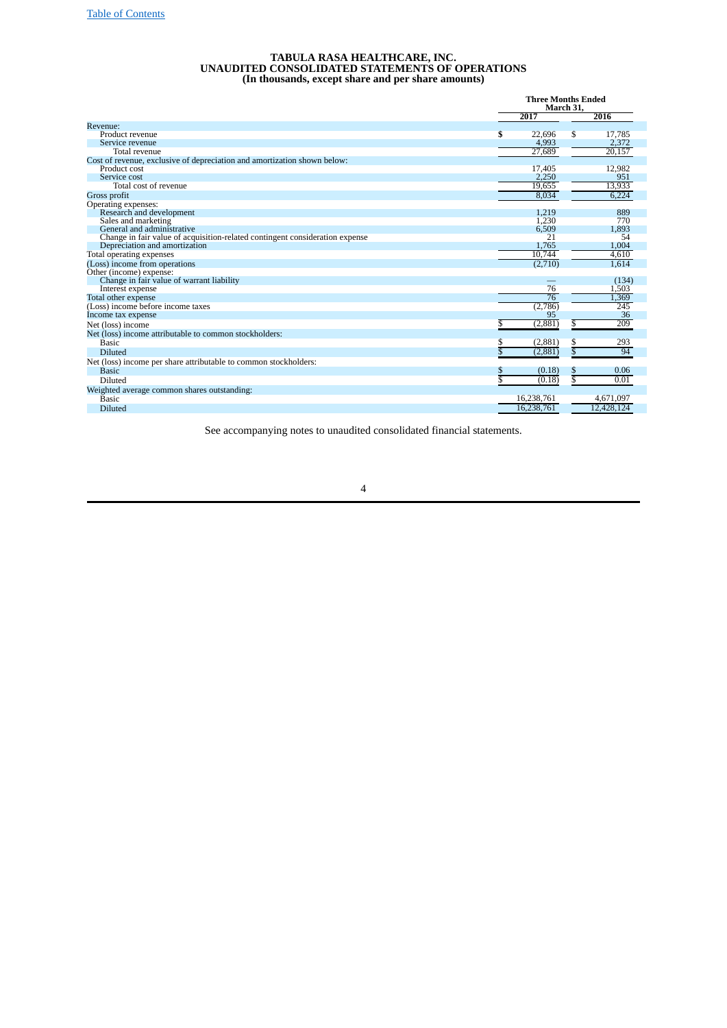#### <span id="page-3-0"></span>**TABULA RASA HEALTHCARE, INC. UNAUDITED CONSOLIDATED STATEMENTS OF OPERATIONS (In thousands, except share and per share amounts)**

|                                                                              |    | <b>Three Months Ended</b><br>March 31, |                         |            |  |
|------------------------------------------------------------------------------|----|----------------------------------------|-------------------------|------------|--|
|                                                                              |    | 2017                                   |                         | 2016       |  |
| Revenue:                                                                     |    |                                        |                         |            |  |
| Product revenue                                                              | \$ | 22,696                                 | \$                      | 17,785     |  |
| Service revenue                                                              |    | 4,993                                  |                         | 2,372      |  |
| Total revenue                                                                |    | 27,689                                 |                         | 20,157     |  |
| Cost of revenue, exclusive of depreciation and amortization shown below:     |    |                                        |                         |            |  |
| Product cost                                                                 |    | 17.405                                 |                         | 12,982     |  |
| Service cost                                                                 |    | 2.250                                  |                         | 951        |  |
| Total cost of revenue                                                        |    | 19.655                                 |                         | 13.933     |  |
| Gross profit                                                                 |    | 8.034                                  |                         | 6.224      |  |
| Operating expenses:                                                          |    |                                        |                         |            |  |
| Research and development                                                     |    | 1.219                                  |                         | 889        |  |
| Sales and marketing                                                          |    | 1.230                                  |                         | 770        |  |
| General and administrative                                                   |    | 6.509                                  |                         | 1.893      |  |
| Change in fair value of acquisition-related contingent consideration expense |    | 21                                     |                         | 54         |  |
| Depreciation and amortization                                                |    | 1.765                                  |                         | 1,004      |  |
| Total operating expenses                                                     |    | 10,744                                 |                         | 4,610      |  |
| (Loss) income from operations                                                |    | (2,710)                                |                         | 1.614      |  |
| Other (income) expense:                                                      |    |                                        |                         |            |  |
| Change in fair value of warrant liability                                    |    |                                        |                         | (134)      |  |
| Interest expense                                                             |    | 76                                     |                         | 1.503      |  |
| Total other expense                                                          |    | 76                                     |                         | 1.369      |  |
| (Loss) income before income taxes                                            |    | (2,786)                                |                         | 245        |  |
| Income tax expense                                                           |    | 95                                     |                         | 36         |  |
| Net (loss) income                                                            | \$ | (2.881)                                | \$                      | 209        |  |
| Net (loss) income attributable to common stockholders:                       |    |                                        |                         |            |  |
| <b>Basic</b>                                                                 | S  | (2,881)                                | \$                      | 293        |  |
| <b>Diluted</b>                                                               |    | (2,881)                                | $\overline{\mathbb{S}}$ | 94         |  |
| Net (loss) income per share attributable to common stockholders:             |    |                                        |                         |            |  |
| <b>Basic</b>                                                                 | S  | (0.18)                                 | \$                      | 0.06       |  |
| <b>Diluted</b>                                                               |    | (0.18)                                 | $\overline{s}$          | 0.01       |  |
| Weighted average common shares outstanding:                                  |    |                                        |                         |            |  |
| Basic                                                                        |    | 16,238,761                             |                         | 4,671,097  |  |
|                                                                              |    | 16,238,761                             |                         | 12,428,124 |  |
| <b>Diluted</b>                                                               |    |                                        |                         |            |  |

See accompanying notes to unaudited consolidated financial statements.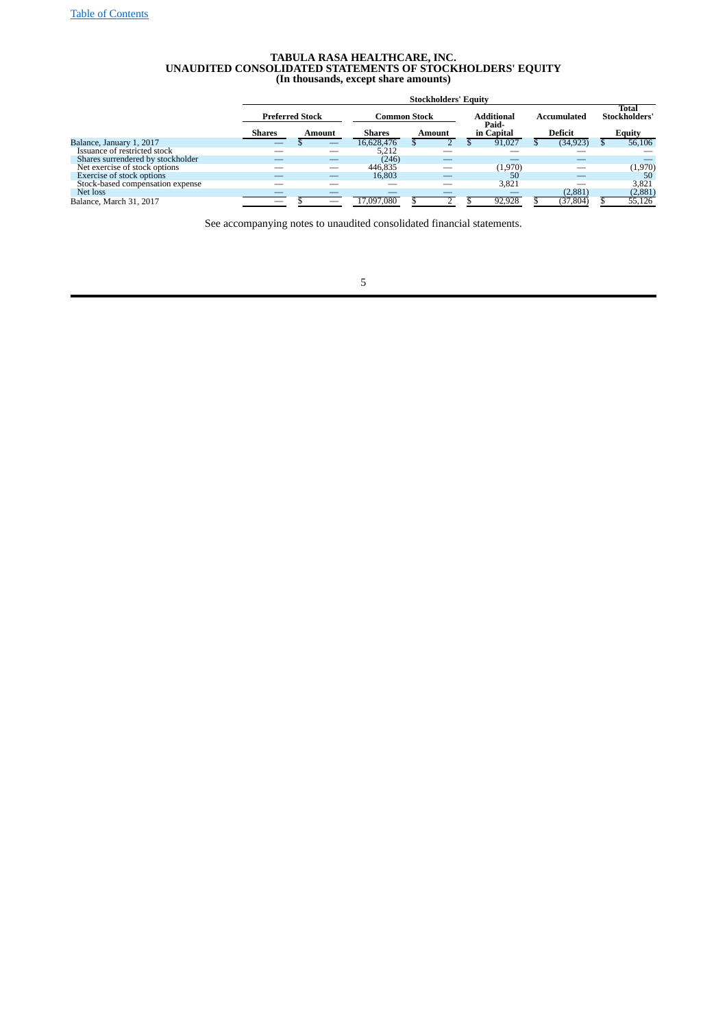#### **TABULA RASA HEALTHCARE, INC. UNAUDITED CONSOLIDATED STATEMENTS OF STOCKHOLDERS' EQUITY (In thousands, except share amounts)**

|                                   |        |                        |               | <b>Stockholders' Equity</b> |                     |                |                        |
|-----------------------------------|--------|------------------------|---------------|-----------------------------|---------------------|----------------|------------------------|
|                                   |        | <b>Preferred Stock</b> | Common Stock  |                             | Additional<br>Paid- | Accumulated    | Total<br>Stockholders' |
|                                   | Shares | Amount                 | <b>Shares</b> | Amount                      | in Capital          | <b>Deficit</b> | Equity                 |
| Balance, January 1, 2017          |        |                        | 16,628,476    |                             | 91,027              | (34, 923)      | 56,106                 |
| Issuance of restricted stock      |        |                        | 5.212         |                             |                     |                |                        |
| Shares surrendered by stockholder |        |                        | (246)         |                             |                     |                |                        |
| Net exercise of stock options     |        |                        | 446,835       |                             | (1,970)             |                | (1,970)                |
| Exercise of stock options         |        |                        | 16,803        |                             | 50                  |                | 50                     |
| Stock-based compensation expense  |        |                        |               |                             | 3,821               |                | 3,821                  |
| Net loss                          |        |                        |               |                             |                     | (2,881)        | (2,881)                |
| Balance, March 31, 2017           |        |                        | 17,097,080    |                             | 92,928              | (37, 804)      | 55,126                 |

<span id="page-4-0"></span>See accompanying notes to unaudited consolidated financial statements.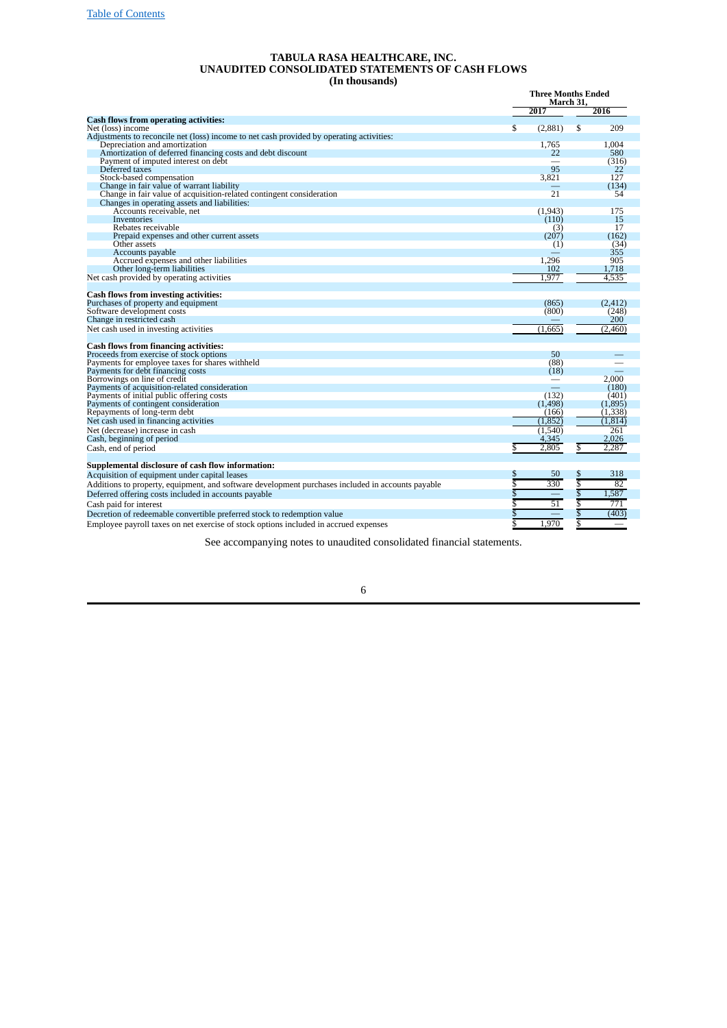#### <span id="page-5-0"></span>**TABULA RASA HEALTHCARE, INC. UNAUDITED CONSOLIDATED STATEMENTS OF CASH FLOWS (In thousands)**

|                                                                                                   | <b>Three Months Ended</b><br>March 31. |         |                         |          |
|---------------------------------------------------------------------------------------------------|----------------------------------------|---------|-------------------------|----------|
|                                                                                                   |                                        | 2017    |                         | 2016     |
| <b>Cash flows from operating activities:</b>                                                      |                                        |         |                         |          |
| Net (loss) income                                                                                 | \$                                     | (2,881) | \$                      | 209      |
| Adjustments to reconcile net (loss) income to net cash provided by operating activities:          |                                        |         |                         |          |
| Depreciation and amortization                                                                     |                                        | 1,765   |                         | 1.004    |
| Amortization of deferred financing costs and debt discount                                        |                                        | 22      |                         | 580      |
| Payment of imputed interest on debt                                                               |                                        |         |                         | (316)    |
| Deferred taxes                                                                                    |                                        | 95      |                         | 22       |
| Stock-based compensation                                                                          |                                        | 3,821   |                         | 127      |
| Change in fair value of warrant liability                                                         |                                        |         |                         | (134)    |
| Change in fair value of acquisition-related contingent consideration                              |                                        | 21      |                         | 54       |
| Changes in operating assets and liabilities:                                                      |                                        |         |                         |          |
| Accounts receivable, net                                                                          |                                        | (1,943) |                         | 175      |
| Inventories                                                                                       |                                        | (110)   |                         | 15       |
| Rebates receivable                                                                                |                                        | (3)     |                         | 17       |
| Prepaid expenses and other current assets                                                         |                                        | (207)   |                         | (162)    |
| Other assets                                                                                      |                                        | (1)     |                         | (34)     |
| Accounts payable                                                                                  |                                        |         |                         | 355      |
| Accrued expenses and other liabilities                                                            |                                        | 1,296   |                         | 905      |
| Other long-term liabilities                                                                       |                                        | 102     |                         | 1,718    |
| Net cash provided by operating activities                                                         |                                        | 1,977   |                         | 4,535    |
|                                                                                                   |                                        |         |                         |          |
| <b>Cash flows from investing activities:</b>                                                      |                                        |         |                         |          |
| Purchases of property and equipment                                                               |                                        | (865)   |                         | (2, 412) |
| Software development costs                                                                        |                                        | (800)   |                         | (248)    |
| Change in restricted cash                                                                         |                                        |         |                         | 200      |
| Net cash used in investing activities                                                             |                                        | (1,665) |                         | (2,460)  |
|                                                                                                   |                                        |         |                         |          |
| <b>Cash flows from financing activities:</b>                                                      |                                        |         |                         |          |
| Proceeds from exercise of stock options                                                           |                                        | 50      |                         |          |
| Payments for employee taxes for shares withheld                                                   |                                        | (88)    |                         |          |
| Payments for debt financing costs                                                                 |                                        | (18)    |                         |          |
| Borrowings on line of credit                                                                      |                                        |         |                         | 2.000    |
| Payments of acquisition-related consideration                                                     |                                        |         |                         | (180)    |
| Payments of initial public offering costs                                                         |                                        | (132)   |                         | (401)    |
| Payments of contingent consideration                                                              |                                        | (1,498) |                         | (1,895)  |
| Repayments of long-term debt                                                                      |                                        | (166)   |                         | (1, 338) |
| Net cash used in financing activities                                                             |                                        | (1.852) |                         | (1.814)  |
| Net (decrease) increase in cash                                                                   |                                        | (1,540) |                         | 261      |
| Cash, beginning of period                                                                         |                                        | 4,345   |                         | 2,026    |
| Cash, end of period                                                                               | \$                                     | 2,805   | S                       | 2,287    |
|                                                                                                   |                                        |         |                         |          |
| Supplemental disclosure of cash flow information:                                                 |                                        |         |                         |          |
| Acquisition of equipment under capital leases                                                     | \$                                     | 50      | \$                      | 318      |
| Additions to property, equipment, and software development purchases included in accounts payable | \$                                     | 330     | $\overline{\mathbb{S}}$ | 82       |
| Deferred offering costs included in accounts payable                                              | \$                                     |         | $\overline{\mathbb{S}}$ | 1.587    |
| Cash paid for interest                                                                            |                                        | 51      | \$                      | 771      |
|                                                                                                   | \$                                     |         | \$                      | (403)    |
| Decretion of redeemable convertible preferred stock to redemption value                           |                                        |         |                         |          |
| Employee payroll taxes on net exercise of stock options included in accrued expenses              | \$                                     | 1.970   |                         |          |

See accompanying notes to unaudited consolidated financial statements.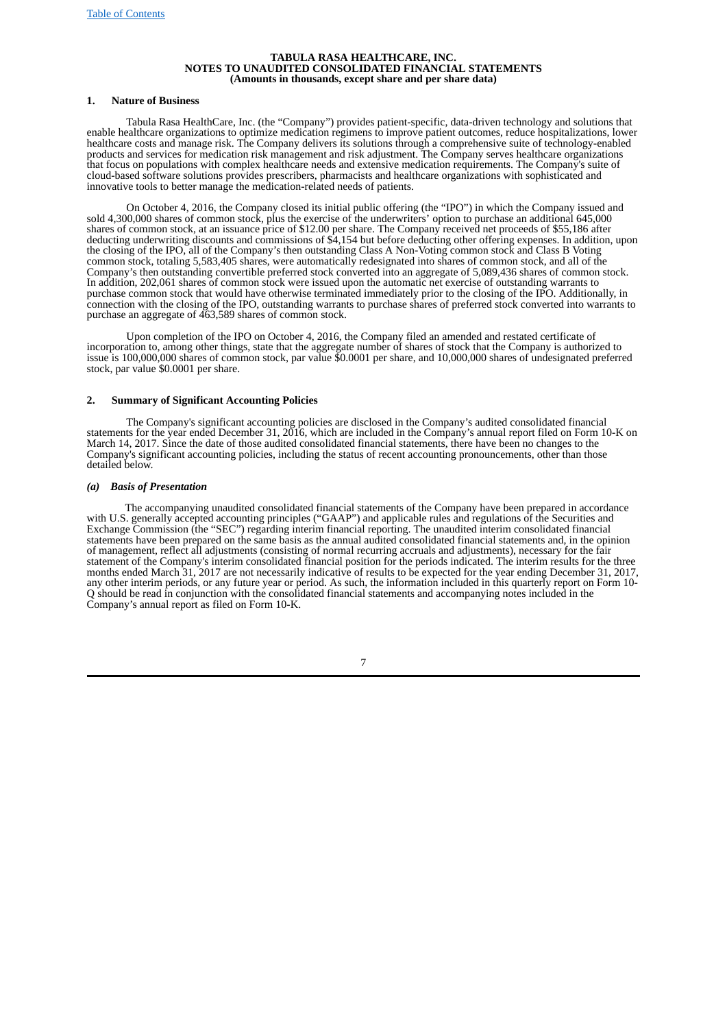# <span id="page-6-0"></span>**1. Nature of Business**

Tabula Rasa HealthCare, Inc. (the "Company") provides patient-specific, data-driven technology and solutions that enable healthcare organizations to optimize medication regimens to improve patient outcomes, reduce hospitalizations, lower healthcare costs and manage risk. The Company delivers its solutions through a comprehensive suite of technology-enabled products and services for medication risk management and risk adjustment. The Company serves healthcare organizations that focus on populations with complex healthcare needs and extensive medication requirements. The Company's suite of cloud-based software solutions provides prescribers, pharmacists and healthcare organizations with sophisticated and innovative tools to better manage the medication-related needs of patients.

On October 4, 2016, the Company closed its initial public offering (the "IPO") in which the Company issued and sold 4,300,000 shares of common stock, plus the exercise of the underwriters' option to purchase an additional 645,000 shares of common stock, at an issuance price of \$12.00 per share. The Company received net proceeds of \$55,186 after deducting underwriting discounts and commissions of \$4,154 but before deducting other offering expenses. In addition, upon the closing of the IPO, all of the Company's then outstanding Class A Non-Voting common stock and Class B Voting common stock, totaling 5,583,405 shares, were automatically redesignated into shares of common stock, and all of the Company's then outstanding convertible preferred stock converted into an aggregate of 5,089,436 shares of common stock. In addition, 202,061 shares of common stock were issued upon the automatic net exercise of outstanding warrants to purchase common stock that would have otherwise terminated immediately prior to the closing of the IPO. Additionally, in connection with the closing of the IPO, outstanding warrants to purchase shares of preferred stock converted into warrants to purchase an aggregate of 463,589 shares of common stock.

Upon completion of the IPO on October 4, 2016, the Company filed an amended and restated certificate of incorporation to, among other things, state that the aggregate number of shares of stock that the Company is authorized to issue is 100,000,000 shares of common stock, par value \$0.0001 per share, and 10,000,000 shares of undesignated preferred stock, par value \$0.0001 per share.

### **2. Summary of Significant Accounting Policies**

The Company's significant accounting policies are disclosed in the Company's audited consolidated financial statements for the year ended December 31, 2016, which are included in the Company's annual report filed on Form 10-K on March 14, 2017. Since the date of those audited consolidated financial statements, there have been no Company's significant accounting policies, including the status of recent accounting pronouncements, other than those detailed below.

# *(a) Basis of Presentation*

The accompanying unaudited consolidated financial statements of the Company have been prepared in accordance with U.S. generally accepted accounting principles ("GAAP") and applicable rules and regulations of the Securities and Exchange Commission (the "SEC") regarding interim financial reporting. The unaudited interim consolidated financial statements have been prepared on the same basis as the annual audited consolidated financial statements and, in the opinion of management, reflect all adjustments (consisting of normal recurring accruals and adjustments), necessary for the fair statement of the Company's interim consolidated financial position for the periods indicated. The interim results for the three months ended March 31, 2017 are not necessarily indicative of results to be expected for the year ending December 31, 2017, any other interim periods, or any future year or period. As such, the information included in this quarterly report on Form 10- Q should be read in conjunction with the consolidated financial statements and accompanying notes included in the Company's annual report as filed on Form 10-K.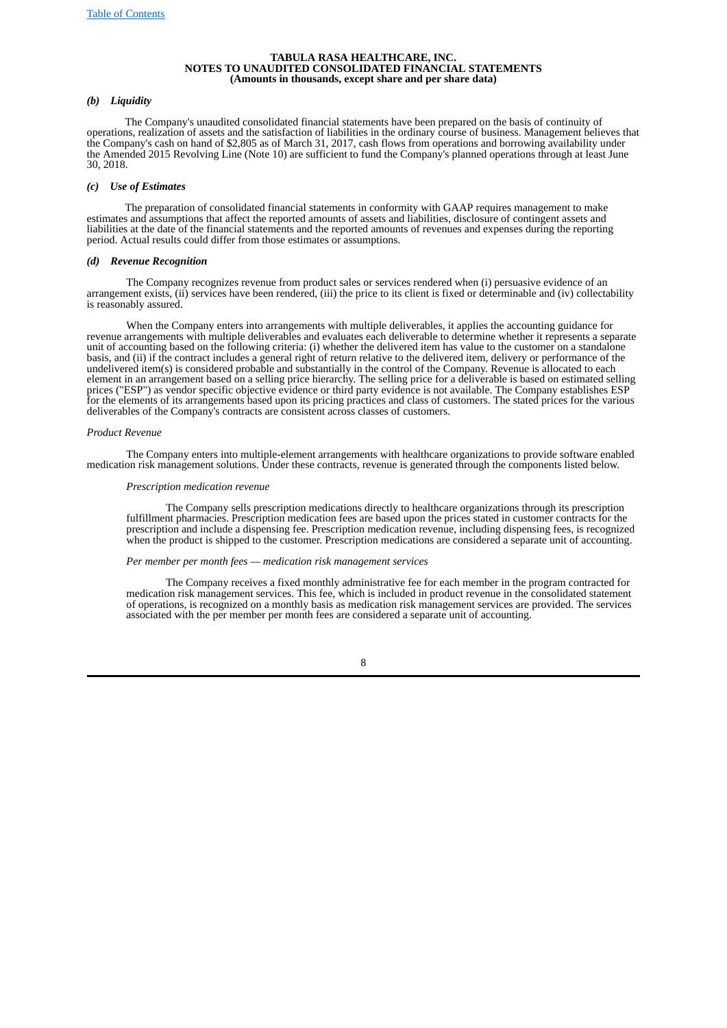# *(b) Liquidity*

The Company's unaudited consolidated financial statements have been prepared on the basis of continuity of operations, realization of assets and the satisfaction of liabilities in the ordinary course of business. Management believes that the Company's cash on hand of \$2,805 as of March 31, 2017, cash flows from operations and borrowing availability under the Amended 2015 Revolving Line (Note 10) are sufficient to fund the Company's planned operations through at least June 30, 2018.

# *(c) Use of Estimates*

The preparation of consolidated financial statements in conformity with GAAP requires management to make estimates and assumptions that affect the reported amounts of assets and liabilities, disclosure of contingent assets and liabilities at the date of the financial statements and the reported amounts of revenues and expenses during the reporting period. Actual results could differ from those estimates or assumptions.

# *(d) Revenue Recognition*

The Company recognizes revenue from product sales or services rendered when (i) persuasive evidence of an arrangement exists, (ii) services have been rendered, (iii) the price to its client is fixed or determinable and (iv) collectability is reasonably assured.

When the Company enters into arrangements with multiple deliverables, it applies the accounting guidance for revenue arrangements with multiple deliverables and evaluates each deliverable to determine whether it represents a separate unit of accounting based on the following criteria: (i) whether the delivered item has value to the customer on a standalone basis, and (ii) if the contract includes a general right of return relative to the delivered item, delivery or performance of the undelivered item(s) is considered probable and substantially in the control of the Company. Revenue is allocated to each element in an arrangement based on a selling price hierarchy. The selling price for a deliverable is based on estimated selling prices ("ESP") as vendor specific objective evidence or third party evidence is not available. The Company establishes ESP for the elements of its arrangements based upon its pricing practices and class of customers. The stated prices for the various deliverables of the Company's contracts are consistent across classes of customers.

#### *Product Revenue*

The Company enters into multiple-element arrangements with healthcare organizations to provide software enabled medication risk management solutions. Under these contracts, revenue is generated through the components listed below.

# *Prescription medication revenue*

The Company sells prescription medications directly to healthcare organizations through its prescription fulfillment pharmacies. Prescription medication fees are based upon the prices stated in customer contracts for the prescription and include a dispensing fee. Prescription medication revenue, including dispensing fees, is recognized when the product is shipped to the customer. Prescription medications are considered a separate unit of accounting.

#### *Per member per month fees — medication risk management services*

The Company receives a fixed monthly administrative fee for each member in the program contracted for medication risk management services. This fee, which is included in product revenue in the consolidated statement of operations, is recognized on a monthly basis as medication risk management services are provided. The services associated with the per member per month fees are considered a separate unit of accounting.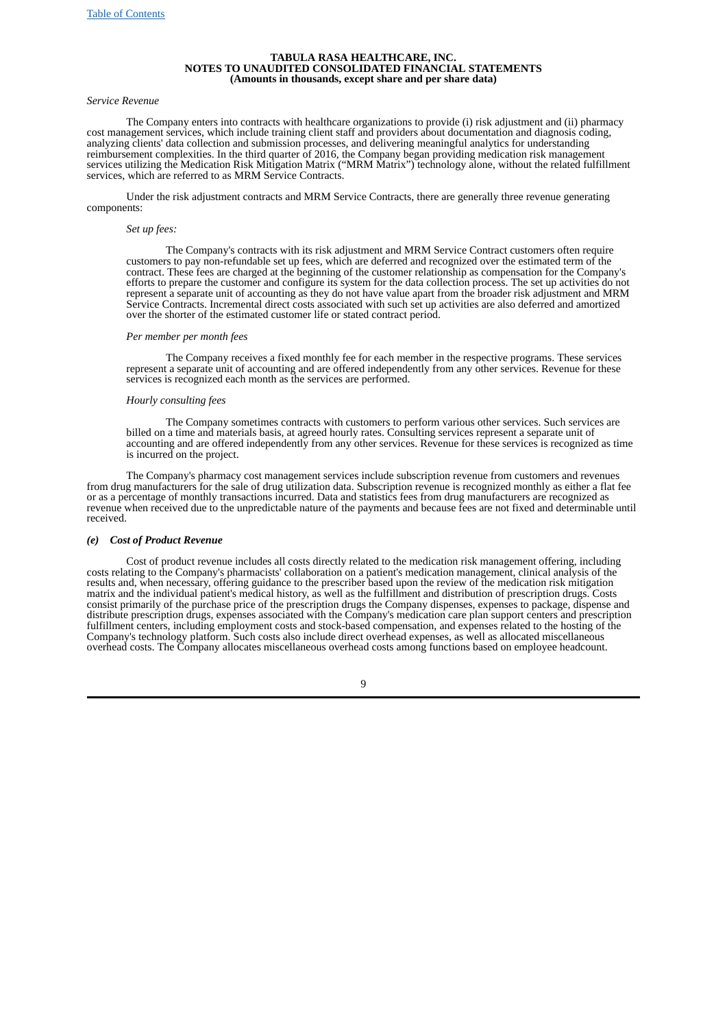# *Service Revenue*

The Company enters into contracts with healthcare organizations to provide (i) risk adjustment and (ii) pharmacy cost management services, which include training client staff and providers about documentation and diagnosis coding, analyzing clients' data collection and submission processes, and delivering meaningful analytics for understanding reimbursement complexities. In the third quarter of 2016, the Company began providing medication risk management services utilizing the Medication Risk Mitigation Matrix ("MRM Matrix") technology alone, without the related fulfillment services, which are referred to as MRM Service Contracts.

Under the risk adjustment contracts and MRM Service Contracts, there are generally three revenue generating components:

#### *Set up fees:*

The Company's contracts with its risk adjustment and MRM Service Contract customers often require customers to pay non-refundable set up fees, which are deferred and recognized over the estimated term of the contract. These fees are charged at the beginning of the customer relationship as compensation for the Company's efforts to prepare the customer and configure its system for the data collection process. The set up activities do not represent a separate unit of accounting as they do not have value apart from the broader risk adjustment and MRM Service Contracts. Incremental direct costs associated with such set up activities are also deferred and amortized over the shorter of the estimated customer life or stated contract period.

### *Per member per month fees*

The Company receives a fixed monthly fee for each member in the respective programs. These services represent a separate unit of accounting and are offered independently from any other services. Revenue for these services is recognized each month as the services are performed.

#### *Hourly consulting fees*

The Company sometimes contracts with customers to perform various other services. Such services are billed on a time and materials basis, at agreed hourly rates. Consulting services represent a separate unit of accounting and are offered independently from any other services. Revenue for these services is recognized as time is incurred on the project.

The Company's pharmacy cost management services include subscription revenue from customers and revenues from drug manufacturers for the sale of drug utilization data. Subscription revenue is recognized monthly as either a flat fee or as a percentage of monthly transactions incurred. Data and statistics fees from drug manufacturers are recognized as revenue when received due to the unpredictable nature of the payments and because fees are not fixed and determinable until received.

# *(e) Cost of Product Revenue*

Cost of product revenue includes all costs directly related to the medication risk management offering, including costs relating to the Company's pharmacists' collaboration on a patient's medication management, clinical analysis of the results and, when necessary, offering guidance to the prescriber based upon the review of the medication risk mitigation matrix and the individual patient's medical history, as well as the fulfillment and distribution of prescription drugs. Costs consist primarily of the purchase price of the prescription drugs the Company dispenses, expenses to package, dispense and distribute prescription drugs, expenses associated with the Company's medication care plan support centers and prescription fulfillment centers, including employment costs and stock-based compensation, and expenses related to the hosting of the Company's technology platform. Such costs also include direct overhead expenses, as well as allocated miscellaneous overhead costs. The Company allocates miscellaneous overhead costs among functions based on employee headcount.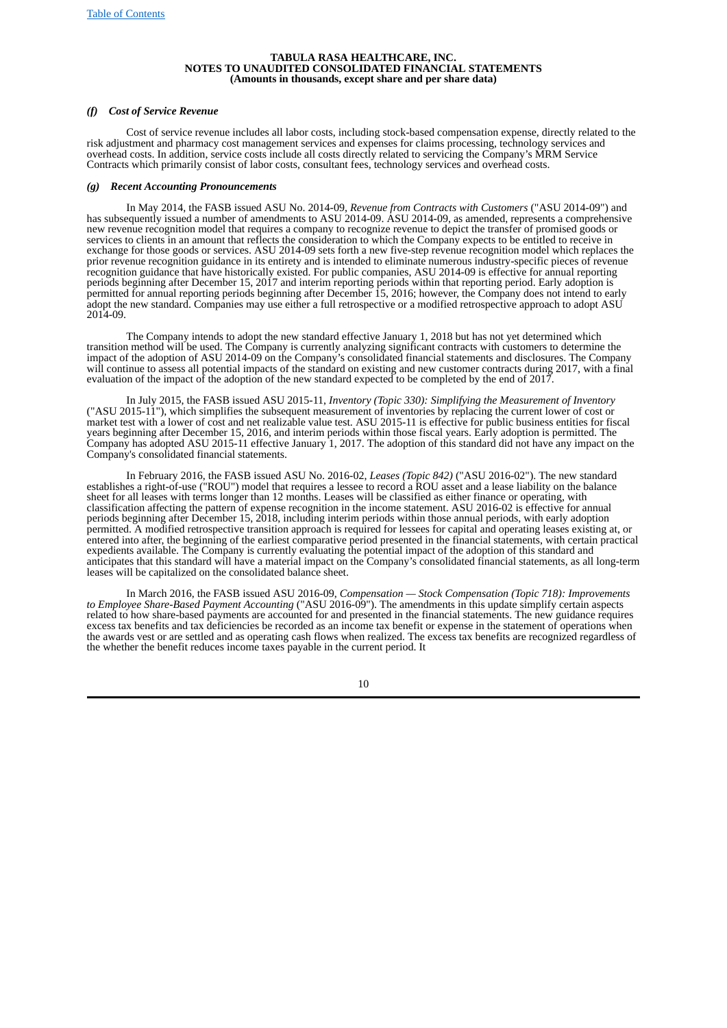# *(f) Cost of Service Revenue*

Cost of service revenue includes all labor costs, including stock-based compensation expense, directly related to the risk adjustment and pharmacy cost management services and expenses for claims processing, technology services and overhead costs. In addition, service costs include all costs directly related to servicing the Company's MRM Service Contracts which primarily consist of labor costs, consultant fees, technology services and overhead costs.

# *(g) Recent Accounting Pronouncements*

In May 2014, the FASB issued ASU No. 2014-09, *Revenue from Contracts with Customers* ("ASU 2014-09") and has subsequently issued a number of amendments to ASU 2014-09. ASU 2014-09, as amended, represents a comprehensive new revenue recognition model that requires a company to recognize revenue to depict the transfer of promised goods or services to clients in an amount that reflects the consideration to which the Company expects to be entitled to receive in exchange for those goods or services. ASU 2014-09 sets forth a new five-step revenue recognition model which replaces the prior revenue recognition guidance in its entirety and is intended to eliminate numerous industry-specific pieces of revenue recognition guidance that have historically existed. For public companies, ASU 2014-09 is effective for annual reporting periods beginning after December 15, 2017 and interim reporting periods within that reporting period. Early adoption is permitted for annual reporting periods beginning after December 15, 2016; however, the Company does not intend to early adopt the new standard. Companies may use either a full retrospective or a modified retrospective approach to adopt ASU 2014-09.

The Company intends to adopt the new standard effective January 1, 2018 but has not yet determined which transition method will be used. The Company is currently analyzing significant contracts with customers to determine the impact of the adoption of ASU 2014-09 on the Company's consolidated financial statements and disclosures. The Company will continue to assess all potential impacts of the standard on existing and new customer contracts during 2017, with a final evaluation of the impact of the adoption of the new standard expected to be completed by the end of 2017.

In July 2015, the FASB issued ASU 2015-11, *Inventory (Topic 330): Simplifying the Measurement of Inventory* ("ASU 2015-11"), which simplifies the subsequent measurement of inventories by replacing the current lower of cost or market test with a lower of cost and net realizable value test. ASU 2015-11 is effective for public business entities for fiscal years beginning after December 15, 2016, and interim periods within those fiscal years. Early adoption is permitted. The Company has adopted ASU 2015-11 effective January 1, 2017. The adoption of this standard did not have any impact on the Company's consolidated financial statements.

In February 2016, the FASB issued ASU No. 2016-02, *Leases (Topic 842)* ("ASU 2016-02"). The new standard establishes a right-of-use ("ROU") model that requires a lessee to record a ROU asset and a lease liability on the balance sheet for all leases with terms longer than 12 months. Leases will be classified as either finance or operating, with classification affecting the pattern of expense recognition in the income statement. ASU 2016-02 is effective for annual periods beginning after December 15, 2018, including interim periods within those annual periods, with early adoption permitted. A modified retrospective transition approach is required for lessees for capital and operating leases existing at, or entered into after, the beginning of the earliest comparative period presented in the financial statements, with certain practical expedients available. The Company is currently evaluating the potential impact of the adoption of this standard and anticipates that this standard will have a material impact on the Company's consolidated financial statements, as all long-term leases will be capitalized on the consolidated balance sheet.

In March 2016, the FASB issued ASU 2016-09, *Compensation — Stock Compensation (Topic 718): Improvements to Employee Share-Based Payment Accounting* ("ASU 2016-09"). The amendments in this update simplify certain aspects related to how share-based payments are accounted for and presented in the financial statements. The new guidance requires excess tax benefits and tax deficiencies be recorded as an income tax benefit or expense in the statement of operations when the awards vest or are settled and as operating cash flows when realized. The excess tax benefits are recognized regardless of the whether the benefit reduces income taxes payable in the current period. It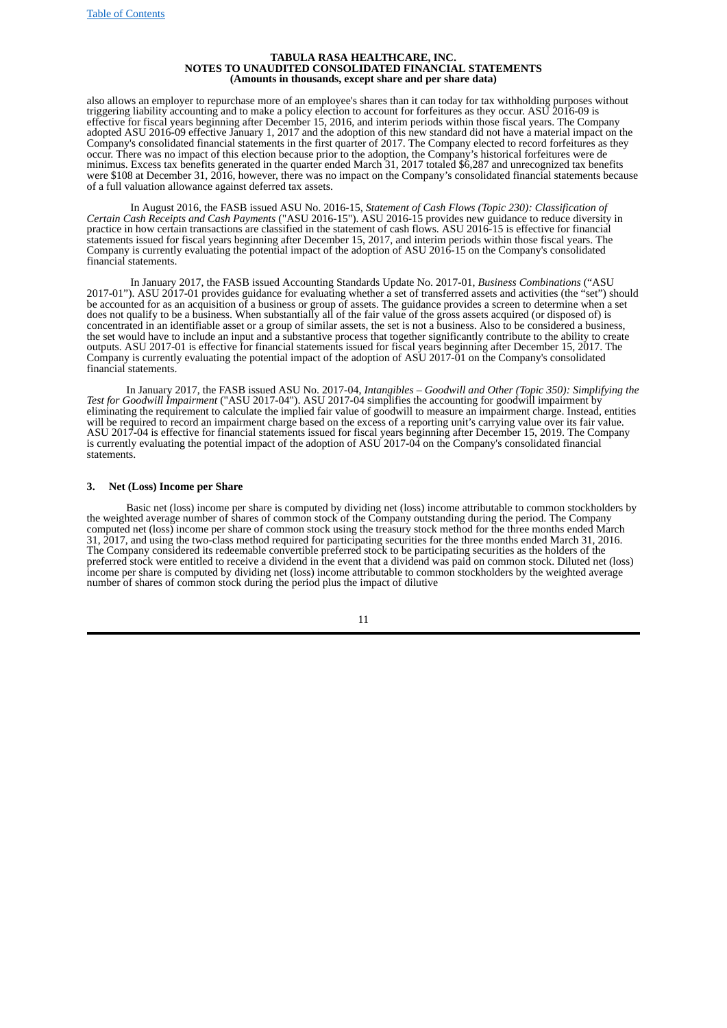also allows an employer to repurchase more of an employee's shares than it can today for tax withholding purposes without triggering liability accounting and to make a policy election to account for forfeitures as they occur. ASU 2016-09 is effective for fiscal years beginning after December 15, 2016, and interim periods within those fiscal years. The Company adopted ASU 2016-09 effective January 1, 2017 and the adoption of this new standard did not have a material impact on the Company's consolidated financial statements in the first quarter of 2017. The Company elected to record forfeitures as they occur. There was no impact of this election because prior to the adoption, the Company's historical forfeitures were de minimus. Excess tax benefits generated in the quarter ended March 31, 2017 totaled \$6,287 and unrecognized tax benefits were \$108 at December 31, 2016, however, there was no impact on the Company's consolidated financial statements because of a full valuation allowance against deferred tax assets.

In August 2016, the FASB issued ASU No. 2016-15, *Statement of Cash Flows (Topic 230): Classification of Certain Cash Receipts and Cash Payments* ("ASU 2016-15"). ASU 2016-15 provides new guidance to reduce diversity in practice in how certain transactions are classified in the statement of cash flows. ASU 2016-15 is effective for financial statements issued for fiscal years beginning after December 15, 2017, and interim periods within those fiscal years. The Company is currently evaluating the potential impact of the adoption of ASU 2016-15 on the Company's consolidated financial statements.

In January 2017, the FASB issued Accounting Standards Update No. 2017-01, *Business Combinations* ("ASU 2017-01"). ASU 2017-01 provides guidance for evaluating whether a set of transferred assets and activities (the "set") should be accounted for as an acquisition of a business or group of assets. The guidance provides a screen to determine when a set does not qualify to be a business. When substantially all of the fair value of the gross assets acquired (or disposed of) is concentrated in an identifiable asset or a group of similar assets, the set is not a business. Also to be considered a business, the set would have to include an input and a substantive process that together significantly contribute to the ability to create outputs. ASU 2017-01 is effective for financial statements issued for fiscal years beginning after December 15, 2017. The Company is currently evaluating the potential impact of the adoption of ASU 2017-01 on the Company's consolidated financial statements.

In January 2017, the FASB issued ASU No. 2017-04, *Intangibles – Goodwill and Other (Topic 350): Simplifying the Test for Goodwill Impairment* ("ASU 2017-04"). ASU 2017-04 simplifies the accounting for goodwill impairment by eliminating the requirement to calculate the implied fair value of goodwill to measure an impairment charge. Instead, entities will be required to record an impairment charge based on the excess of a reporting unit's carrying value over its fair value. ASU 2017-04 is effective for financial statements issued for fiscal years beginning after December 15, 2019. The Company is currently evaluating the potential impact of the adoption of ASU 2017-04 on the Company's consolidated financial statements.

# **3. Net (Loss) Income per Share**

Basic net (loss) income per share is computed by dividing net (loss) income attributable to common stockholders by the weighted average number of shares of common stock of the Company outstanding during the period. The Company computed net (loss) income per share of common stock using the treasury stock method for the three months ended March 31, 2017, and using the two-class method required for participating securities for the three months ended March 31, 2016. The Company considered its redeemable convertible preferred stock to be participating securities as the holders of the preferred stock were entitled to receive a dividend in the event that a dividend was paid on common stock. Diluted net (loss) income per share is computed by dividing net (loss) income attributable to common stockholders by the weighted average number of shares of common stock during the period plus the impact of dilutive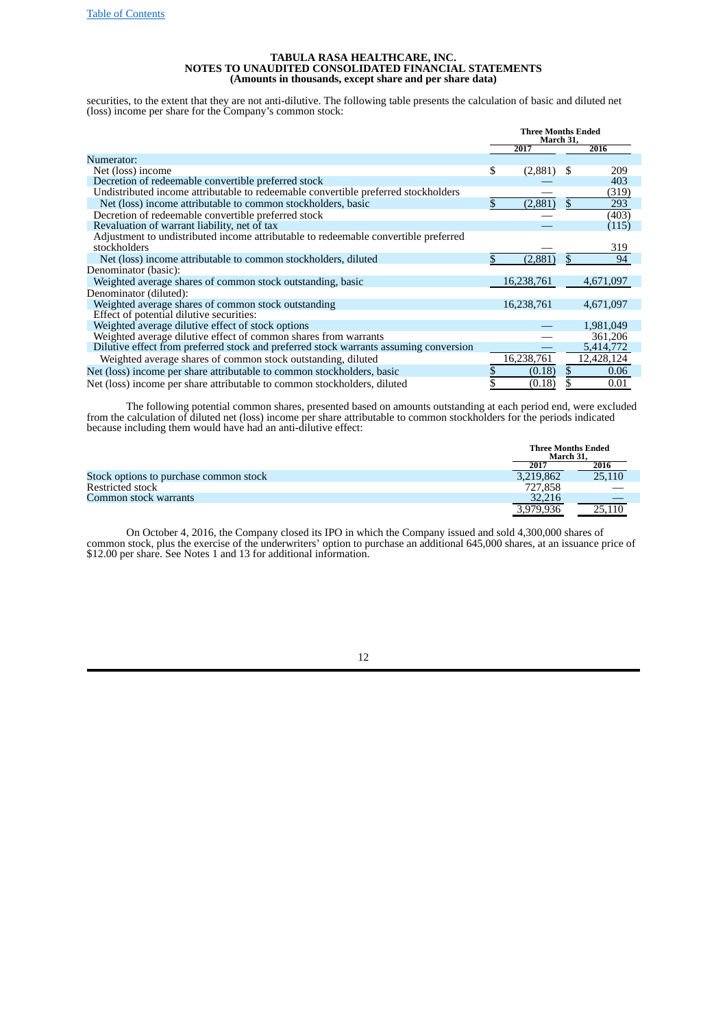securities, to the extent that they are not anti-dilutive. The following table presents the calculation of basic and diluted net (loss) income per share for the Company's common stock:

|                                                                                       | <b>Three Months Ended</b><br>March 31, |            |    |            |
|---------------------------------------------------------------------------------------|----------------------------------------|------------|----|------------|
|                                                                                       |                                        | 2017       |    | 2016       |
| Numerator:                                                                            |                                        |            |    |            |
| Net (loss) income                                                                     | \$                                     | (2,881)    | S  | 209        |
| Decretion of redeemable convertible preferred stock                                   |                                        |            |    | 403        |
| Undistributed income attributable to redeemable convertible preferred stockholders    |                                        |            |    | (319)      |
| Net (loss) income attributable to common stockholders, basic                          |                                        | (2, 881)   | \$ | 293        |
| Decretion of redeemable convertible preferred stock                                   |                                        |            |    | (403)      |
| Revaluation of warrant liability, net of tax                                          |                                        |            |    | (115)      |
| Adjustment to undistributed income attributable to redeemable convertible preferred   |                                        |            |    |            |
| stockholders                                                                          |                                        |            |    | 319        |
| Net (loss) income attributable to common stockholders, diluted                        |                                        | (2,881)    | \$ | 94         |
| Denominator (basic):                                                                  |                                        |            |    |            |
| Weighted average shares of common stock outstanding, basic                            |                                        | 16,238,761 |    | 4,671,097  |
| Denominator (diluted):                                                                |                                        |            |    |            |
| Weighted average shares of common stock outstanding                                   |                                        | 16,238,761 |    | 4,671,097  |
| Effect of potential dilutive securities:                                              |                                        |            |    |            |
| Weighted average dilutive effect of stock options                                     |                                        |            |    | 1,981,049  |
| Weighted average dilutive effect of common shares from warrants                       |                                        |            |    | 361,206    |
| Dilutive effect from preferred stock and preferred stock warrants assuming conversion |                                        |            |    | 5,414,772  |
| Weighted average shares of common stock outstanding, diluted                          |                                        | 16,238,761 |    | 12,428,124 |
| Net (loss) income per share attributable to common stockholders, basic                |                                        | (0.18)     |    | 0.06       |
| Net (loss) income per share attributable to common stockholders, diluted              |                                        | (0.18)     |    | 0.01       |

The following potential common shares, presented based on amounts outstanding at each period end, were excluded from the calculation of diluted net (loss) income per share attributable to common stockholders for the periods indicated because including them would have had an anti-dilutive effect:

|                                        | <b>Three Months Ended</b><br>March 31. |        |
|----------------------------------------|----------------------------------------|--------|
|                                        | 2017                                   | 2016   |
| Stock options to purchase common stock | 3,219,862                              | 25,110 |
| Restricted stock                       | 727.858                                |        |
| Common stock warrants                  | 32.216                                 |        |
|                                        | 3.979.936                              | 25.110 |

On October 4, 2016, the Company closed its IPO in which the Company issued and sold 4,300,000 shares of common stock, plus the exercise of the underwriters' option to purchase an additional 645,000 shares, at an issuance price of \$12.00 per share. See Notes 1 and 13 for additional information.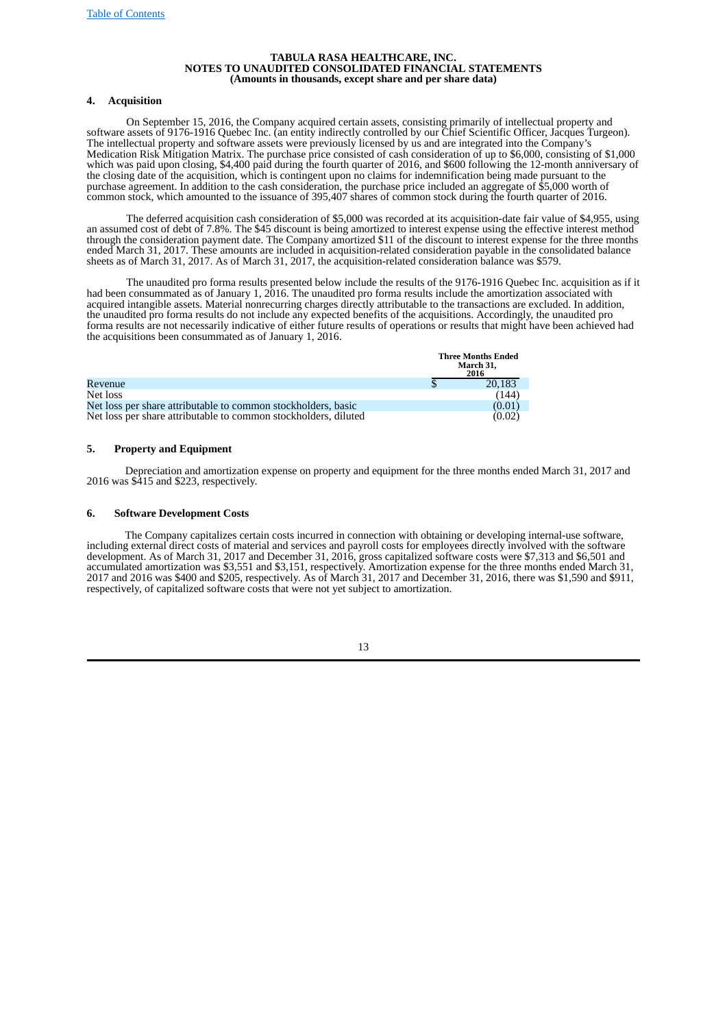# **4. Acquisition**

On September 15, 2016, the Company acquired certain assets, consisting primarily of intellectual property and software assets of 9176-1916 Quebec Inc. (an entity indirectly controlled by our Chief Scientific Officer, Jacques Turgeon).<br>The intellectual property and software assets were previously licensed by us and are integrated i Medication Risk Mitigation Matrix. The purchase price consisted of cash consideration of up to \$6,000, consisting of \$1,000 which was paid upon closing, \$4,400 paid during the fourth quarter of 2016, and \$600 following the 12-month anniversary of the closing date of the acquisition, which is contingent upon no claims for indemnification being made pursuant to the purchase agreement. In addition to the cash consideration, the purchase price included an aggregate of \$5,000 worth of common stock, which amounted to the issuance of 395,407 shares of common stock during the fourth quarter of 2016.

The deferred acquisition cash consideration of \$5,000 was recorded at its acquisition-date fair value of \$4,955, using an assumed cost of debt of 7.8%. The \$45 discount is being amortized to interest expense using the effective interest method through the consideration payment date. The Company amortized \$11 of the discount to interest expense for the three months ended March 31, 2017. These amounts are included in acquisition-related consideration payable in the consolidated balance sheets as of March 31, 2017. As of March 31, 2017, the acquisition-related consideration balance was \$579.

The unaudited pro forma results presented below include the results of the 9176-1916 Quebec Inc. acquisition as if it had been consummated as of January 1, 2016. The unaudited pro forma results include the amortization associated with acquired intangible assets. Material nonrecurring charges directly attributable to the transactions are excluded. In addition, the unaudited pro forma results do not include any expected benefits of the acquisitions. Accordingly, the unaudited pro forma results are not necessarily indicative of either future results of operations or results that might have been achieved had the acquisitions been consummated as of January 1, 2016.

|                                                                 |  | <b>Three Months Ended</b><br>March 31.<br>2016 |
|-----------------------------------------------------------------|--|------------------------------------------------|
| Revenue                                                         |  | 20,183                                         |
| Net loss                                                        |  | (144)                                          |
| Net loss per share attributable to common stockholders, basic   |  | (0.01)                                         |
| Net loss per share attributable to common stockholders, diluted |  | (0.02)                                         |

# **5. Property and Equipment**

Depreciation and amortization expense on property and equipment for the three months ended March 31, 2017 and 2016 was \$415 and \$223, respectively.

## **6. Software Development Costs**

The Company capitalizes certain costs incurred in connection with obtaining or developing internal-use software, including external direct costs of material and services and payroll costs for employees directly involved with the software development. As of March 31, 2017 and December 31, 2016, gross capitalized software costs were \$7,313 and \$6,501 and accumulated amortization was \$3,551 and \$3,151, respectively. Amortization expense for the three months ended March 31, 2017 and 2016 was \$400 and \$205, respectively. As of March 31, 2017 and December 31, 2016, there was \$1,590 and \$911, respectively, of capitalized software costs that were not yet subject to amortization.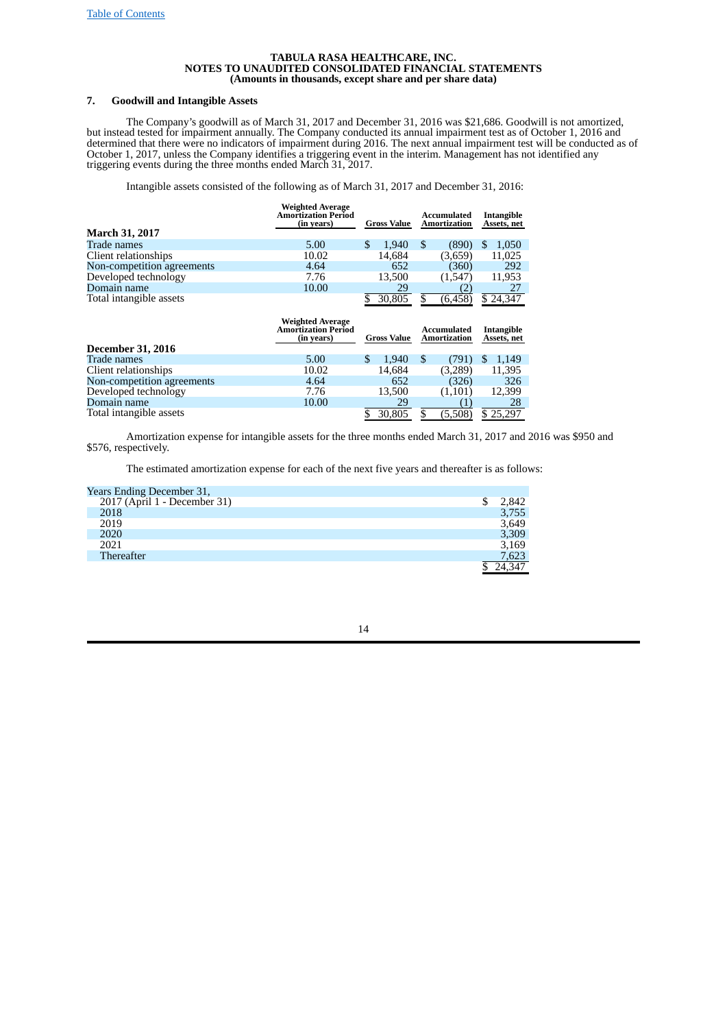# **7. Goodwill and Intangible Assets**

The Company's goodwill as of March 31, 2017 and December 31, 2016 was \$21,686. Goodwill is not amortized, but instead tested for impairment annually. The Company conducted its annual impairment test as of October 1, 2016 and determined that there were no indicators of impairment during 2016. The next annual impairment test will be conducted as of October 1, 2017, unless the Company identifies a triggering event in the interim. Management has not identified any triggering events during the three months ended March 31, 2017.

Intangible assets consisted of the following as of March 31, 2017 and December 31, 2016:

|                                        | Weighted Average<br><b>Amortization Period</b><br>(in years) |     | <b>Gross Value</b> | Accumulated<br><b>Amortization</b> |                                    | Intangible<br>Assets, net |
|----------------------------------------|--------------------------------------------------------------|-----|--------------------|------------------------------------|------------------------------------|---------------------------|
| <b>March 31, 2017</b>                  |                                                              |     |                    |                                    |                                    |                           |
| Trade names                            | 5.00                                                         | \$. | 1.940              | \$                                 | (890)                              | 1,050<br>S.               |
| Client relationships                   | 10.02                                                        |     | 14,684             |                                    | (3,659)                            | 11,025                    |
| Non-competition agreements             | 4.64                                                         |     | 652                |                                    | (360)                              | 292                       |
| Developed technology                   | 7.76                                                         |     | 13,500             |                                    | (1,547)                            | 11,953                    |
| Domain name                            | 10.00                                                        |     | 29                 |                                    |                                    | 27                        |
| Total intangible assets                |                                                              | \$  | 30,805             |                                    | (6, 458)                           | \$24,347                  |
|                                        |                                                              |     |                    |                                    |                                    |                           |
|                                        | Weighted Average<br><b>Amortization Period</b><br>(in years) |     | <b>Gross Value</b> |                                    | Accumulated<br><b>Amortization</b> | Intangible<br>Assets, net |
| <b>December 31, 2016</b>               |                                                              |     |                    |                                    |                                    |                           |
| Trade names                            | 5.00                                                         | \$  | 1.940              | \$                                 | (791)                              | 1,149<br>S.               |
| Client relationships                   | 10.02                                                        |     | 14,684             |                                    | (3,289)                            | 11,395                    |
| Non-competition agreements             | 4.64                                                         |     | 652                |                                    | (326)                              | 326                       |
| Developed technology                   | 7.76                                                         |     | 13,500             |                                    | (1,101)                            | 12,399                    |
| Domain name<br>Total intangible assets | 10.00                                                        |     | 29                 |                                    |                                    | 28                        |

Amortization expense for intangible assets for the three months ended March 31, 2017 and 2016 was \$950 and \$576, respectively.

The estimated amortization expense for each of the next five years and thereafter is as follows:

| Years Ending December 31,    |       |
|------------------------------|-------|
| 2017 (April 1 - December 31) | 2.842 |
| 2018                         | 3,755 |
| 2019                         | 3,649 |
| 2020                         | 3,309 |
| 2021                         | 3.169 |
| <b>Thereafter</b>            | 7,623 |
|                              |       |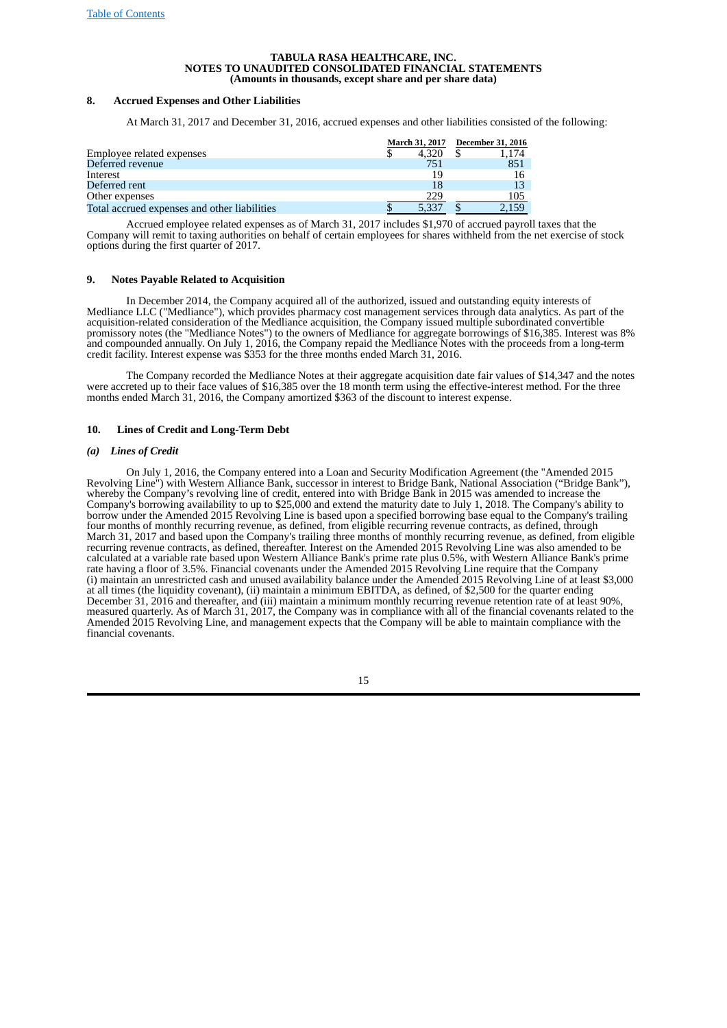# **8. Accrued Expenses and Other Liabilities**

At March 31, 2017 and December 31, 2016, accrued expenses and other liabilities consisted of the following:

|                                              | March 31, 2017 |       | <b>December 31, 2016</b> |       |  |
|----------------------------------------------|----------------|-------|--------------------------|-------|--|
| Employee related expenses                    |                | 4.320 |                          | 1.174 |  |
| Deferred revenue                             |                | 751   |                          | 851   |  |
| Interest                                     |                | 19    |                          | 16    |  |
| Deferred rent                                |                | 18    |                          | 13    |  |
| Other expenses                               |                | 229   |                          | 105   |  |
| Total accrued expenses and other liabilities |                | 5.337 |                          | 2,159 |  |

Accrued employee related expenses as of March 31, 2017 includes \$1,970 of accrued payroll taxes that the Company will remit to taxing authorities on behalf of certain employees for shares withheld from the net exercise of stock options during the first quarter of 2017.

### **9. Notes Payable Related to Acquisition**

In December 2014, the Company acquired all of the authorized, issued and outstanding equity interests of Medliance LLC ("Medliance"), which provides pharmacy cost management services through data analytics. As part of the acquisition-related consideration of the Medliance acquisition, the Company issued multiple subordinated convertible promissory notes (the "Medliance Notes") to the owners of Medliance for aggregate borrowings of \$16,385. Interest was 8% and compounded annually. On July 1, 2016, the Company repaid the Medliance Notes with the proceeds from a long-term credit facility. Interest expense was \$353 for the three months ended March 31, 2016.

The Company recorded the Medliance Notes at their aggregate acquisition date fair values of \$14,347 and the notes were accreted up to their face values of \$16,385 over the 18 month term using the effective-interest method. For the three months ended March 31, 2016, the Company amortized \$363 of the discount to interest expense.

# **10. Lines of Credit and Long-Term Debt**

#### *(a) Lines of Credit*

On July 1, 2016, the Company entered into a Loan and Security Modification Agreement (the "Amended 2015 Revolving Line") with Western Alliance Bank, successor in interest to Bridge Bank, National Association ("Bridge Bank"), whereby the Company's revolving line of credit, entered into with Bridge Bank in 2015 was amended to increase the Company's borrowing availability to up to \$25,000 and extend the maturity date to July 1, 2018. The Company's ability to borrow under the Amended 2015 Revolving Line is based upon a specified borrowing base equal to the Company's trailing four months of monthly recurring revenue, as defined, from eligible recurring revenue contracts, as defined, through March 31, 2017 and based upon the Company's trailing three months of monthly recurring revenue, as defined, from eligible recurring revenue contracts, as defined, thereafter. Interest on the Amended 2015 Revolving Line was also amended to be calculated at a variable rate based upon Western Alliance Bank's prime rate plus 0.5%, with Western Alliance Bank's prime rate having a floor of 3.5%. Financial covenants under the Amended 2015 Revolving Line require that the Company (i) maintain an unrestricted cash and unused availability balance under the Amended 2015 Revolving Line of at least \$3,000 at all times (the liquidity covenant), (ii) maintain a minimum EBITDA, as defined, of \$2,500 for the quarter ending December 31, 2016 and thereafter, and (iii) maintain a minimum monthly recurring revenue retention rate of at least 90%, measured quarterly. As of March 31, 2017, the Company was in compliance with all of the financial covenants related to the Amended 2015 Revolving Line, and management expects that the Company will be able to maintain compliance with the financial covenants.

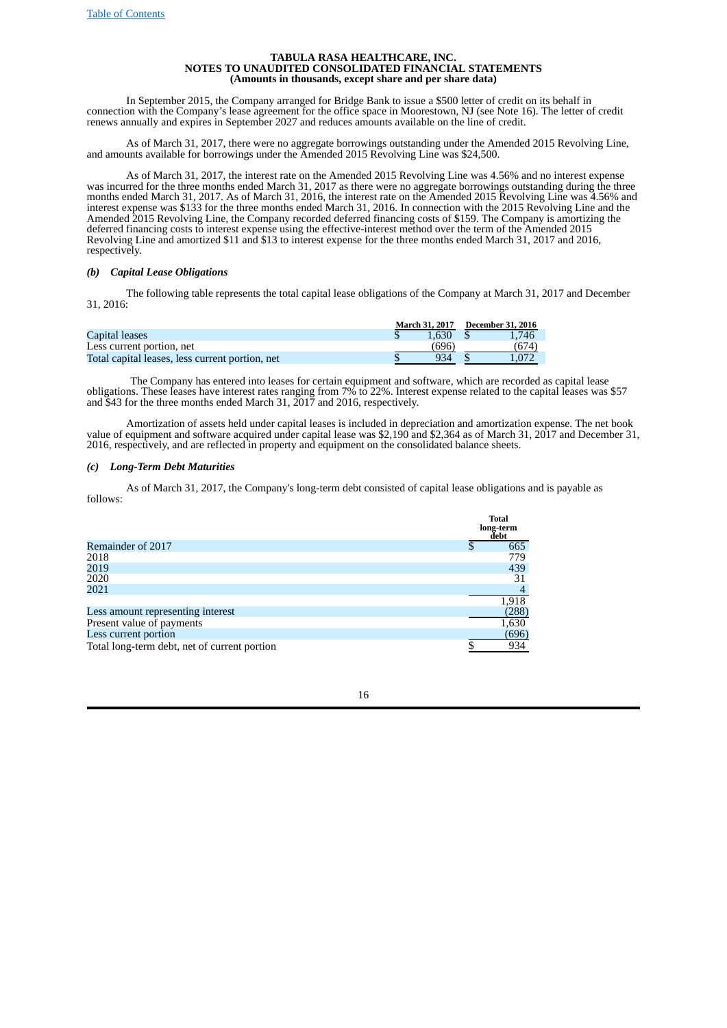In September 2015, the Company arranged for Bridge Bank to issue a \$500 letter of credit on its behalf in connection with the Company's lease agreement for the office space in Moorestown, NJ (see Note 16). The letter of credit renews annually and expires in September 2027 and reduces amounts available on the line of credit.

As of March 31, 2017, there were no aggregate borrowings outstanding under the Amended 2015 Revolving Line, and amounts available for borrowings under the Amended 2015 Revolving Line was \$24,500.

As of March 31, 2017, the interest rate on the Amended 2015 Revolving Line was 4.56% and no interest expense was incurred for the three months ended March 31, 2017 as there were no aggregate borrowings outstanding during the three months ended March 31, 2017. As of March 31, 2016, the interest rate on the Amended 2015 Revolving Line was 4.56% and interest expense was \$133 for the three months ended March 31, 2016. In connection with the 2015 Revolving Line and the Amended 2015 Revolving Line, the Company recorded deferred financing costs of \$159. The Company is amortizing the deferred financing costs to interest expense using the effective-interest method over the term of the Amended 2015 Revolving Line and amortized \$11 and \$13 to interest expense for the three months ended March 31, 2017 and 2016, respectively.

# *(b) Capital Lease Obligations*

The following table represents the total capital lease obligations of the Company at March 31, 2017 and December 31, 2016:

|                                                 | <b>March 31, 2017</b> | <b>December 31, 2016</b> |       |  |
|-------------------------------------------------|-----------------------|--------------------------|-------|--|
| Capital leases                                  | 1.630                 |                          | 1.746 |  |
| Less current portion, net                       | (696)                 |                          | (674) |  |
| Total capital leases, less current portion, net | 934                   |                          | 1.072 |  |

The Company has entered into leases for certain equipment and software, which are recorded as capital lease obligations. These leases have interest rates ranging from 7% to 22%. Interest expense related to the capital leases was \$57 and \$43 for the three months ended March 31, 2017 and 2016, respectively.

Amortization of assets held under capital leases is included in depreciation and amortization expense. The net book value of equipment and software acquired under capital lease was \$2,190 and \$2,364 as of March 31, 2017 and December 31, 2016, respectively, and are reflected in property and equipment on the consolidated balance sheets.

# *(c) Long-Term Debt Maturities*

As of March 31, 2017, the Company's long-term debt consisted of capital lease obligations and is payable as follows:

|                                              | <b>Total</b><br>long-term<br>debt |
|----------------------------------------------|-----------------------------------|
| Remainder of 2017                            | 665                               |
| 2018                                         | 779                               |
| 2019                                         | 439                               |
| 2020                                         | 31                                |
| 2021                                         |                                   |
|                                              | 1,918                             |
| Less amount representing interest            | (288)                             |
| Present value of payments                    | 1,630                             |
| Less current portion                         | (696)                             |
| Total long-term debt, net of current portion | 934                               |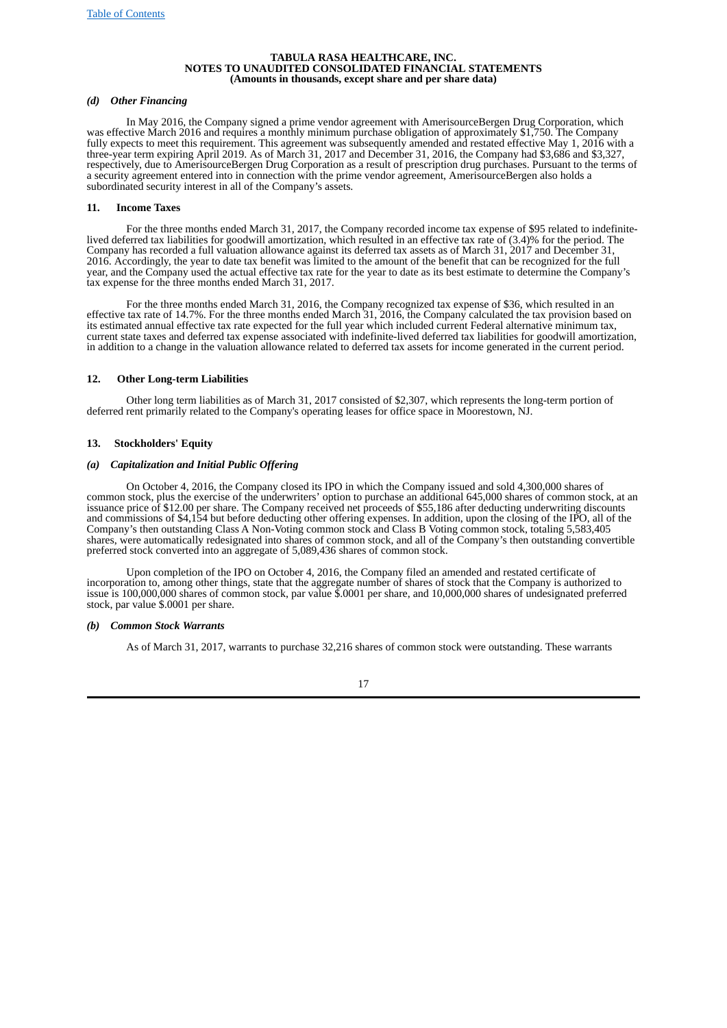# *(d) Other Financing*

In May 2016, the Company signed a prime vendor agreement with AmerisourceBergen Drug Corporation, which was effective March 2016 and requires a monthly minimum purchase obligation of approximately \$1,750. The Company fully expects to meet this requirement. This agreement was subsequently amended and restated effective May 1, 2016 with a three-year term expiring April 2019. As of March 31, 2017 and December 31, 2016, the Company had \$3,686 and \$3,327, respectively, due to AmerisourceBergen Drug Corporation as a result of prescription drug purchases. Pursuant to the terms of a security agreement entered into in connection with the prime vendor agreement, AmerisourceBergen also holds a subordinated security interest in all of the Company's assets.

# **11. Income Taxes**

For the three months ended March 31, 2017, the Company recorded income tax expense of \$95 related to indefinitelived deferred tax liabilities for goodwill amortization, which resulted in an effective tax rate of (3.4)% for the period. The Company has recorded a full valuation allowance against its deferred tax assets as of March 31, 2017 and December 31, 2016. Accordingly, the year to date tax benefit was limited to the amount of the benefit that can be recognized for the full year, and the Company used the actual effective tax rate for the year to date as its best estimate to determine the Company's tax expense for the three months ended March 31, 2017.

For the three months ended March 31, 2016, the Company recognized tax expense of \$36, which resulted in an effective tax rate of 14.7%. For the three months ended March 31, 2016, the Company calculated the tax provision based on its estimated annual effective tax rate expected for the full year which included current Federal alternative minimum tax, current state taxes and deferred tax expense associated with indefinite-lived deferred tax liabilities for goodwill amortization, in addition to a change in the valuation allowance related to deferred tax assets for income generated in the current period.

# **12. Other Long-term Liabilities**

Other long term liabilities as of March 31, 2017 consisted of \$2,307, which represents the long-term portion of deferred rent primarily related to the Company's operating leases for office space in Moorestown, NJ.

# **13. Stockholders' Equity**

# *(a) Capitalization and Initial Public Offering*

On October 4, 2016, the Company closed its IPO in which the Company issued and sold 4,300,000 shares of common stock, plus the exercise of the underwriters' option to purchase an additional 645,000 shares of common stock, at an issuance price of \$12.00 per share. The Company received net proceeds of \$55,186 after deducting underwriting discounts and commissions of \$4,154 but before deducting other offering expenses. In addition, upon the closing of the IPO, all of the Company's then outstanding Class A Non-Voting common stock and Class B Voting common stock, totaling 5,583,405 shares, were automatically redesignated into shares of common stock, and all of the Company's then outstanding convertible preferred stock converted into an aggregate of 5,089,436 shares of common stock.

Upon completion of the IPO on October 4, 2016, the Company filed an amended and restated certificate of incorporation to, among other things, state that the aggregate number of shares of stock that the Company is authorized to issue is 100,000,000 shares of common stock, par value \$.0001 per share, and 10,000,000 shares of undesignated preferred stock, par value \$.0001 per share.

# *(b) Common Stock Warrants*

As of March 31, 2017, warrants to purchase 32,216 shares of common stock were outstanding. These warrants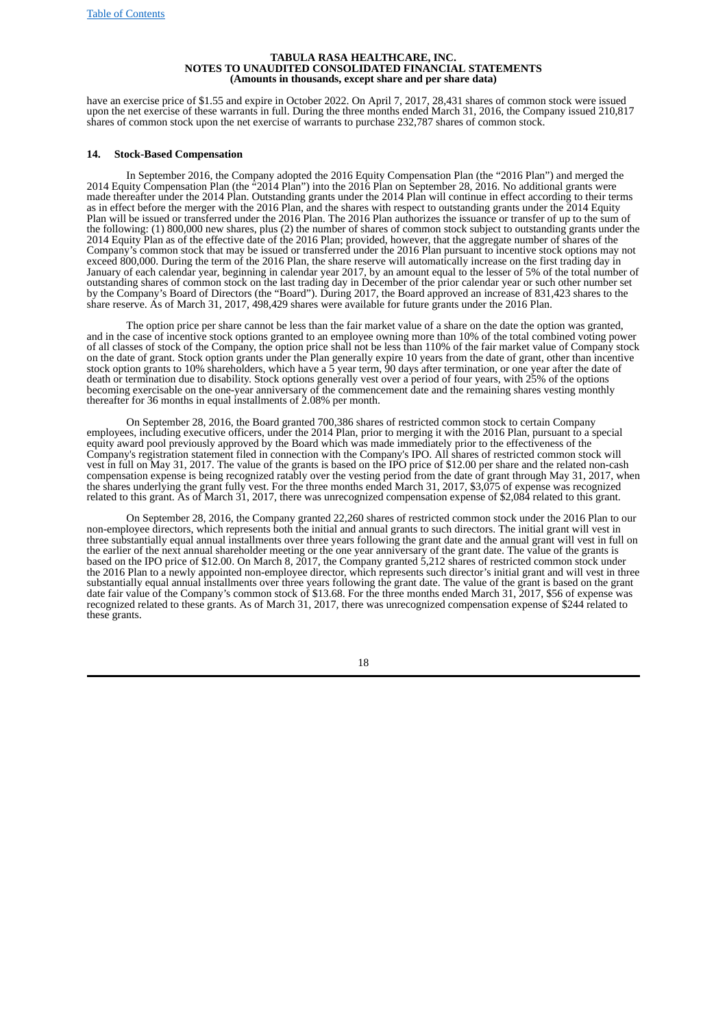have an exercise price of \$1.55 and expire in October 2022. On April 7, 2017, 28,431 shares of common stock were issued upon the net exercise of these warrants in full. During the three months ended March 31, 2016, the Company issued 210,817 shares of common stock upon the net exercise of warrants to purchase 232,787 shares of common stock.

# **14. Stock-Based Compensation**

In September 2016, the Company adopted the 2016 Equity Compensation Plan (the "2016 Plan") and merged the 2014 Equity Compensation Plan (the "2014 Plan") into the 2016 Plan on September 28, 2016. No additional grants were made thereafter under the 2014 Plan. Outstanding grants under the 2014 Plan will continue in effect according to their terms as in effect before the merger with the 2016 Plan, and the shares with respect to outstanding grants under the 2014 Equity Plan will be issued or transferred under the 2016 Plan. The 2016 Plan authorizes the issuance or transfer of up to the sum of the following: (1) 800,000 new shares, plus (2) the number of shares of common stock subject to outstanding grants under the 2014 Equity Plan as of the effective date of the 2016 Plan; provided, however, that the aggregate number of shares of the Company's common stock that may be issued or transferred under the 2016 Plan pursuant to incentive stock options may not exceed 800,000. During the term of the 2016 Plan, the share reserve will automatically increase on the first trading day in January of each calendar year, beginning in calendar year 2017, by an amount equal to the lesser of 5% of the total number of outstanding shares of common stock on the last trading day in December of the prior calendar year or such other number set by the Company's Board of Directors (the "Board"). During 2017, the Board approved an increase of 831,423 shares to the share reserve. As of March 31, 2017, 498,429 shares were available for future grants under the 2016 Plan.

The option price per share cannot be less than the fair market value of a share on the date the option was granted, and in the case of incentive stock options granted to an employee owning more than 10% of the total combined voting power of all classes of stock of the Company, the option price shall not be less than 110% of the fair market value of Company stock on the date of grant. Stock option grants under the Plan generally expire 10 years from the date of grant, other than incentive stock option grants to 10% shareholders, which have a 5 year term, 90 days after termination, or one year after the date of death or termination due to disability. Stock options generally vest over a period of four years, with 25% of the options becoming exercisable on the one-year anniversary of the commencement date and the remaining shares vesting monthly thereafter for 36 months in equal installments of 2.08% per month.

On September 28, 2016, the Board granted 700,386 shares of restricted common stock to certain Company employees, including executive officers, under the 2014 Plan, prior to merging it with the 2016 Plan, pursuant to a special equity award pool previously approved by the Board which was made immediately prior to the effectiveness of the Company's registration statement filed in connection with the Company's IPO. All shares of restricted common stock will vest in full on May 31, 2017. The value of the grants is based on the IPO price of \$12.00 per share and the related non-cash compensation expense is being recognized ratably over the vesting period from the date of grant through May 31, 2017, when the shares underlying the grant fully vest. For the three months ended March 31, 2017, \$3,075 of expense was recognized related to this grant. As of March 31, 2017, there was unrecognized compensation expense of \$2,084 related to this grant.

On September 28, 2016, the Company granted 22,260 shares of restricted common stock under the 2016 Plan to our non-employee directors, which represents both the initial and annual grants to such directors. The initial grant will vest in three substantially equal annual installments over three years following the grant date and the annual grant will vest in full on the earlier of the next annual shareholder meeting or the one year anniversary of the grant date. The value of the grants is based on the IPO price of \$12.00. On March 8, 2017, the Company granted 5,212 shares of restricted common stock under the 2016 Plan to a newly appointed non-employee director, which represents such director's initial grant and will vest in three substantially equal annual installments over three years following the grant date. The value of the grant is based on the grant date fair value of the Company's common stock of \$13.68. For the three months ended March 31, 2017, \$56 of expense was recognized related to these grants. As of March 31, 2017, there was unrecognized compensation expense of \$244 related to these grants.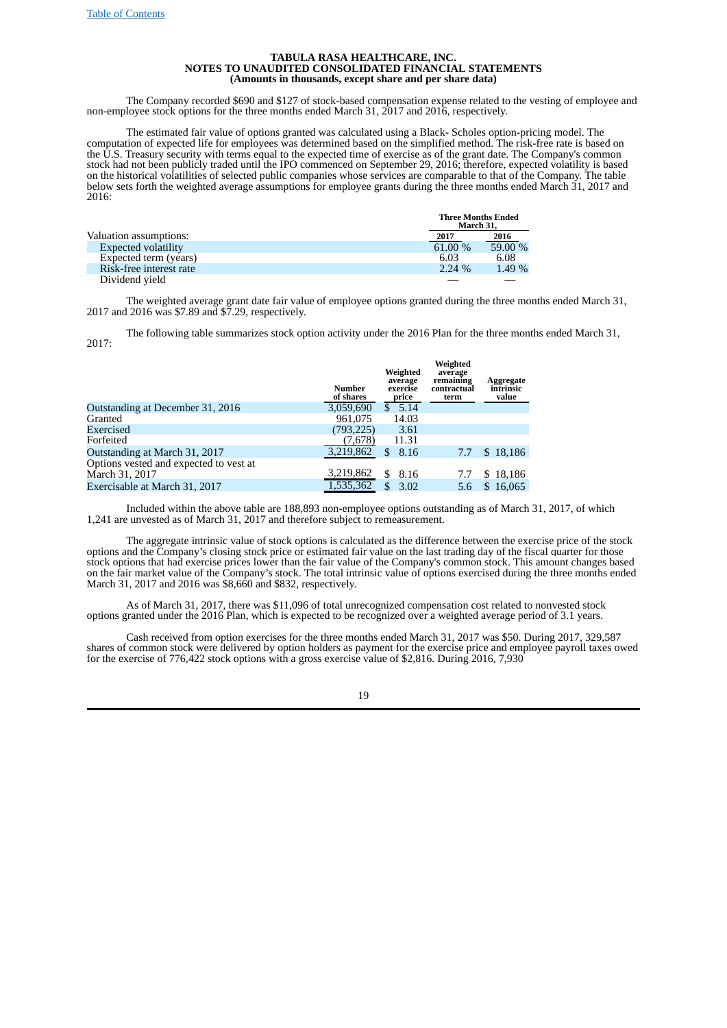The Company recorded \$690 and \$127 of stock-based compensation expense related to the vesting of employee and non-employee stock options for the three months ended March 31, 2017 and 2016, respectively.

The estimated fair value of options granted was calculated using a Black- Scholes option-pricing model. The computation of expected life for employees was determined based on the simplified method. The risk-free rate is based on the U.S. Treasury security with terms equal to the expected time of exercise as of the grant date. The Company's common stock had not been publicly traded until the IPO commenced on September 29, 2016; therefore, expected volatility is based on the historical volatilities of selected public companies whose services are comparable to that of the Company. The table below sets forth the weighted average assumptions for employee grants during the three months ended March 31, 2017 and 2016:

|                            |         | <b>Three Months Ended</b><br>March 31, |
|----------------------------|---------|----------------------------------------|
| Valuation assumptions:     | 2017    | 2016                                   |
| <b>Expected volatility</b> | 61.00 % | $59.00\%$                              |
| Expected term (years)      | 6.03    | 6.08                                   |
| Risk-free interest rate    | 2.24%   | 1.49 %                                 |
| Dividend vield             |         |                                        |

The weighted average grant date fair value of employee options granted during the three months ended March 31, 2017 and 2016 was \$7.89 and \$7.29, respectively.

The following table summarizes stock option activity under the 2016 Plan for the three months ended March 31, 2017:

|                                        | Number<br>of shares | Weighted<br>average<br>exercise<br>price | Weighted<br>average<br>remaining<br>contractual<br>term | Aggregate<br>intrinsic<br>value |
|----------------------------------------|---------------------|------------------------------------------|---------------------------------------------------------|---------------------------------|
| Outstanding at December 31, 2016       | 3,059,690           | 5.14<br>\$                               |                                                         |                                 |
| Granted                                | 961.075             | 14.03                                    |                                                         |                                 |
| Exercised                              | (793,225)           | 3.61                                     |                                                         |                                 |
| Forfeited                              | (7,678)             | 11.31                                    |                                                         |                                 |
| Outstanding at March 31, 2017          | 3,219,862           | \$<br>8.16                               | 7.7                                                     | \$18,186                        |
| Options vested and expected to vest at |                     |                                          |                                                         |                                 |
| March 31, 2017                         | 3,219,862           | 8.16<br>S                                | 7.7                                                     | \$18,186                        |
| Exercisable at March 31, 2017          | 1,535,362           | \$<br>3.02                               | 5.6                                                     | \$16,065                        |

Included within the above table are 188,893 non-employee options outstanding as of March 31, 2017, of which 1,241 are unvested as of March 31, 2017 and therefore subject to remeasurement.

The aggregate intrinsic value of stock options is calculated as the difference between the exercise price of the stock options and the Company's closing stock price or estimated fair value on the last trading day of the fiscal quarter for those stock options that had exercise prices lower than the fair value of the Company's common stock. This amount changes based on the fair market value of the Company's stock. The total intrinsic value of options exercised during the three months ended March 31, 2017 and 2016 was \$8,660 and \$832, respectively.

As of March 31, 2017, there was \$11,096 of total unrecognized compensation cost related to nonvested stock options granted under the 2016 Plan, which is expected to be recognized over a weighted average period of 3.1 years.

Cash received from option exercises for the three months ended March 31, 2017 was \$50. During 2017, 329,587 shares of common stock were delivered by option holders as payment for the exercise price and employee payroll taxes owed for the exercise of 776,422 stock options with a gross exercise value of \$2,816. During 2016, 7,930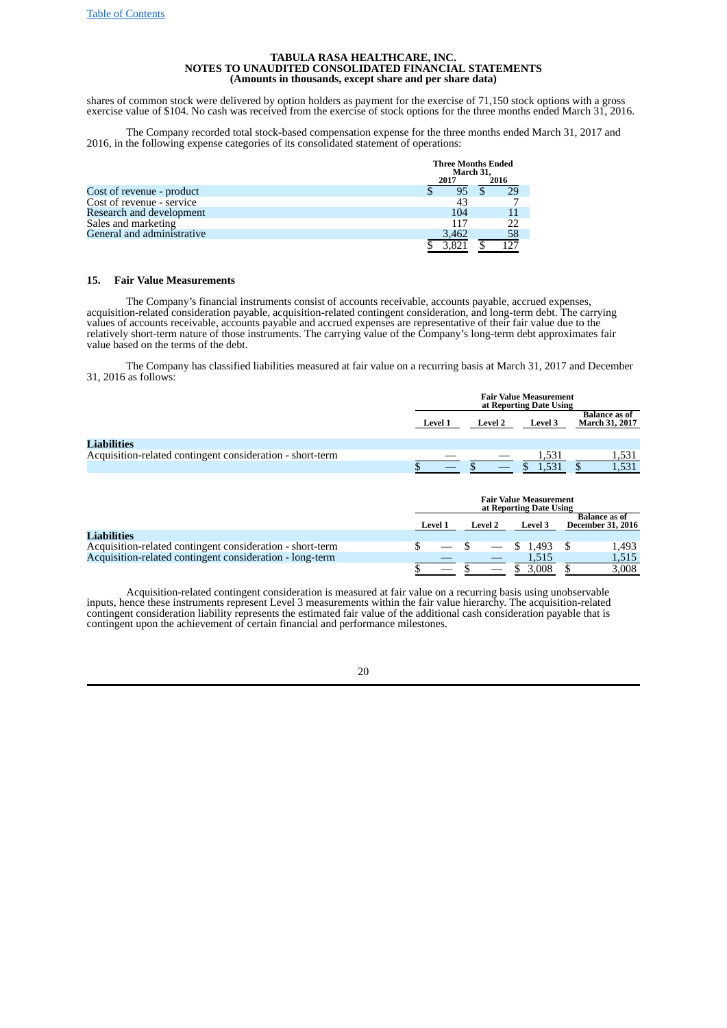shares of common stock were delivered by option holders as payment for the exercise of 71,150 stock options with a gross exercise value of \$104. No cash was received from the exercise of stock options for the three months ended March 31, 2016.

The Company recorded total stock-based compensation expense for the three months ended March 31, 2017 and 2016, in the following expense categories of its consolidated statement of operations:

|                            |       | <b>Three Months Ended</b><br>March 31. |
|----------------------------|-------|----------------------------------------|
|                            | 2017  | 2016                                   |
| Cost of revenue - product  | 95    | 29                                     |
| Cost of revenue - service  | 43    |                                        |
| Research and development   | 104   |                                        |
| Sales and marketing        | 117   | 22                                     |
| General and administrative | 3.462 | 58                                     |
|                            |       |                                        |

#### **15. Fair Value Measurements**

The Company's financial instruments consist of accounts receivable, accounts payable, accrued expenses, acquisition-related consideration payable, acquisition-related contingent consideration, and long-term debt. The carrying values of accounts receivable, accounts payable and accrued expenses are representative of their fair value due to the relatively short-term nature of those instruments. The carrying value of the Company's long-term debt approximates fair value based on the terms of the debt.

The Company has classified liabilities measured at fair value on a recurring basis at March 31, 2017 and December 31, 2016 as follows:

|                                                           |                | <b>Fair Value Measurement</b><br>at Reporting Date Using |  |                |  |                |  |                                               |
|-----------------------------------------------------------|----------------|----------------------------------------------------------|--|----------------|--|----------------|--|-----------------------------------------------|
|                                                           | <b>Level 1</b> |                                                          |  | <b>Level 2</b> |  | <b>Level 3</b> |  | <b>Balance as of</b><br><b>March 31, 2017</b> |
| Liabilities                                               |                |                                                          |  |                |  |                |  |                                               |
| Acquisition-related contingent consideration - short-term |                |                                                          |  |                |  | 1.531          |  | 1,531                                         |
|                                                           |                |                                                          |  |                |  |                |  |                                               |

|                                                           |  | <b>Fair Value Measurement</b><br>at Reporting Date Using |  |  |  |                |  |       |  |                |                |  |  |                                                  |
|-----------------------------------------------------------|--|----------------------------------------------------------|--|--|--|----------------|--|-------|--|----------------|----------------|--|--|--------------------------------------------------|
|                                                           |  | <b>Level 1</b>                                           |  |  |  |                |  |       |  | <b>Level 2</b> | <b>Level</b> 3 |  |  | <b>Balance as of</b><br><b>December 31, 2016</b> |
| Liabilities                                               |  |                                                          |  |  |  |                |  |       |  |                |                |  |  |                                                  |
| Acquisition-related contingent consideration - short-term |  |                                                          |  |  |  | $-$ \$ 1.493 : |  | 1,493 |  |                |                |  |  |                                                  |
| Acquisition-related contingent consideration - long-term  |  |                                                          |  |  |  | 1,515          |  | 1,515 |  |                |                |  |  |                                                  |
|                                                           |  |                                                          |  |  |  | .008           |  | 3,008 |  |                |                |  |  |                                                  |

Acquisition-related contingent consideration is measured at fair value on a recurring basis using unobservable inputs, hence these instruments represent Level 3 measurements within the fair value hierarchy. The acquisition-related contingent consideration liability represents the estimated fair value of the additional cash consideration payable that is contingent upon the achievement of certain financial and performance milestones.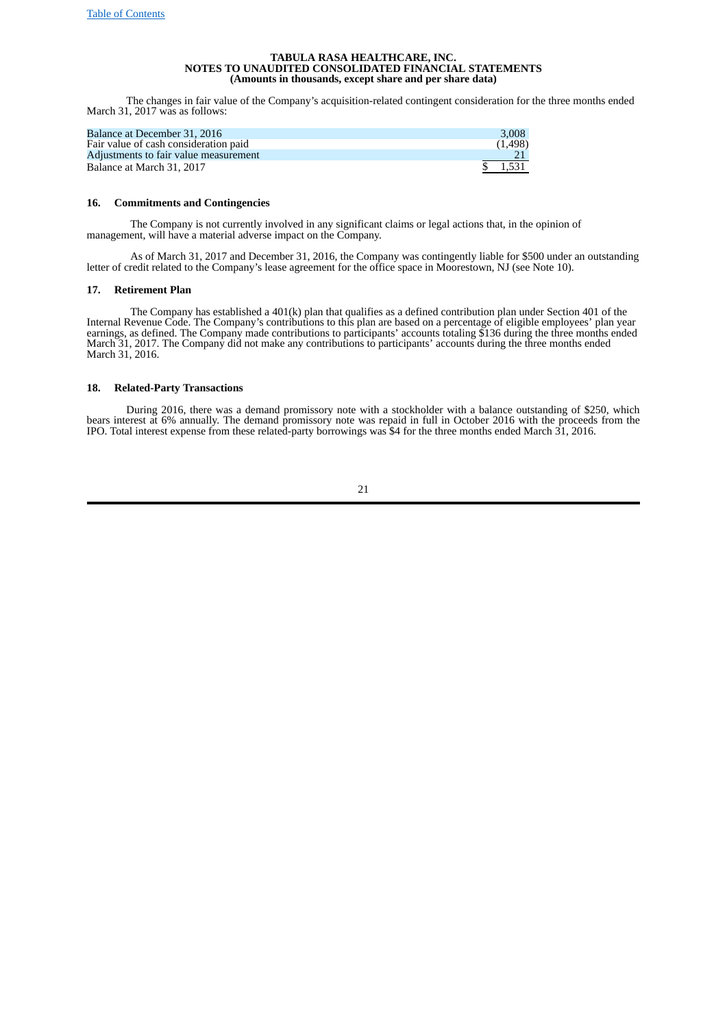The changes in fair value of the Company's acquisition-related contingent consideration for the three months ended March 31, 2017 was as follows:

| Balance at December 31, 2016          | 3.008   |
|---------------------------------------|---------|
| Fair value of cash consideration paid | (1,498) |
| Adjustments to fair value measurement |         |
| Balance at March 31, 2017             | \$1,531 |

# **16. Commitments and Contingencies**

The Company is not currently involved in any significant claims or legal actions that, in the opinion of management, will have a material adverse impact on the Company.

As of March 31, 2017 and December 31, 2016, the Company was contingently liable for \$500 under an outstanding letter of credit related to the Company's lease agreement for the office space in Moorestown, NJ (see Note 10).

# **17. Retirement Plan**

The Company has established a 401(k) plan that qualifies as a defined contribution plan under Section 401 of the Internal Revenue Code. The Company's contributions to this plan are based on a percentage of eligible employees' plan year earnings, as defined. The Company made contributions to participants' accounts totaling \$136 during the three months ended March 31, 2017. The Company did not make any contributions to participants' accounts during the three months ended March 31, 2016.

# **18. Related-Party Transactions**

During 2016, there was a demand promissory note with a stockholder with a balance outstanding of \$250, which bears interest at 6% annually. The demand promissory note was repaid in full in October 2016 with the proceeds from the IPO. Total interest expense from these related-party borrowings was \$4 for the three months ended March 31, 2016.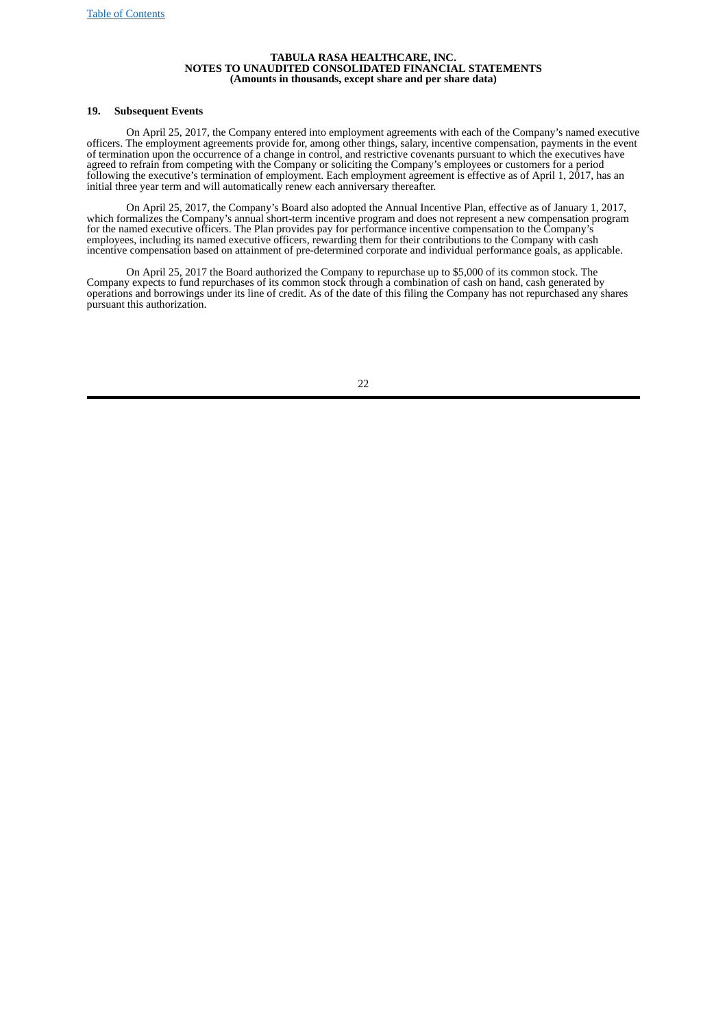# **19. Subsequent Events**

On April 25, 2017, the Company entered into employment agreements with each of the Company's named executive officers. The employment agreements provide for, among other things, salary, incentive compensation, payments in the event of termination upon the occurrence of a change in control, and restrictive covenants pursuant to which the executives have agreed to refrain from competing with the Company or soliciting the Company's employees or customers for a period following the executive's termination of employment. Each employment agreement is effective as of April 1, 2017, has an initial three year term and will automatically renew each anniversary thereafter.

On April 25, 2017, the Company's Board also adopted the Annual Incentive Plan, effective as of January 1, 2017, which formalizes the Company's annual short-term incentive program and does not represent a new compensation program for the named executive officers. The Plan provides pay for performance incentive compensation to the Company's employees, including its named executive officers, rewarding them for their contributions to the Company with cash incentive compensation based on attainment of pre-determined corporate and individual performance goals, as applicable.

On April 25, 2017 the Board authorized the Company to repurchase up to \$5,000 of its common stock. The Company expects to fund repurchases of its common stock through a combination of cash on hand, cash generated by operations and borrowings under its line of credit. As of the date of this filing the Company has not repurchased any shares pursuant this authorization.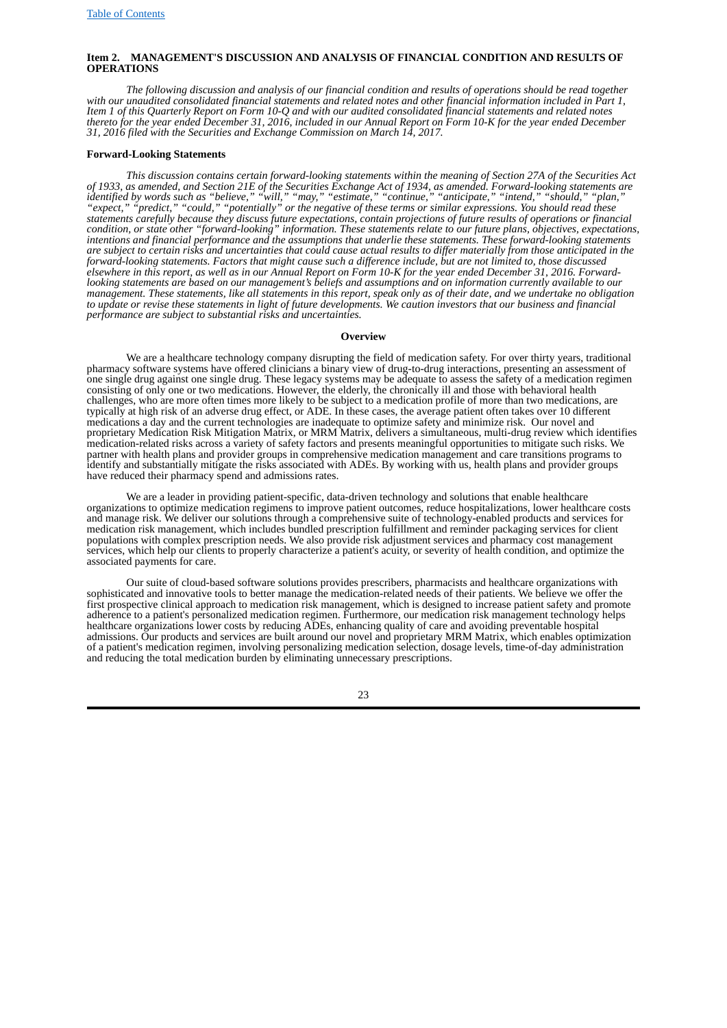# **Item 2. MANAGEMENT'S DISCUSSION AND ANALYSIS OF FINANCIAL CONDITION AND RESULTS OF OPERATIONS**

The following discussion and analysis of our financial condition and results of operations should be read together with our unaudited consolidated financial statements and related notes and other financial information included in Part 1, Item 1 of this Quarterly Report on Form 10-Q and with our audited consolidated financial statements and related notes thereto for the year ended December 31, 2016, included in our Annual Report on Form 10-K for the year ended December *31, 2016 filed with the Securities and Exchange Commission on March 14, 2017.*

# **Forward-Looking Statements**

This discussion contains certain forward-looking statements within the meaning of Section 27A of the Securities Act of 1933, as amended, and Section 21E of the Securities Exchange Act of 1934, as amended. Forward-looking statements are *identified by words such as "believe," "will," "may," "estimate," "continue," "anticipate," "intend," "should," "plan,"* "expect," "predict," "could," "potentially" or the negative of these terms or similar expressions. You should read these statements carefully because they discuss future expectations, contain projections of future results of operations or financial condition, or state other "forward-looking" information. These statements relate to our future plans, objectives, expectations, *intentions and financial performance and the assumptions that underlie these statements. These forward-looking statements* are subject to certain risks and uncertainties that could cause actual results to differ materially from those anticipated in the forward-looking statements. Factors that might cause such a difference include, but are not limited to, those discussed elsewhere in this report, as well as in our Annual Report on Form 10-K for the year ended December 31, 2016. Forwardlooking statements are based on our management's beliefs and assumptions and on information currently available to our management. These statements, like all statements in this report, speak only as of their date, and we undertake no obligation to update or revise these statements in light of future developments. We caution investors that our business and financial *performance are subject to substantial risks and uncertainties.*

#### <span id="page-22-0"></span>**Overview**

We are a healthcare technology company disrupting the field of medication safety. For over thirty years, traditional pharmacy software systems have offered clinicians a binary view of drug-to-drug interactions, presenting an assessment of one single drug against one single drug. These legacy systems may be adequate to assess the safety of a medication regimen consisting of only one or two medications. However, the elderly, the chronically ill and those with behavioral health challenges, who are more often times more likely to be subject to a medication profile of more than two medications, are typically at high risk of an adverse drug effect, or ADE. In these cases, the average patient often takes over 10 different medications a day and the current technologies are inadequate to optimize safety and minimize risk. Our novel and medications a day and the current technologies are inadequate to optimize safety and minimize risk. Our nove proprietary Medication Risk Mitigation Matrix, or MRM Matrix, delivers a simultaneous, multi-drug review which identifies medication-related risks across a variety of safety factors and presents meaningful opportunities to mitigate such risks. We partner with health plans and provider groups in comprehensive medication management and care transitions programs to identify and substantially mitigate the risks associated with ADEs. By working with us, health plans and provider groups have reduced their pharmacy spend and admissions rates.

We are a leader in providing patient-specific, data-driven technology and solutions that enable healthcare organizations to optimize medication regimens to improve patient outcomes, reduce hospitalizations, lower healthcare costs and manage risk. We deliver our solutions through a comprehensive suite of technology-enabled products and services for medication risk management, which includes bundled prescription fulfillment and reminder packaging services for client medication risk management, which includes bundled prescription fulfillment and reminder packaging serv populations with complex prescription needs. We also provide risk adjustment services and pharmacy cost management services, which help our clients to properly characterize a patient's acuity, or severity of health condition, and optimize the associated payments for care.

Our suite of cloud-based software solutions provides prescribers, pharmacists and healthcare organizations with sophisticated and innovative tools to better manage the medication-related needs of their patients. We believe we offer the first prospective clinical approach to medication risk management, which is designed to increase patient safety and promote adherence to a patient's personalized medication regimen. Furthermore, our medication risk management technology helps healthcare organizations lower costs by reducing ADEs, enhancing quality of care and avoiding preventable hospital admissions. Our products and services are built around our novel and proprietary MRM Matrix, which enables optimization of a patient's medication regimen, involving personalizing medication selection, dosage levels, time-of-day administration and reducing the total medication burden by eliminating unnecessary prescriptions.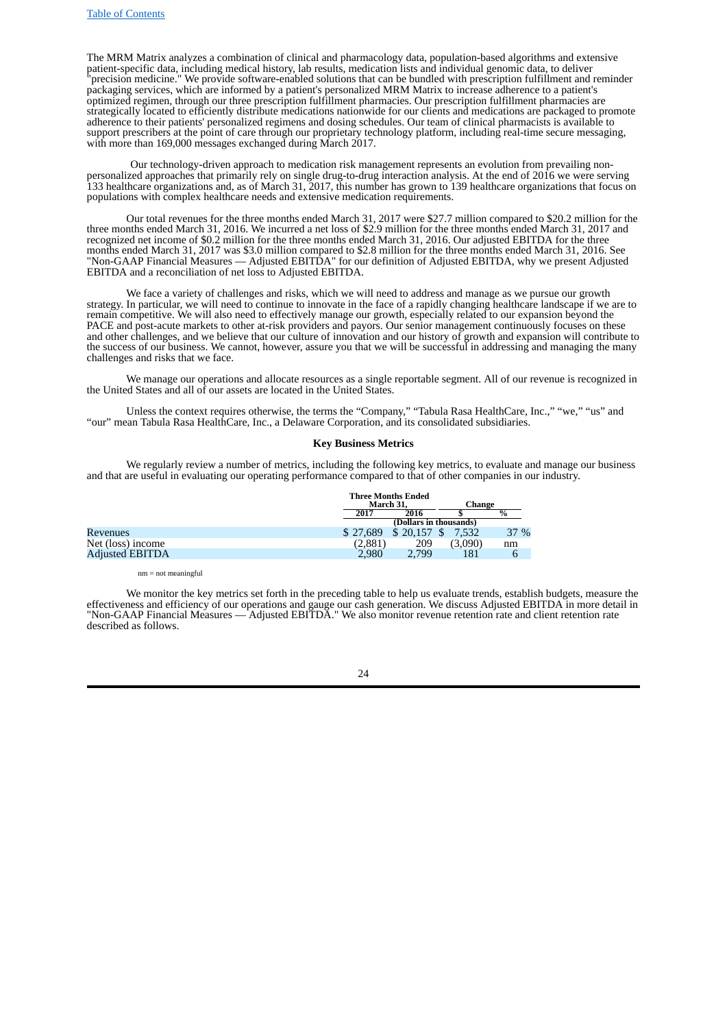The MRM Matrix analyzes a combination of clinical and pharmacology data, population-based algorithms and extensive patient-specific data, including medical history, lab results, medication lists and individual genomic data, to deliver "precision medicine." We provide software-enabled solutions that can be bundled with prescription fulfillment and reminder packaging services, which are informed by a patient's personalized MRM Matrix to increase adherence to a patient's optimized regimen, through our three prescription fulfillment pharmacies. Our prescription fulfillment pharmacies are strategically located to efficiently distribute medications nationwide for our clients and medications are packaged to promote adherence to their patients' personalized regimens and dosing schedules. Our team of clinical pharmacists is available to support prescribers at the point of care through our proprietary technology platform, including real-time secure messaging, with more than 169,000 messages exchanged during March 2017.

Our technology-driven approach to medication risk management represents an evolution from prevailing nonpersonalized approaches that primarily rely on single drug-to-drug interaction analysis. At the end of 2016 we were serving 133 healthcare organizations and, as of March 31, 2017, this number has grown to 139 healthcare organizations that focus on populations with complex healthcare needs and extensive medication requirements.

Our total revenues for the three months ended March 31, 2017 were \$27.7 million compared to \$20.2 million for the three months ended March 31, 2016. We incurred a net loss of \$2.9 million for the three months ended March 31, 2017 and recognized net income of \$0.2 million for the three months ended March 31, 2016. Our adjusted EBITDA for the three months ended March 31, 2017 was \$3.0 million compared to \$2.8 million for the three months ended March 31, 2016. See "Non-GAAP Financial Measures — Adjusted EBITDA" for our definition of Adjusted EBITDA, why we present Adjusted EBITDA and a reconciliation of net loss to Adjusted EBITDA.

We face a variety of challenges and risks, which we will need to address and manage as we pursue our growth strategy. In particular, we will need to continue to innovate in the face of a rapidly changing healthcare landscape if we are to remain competitive. We will also need to effectively manage our growth, especially related to our expansion beyond the PACE and post-acute markets to other at-risk providers and payors. Our senior management continuously focuses on these and other challenges, and we believe that our culture of innovation and our history of growth and expansion will contribute to the success of our business. We cannot, however, assure you that we will be successful in addressing and managing the many challenges and risks that we face.

We manage our operations and allocate resources as a single reportable segment. All of our revenue is recognized in the United States and all of our assets are located in the United States.

Unless the context requires otherwise, the terms the "Company," "Tabula Rasa HealthCare, Inc.," "we," "us" and "our" mean Tabula Rasa HealthCare, Inc., a Delaware Corporation, and its consolidated subsidiaries.

#### **Key Business Metrics**

We regularly review a number of metrics, including the following key metrics, to evaluate and manage our business and that are useful in evaluating our operating performance compared to that of other companies in our industry.

|                        | March 31.              | <b>Three Months Ended</b> | Change  |      |  |  |  |  |
|------------------------|------------------------|---------------------------|---------|------|--|--|--|--|
|                        | 2017                   | 2016                      |         | $\%$ |  |  |  |  |
|                        | (Dollars in thousands) |                           |         |      |  |  |  |  |
| Revenues               | \$27,689               | \$20.157                  | 7.532   | 37%  |  |  |  |  |
| Net (loss) income      | (2,881)                | 209                       | (3,090) | nm   |  |  |  |  |
| <b>Adjusted EBITDA</b> | 2,980                  | 2,799                     | 181     | b    |  |  |  |  |

 $nm = not meaningful$ 

We monitor the key metrics set forth in the preceding table to help us evaluate trends, establish budgets, measure the effectiveness and efficiency of our operations and gauge our cash generation. We discuss Adjusted EBITDA in more detail in "Non-GAAP Financial Measures — Adjusted EBITDA." We also monitor revenue retention rate and client retention rate described as follows.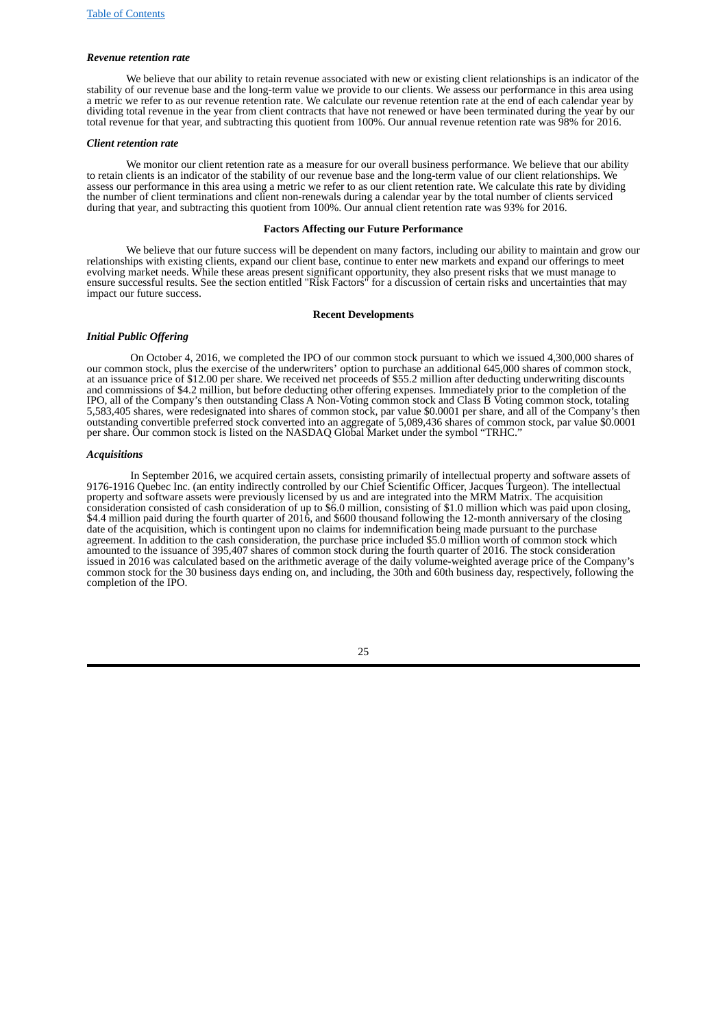#### *Revenue retention rate*

We believe that our ability to retain revenue associated with new or existing client relationships is an indicator of the stability of our revenue base and the long-term value we provide to our clients. We assess our performance in this area using a metric we refer to as our revenue retention rate. We calculate our revenue retention rate at the end of each calendar year by dividing total revenue in the year from client contracts that have not renewed or have been terminated during the year by our total revenue for that year, and subtracting this quotient from 100%. Our annual revenue retention rate was 98% for 2016.

# *Client retention rate*

We monitor our client retention rate as a measure for our overall business performance. We believe that our ability to retain clients is an indicator of the stability of our revenue base and the long-term value of our client relationships. We assess our performance in this area using a metric we refer to as our client retention rate. We calculate this rate by dividing the number of client terminations and client non-renewals during a calendar year by the total number of clients serviced during that year, and subtracting this quotient from 100%. Our annual client retention rate was 93% for 2016.

#### **Factors Affecting our Future Performance**

We believe that our future success will be dependent on many factors, including our ability to maintain and grow our relationships with existing clients, expand our client base, continue to enter new markets and expand our offerings to meet evolving market needs. While these areas present significant opportunity, they also present risks that we must manage to ensure successful results. See the section entitled "Risk Factors" for a discussion of certain risks and uncertainties that may impact our future success.

# **Recent Developments**

# *Initial Public Offering*

On October 4, 2016, we completed the IPO of our common stock pursuant to which we issued 4,300,000 shares of our common stock, plus the exercise of the underwriters' option to purchase an additional 645,000 shares of common stock, at an issuance price of \$12.00 per share. We received net proceeds of \$55.2 million after deducting underwriting discounts and commissions of \$4.2 million, but before deducting other offering expenses. Immediately prior to the completion of the IPO, all of the Company's then outstanding Class A Non-Voting common stock and Class B Voting common stock, totaling 5,583,405 shares, were redesignated into shares of common stock, par value \$0.0001 per share, and all of the Company's then outstanding convertible preferred stock converted into an aggregate of 5,089,436 shares of common stock, par value \$0.0001 per share. Our common stock is listed on the NASDAQ Global Market under the symbol "TRHC."

#### *Acquisitions*

In September 2016, we acquired certain assets, consisting primarily of intellectual property and software assets of 9176-1916 Quebec Inc. (an entity indirectly controlled by our Chief Scientific Officer, Jacques Turgeon). The intellectual property and software assets were previously licensed by us and are integrated into the MRM Matrix. The acquisition consideration consisted of cash consideration of up to \$6.0 million, consisting of \$1.0 million which was paid upon closing, \$4.4 million paid during the fourth quarter of 2016, and \$600 thousand following the 12-month anniversary of the closing date of the acquisition, which is contingent upon no claims for indemnification being made pursuant to the purchase agreement. In addition to the cash consideration, the purchase price included \$5.0 million worth of common stock which amounted to the issuance of 395,407 shares of common stock during the fourth quarter of 2016. The stock consideration issued in 2016 was calculated based on the arithmetic average of the daily volume-weighted average price of the Company's common stock for the 30 business days ending on, and including, the 30th and 60th business day, respectively, following the completion of the IPO.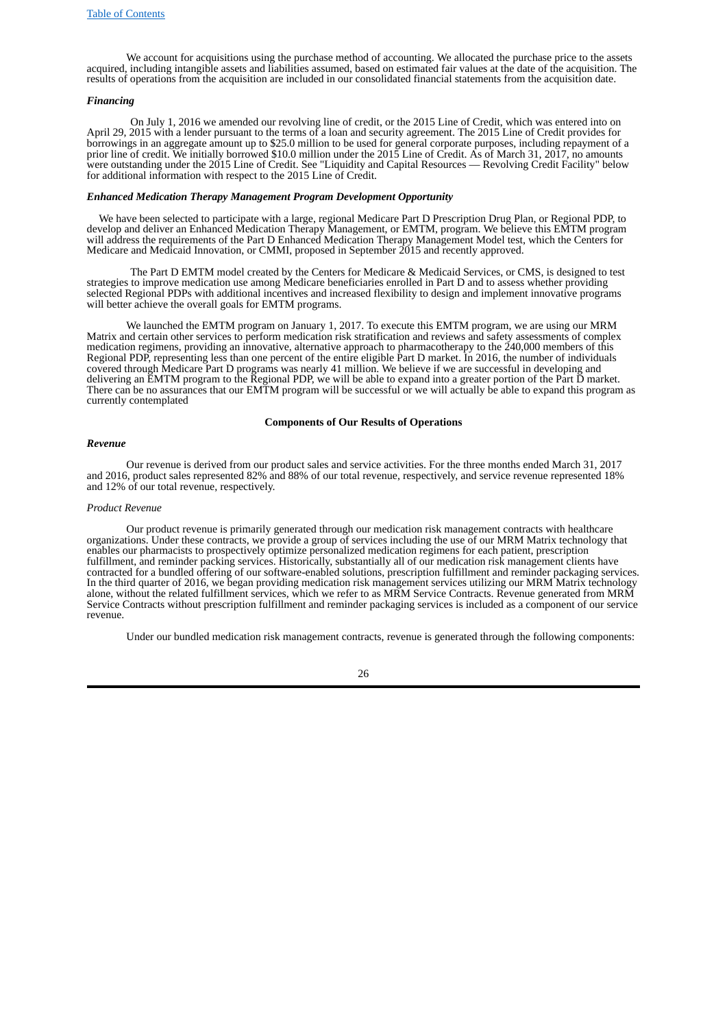We account for acquisitions using the purchase method of accounting. We allocated the purchase price to the assets acquired, including intangible assets and liabilities assumed, based on estimated fair values at the date of the acquisition. The results of operations from the acquisition are included in our consolidated financial statements from the acquisition date.

#### *Financing*

On July 1, 2016 we amended our revolving line of credit, or the 2015 Line of Credit, which was entered into on April 29, 2015 with a lender pursuant to the terms of a loan and security agreement. The 2015 Line of Credit provides for borrowings in an aggregate amount up to \$25.0 million to be used for general corporate purposes, including repayment of a prior line of credit. We initially borrowed \$10.0 million under the 2015 Line of Credit. As of March 31, 2017, no amounts were outstanding under the 2015 Line of Credit. See "Liquidity and Capital Resources — Revolving Credit Facility" below for additional information with respect to the 2015 Line of Credit.

# *Enhanced Medication Therapy Management Program Development Opportunity*

We have been selected to participate with a large, regional Medicare Part D Prescription Drug Plan, or Regional PDP, to develop and deliver an Enhanced Medication Therapy Management, or EMTM, program. We believe this EMTM program will address the requirements of the Part D Enhanced Medication Therapy Management Model test, which the Centers for Medicare and Medicaid Innovation, or CMMI, proposed in September 2015 and recently approved.

The Part D EMTM model created by the Centers for Medicare & Medicaid Services, or CMS, is designed to test strategies to improve medication use among Medicare beneficiaries enrolled in Part D and to assess whether providing selected Regional PDPs with additional incentives and increased flexibility to design and implement innovative programs will better achieve the overall goals for EMTM programs.

We launched the EMTM program on January 1, 2017. To execute this EMTM program, we are using our MRM Matrix and certain other services to perform medication risk stratification and reviews and safety assessments of complex medication regimens, providing an innovative, alternative approach to pharmacotherapy to the 240,000 members of this Regional PDP, representing less than one percent of the entire eligible Part D market. In 2016, the number of individuals covered through Medicare Part D programs was nearly 41 million. We believe if we are successful in developing and delivering an EMTM program to the Regional PDP, we will be able to expand into a greater portion of the Part D market. There can be no assurances that our EMTM program will be successful or we will actually be able to expand this program as currently contemplated

# **Components of Our Results of Operations**

#### *Revenue*

Our revenue is derived from our product sales and service activities. For the three months ended March 31, 2017 and 2016, product sales represented 82% and 88% of our total revenue, respectively, and service revenue represented 18% and 12% of our total revenue, respectively.

#### *Product Revenue*

Our product revenue is primarily generated through our medication risk management contracts with healthcare organizations. Under these contracts, we provide a group of services including the use of our MRM Matrix technology that enables our pharmacists to prospectively optimize personalized medication regimens for each patient, prescription fulfillment, and reminder packing services. Historically, substantially all of our medication risk management clients have contracted for a bundled offering of our software-enabled solutions, prescription fulfillment and reminder packaging services. In the third quarter of 2016, we began providing medication risk management services utilizing our MRM Matrix technology alone, without the related fulfillment services, which we refer to as MRM Service Contracts. Revenue generated from MRM Service Contracts without prescription fulfillment and reminder packaging services is included as a component of our service revenue.

Under our bundled medication risk management contracts, revenue is generated through the following components:

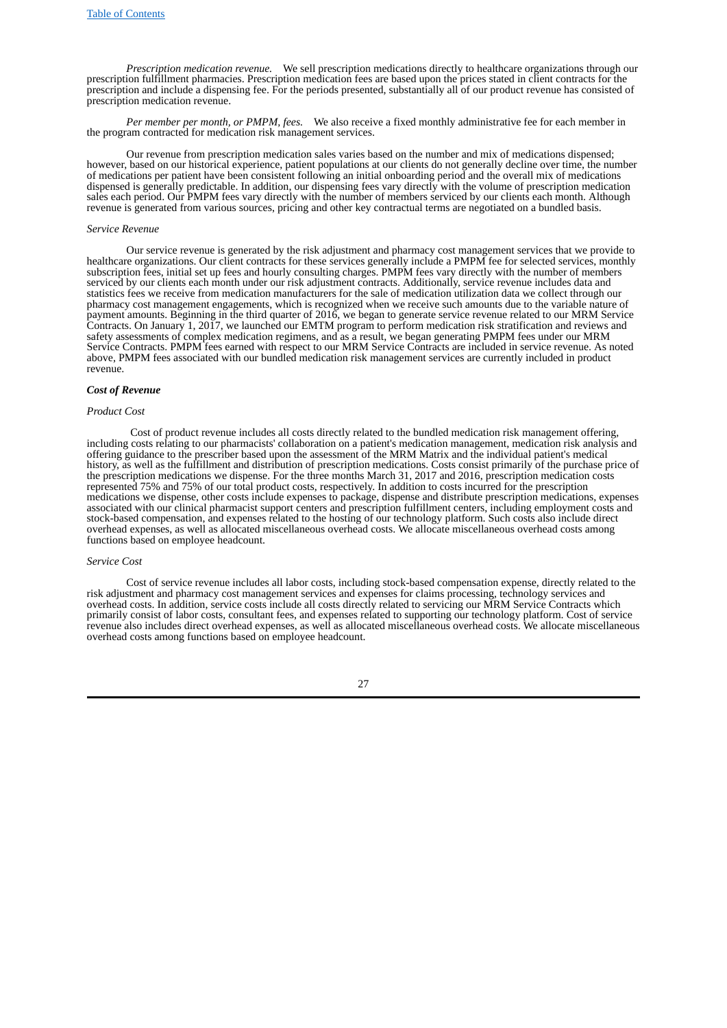*Prescription medication revenue.* We sell prescription medications directly to healthcare organizations through our prescription fulfillment pharmacies. Prescription medication fees are based upon the prices stated in client contracts for the prescription and include a dispensing fee. For the periods presented, substantially all of our product revenue has consisted of prescription medication revenue.

*Per member per month, or PMPM, fees.* We also receive a fixed monthly administrative fee for each member in the program contracted for medication risk management services.

Our revenue from prescription medication sales varies based on the number and mix of medications dispensed; however, based on our historical experience, patient populations at our clients do not generally decline over time, the number of medications per patient have been consistent following an initial onboarding period and the overall mix of medications dispensed is generally predictable. In addition, our dispensing fees vary directly with the volume of prescription medication sales each period. Our PMPM fees vary directly with the number of members serviced by our clients each month. Although revenue is generated from various sources, pricing and other key contractual terms are negotiated on a bundled basis.

#### *Service Revenue*

Our service revenue is generated by the risk adjustment and pharmacy cost management services that we provide to healthcare organizations. Our client contracts for these services generally include a PMPM fee for selected services, monthly subscription fees, initial set up fees and hourly consulting charges. PMPM fees vary directly with the number of members serviced by our clients each month under our risk adjustment contracts. Additionally, service revenue includes data and statistics fees we receive from medication manufacturers for the sale of medication utilization data we collect through our pharmacy cost management engagements, which is recognized when we receive such amounts due to the variable nature of payment amounts. Beginning in the third quarter of 2016, we began to generate service revenue related to our MRM Service Contracts. On January 1, 2017, we launched our EMTM program to perform medication risk stratification and reviews and safety assessments of complex medication regimens, and as a result, we began generating PMPM fees under our MRM Service Contracts. PMPM fees earned with respect to our MRM Service Contracts are included in service revenue. As noted above, PMPM fees associated with our bundled medication risk management services are currently included in product revenue.

#### *Cost of Revenue*

#### *Product Cost*

Cost of product revenue includes all costs directly related to the bundled medication risk management offering, including costs relating to our pharmacists' collaboration on a patient's medication management, medication risk analysis and offering guidance to the prescriber based upon the assessment of the MRM Matrix and the individual patient's medical history, as well as the fulfillment and distribution of prescription medications. Costs consist primarily of the purchase price of the prescription medications we dispense. For the three months March 31, 2017 and 2016, prescription medication costs represented 75% and 75% of our total product costs, respectively. In addition to costs incurred for the prescription medications we dispense, other costs include expenses to package, dispense and distribute prescription medications, expenses associated with our clinical pharmacist support centers and prescription fulfillment centers, including employment costs and stock-based compensation, and expenses related to the hosting of our technology platform. Such costs also include direct overhead expenses, as well as allocated miscellaneous overhead costs. We allocate miscellaneous overhead costs among functions based on employee headcount.

#### *Service Cost*

Cost of service revenue includes all labor costs, including stock-based compensation expense, directly related to the risk adjustment and pharmacy cost management services and expenses for claims processing, technology services and overhead costs. In addition, service costs include all costs directly related to servicing our MRM Service Contracts which primarily consist of labor costs, consultant fees, and expenses related to supporting our technology platform. Cost of service revenue also includes direct overhead expenses, as well as allocated miscellaneous overhead costs. We allocate miscellaneous overhead costs among functions based on employee headcount.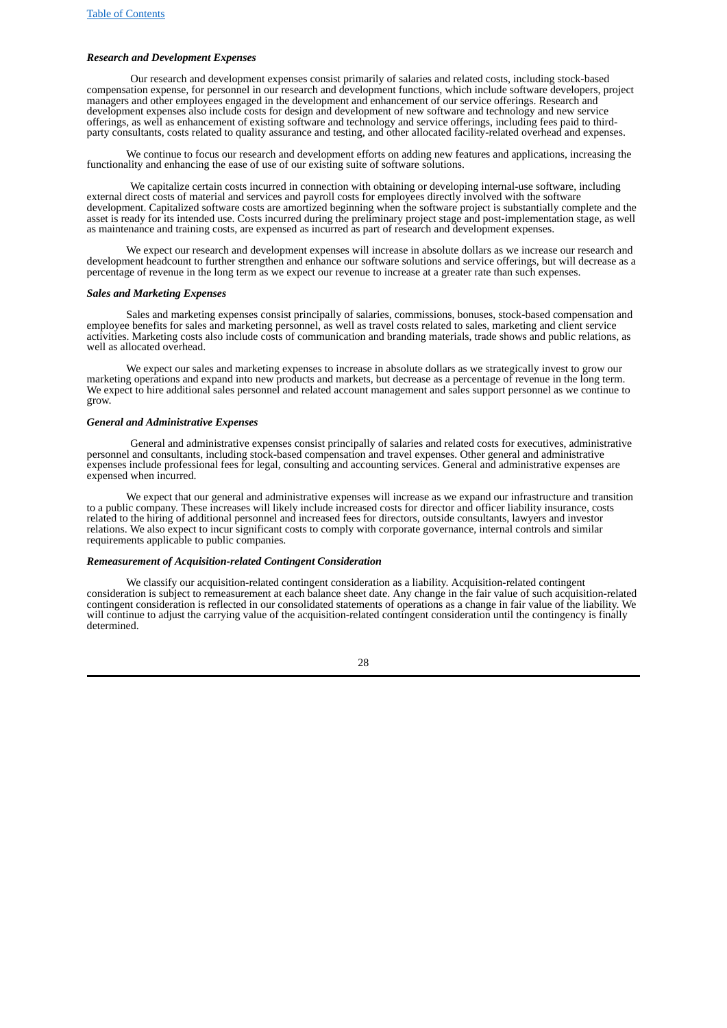### *Research and Development Expenses*

Our research and development expenses consist primarily of salaries and related costs, including stock-based compensation expense, for personnel in our research and development functions, which include software developers, project managers and other employees engaged in the development and enhancement of our service offerings. Research and development expenses also include costs for design and development of new software and technology and new service offerings, as well as enhancement of existing software and technology and service offerings, including fees paid to thirdparty consultants, costs related to quality assurance and testing, and other allocated facility-related overhead and expenses.

We continue to focus our research and development efforts on adding new features and applications, increasing the functionality and enhancing the ease of use of our existing suite of software solutions.

We capitalize certain costs incurred in connection with obtaining or developing internal-use software, including external direct costs of material and services and payroll costs for employees directly involved with the software development. Capitalized software costs are amortized beginning when the software project is substantially complete and the asset is ready for its intended use. Costs incurred during the preliminary project stage and post-implementation stage, as well as maintenance and training costs, are expensed as incurred as part of research and development expenses.

We expect our research and development expenses will increase in absolute dollars as we increase our research and development headcount to further strengthen and enhance our software solutions and service offerings, but will decrease as a percentage of revenue in the long term as we expect our revenue to increase at a greater rate than such expenses.

#### *Sales and Marketing Expenses*

Sales and marketing expenses consist principally of salaries, commissions, bonuses, stock-based compensation and employee benefits for sales and marketing personnel, as well as travel costs related to sales, marketing and client service activities. Marketing costs also include costs of communication and branding materials, trade shows and public relations, as well as allocated overhead.

We expect our sales and marketing expenses to increase in absolute dollars as we strategically invest to grow our marketing operations and expand into new products and markets, but decrease as a percentage of revenue in the long term.<br>We expect to hire additional sales personnel and related account management and sales support personn grow.

# *General and Administrative Expenses*

General and administrative expenses consist principally of salaries and related costs for executives, administrative personnel and consultants, including stock-based compensation and travel expenses. Other general and administrative expenses include professional fees for legal, consulting and accounting services. General and administrative expenses are expensed when incurred.

We expect that our general and administrative expenses will increase as we expand our infrastructure and transition to a public company. These increases will likely include increased costs for director and officer liability insurance, costs related to the hiring of additional personnel and increased fees for directors, outside consultants, lawyers and investor relations. We also expect to incur significant costs to comply with corporate governance, internal controls and similar relations. requirements applicable to public companies.

#### *Remeasurement of Acquisition-related Contingent Consideration*

We classify our acquisition-related contingent consideration as a liability. Acquisition-related contingent consideration is subject to remeasurement at each balance sheet date. Any change in the fair value of such acquisition-related contingent consideration is reflected in our consolidated statements of operations as a change in fair value of the liability. We will continue to adjust the carrying value of the acquisition-related contingent consideration until the contingency is finally determined.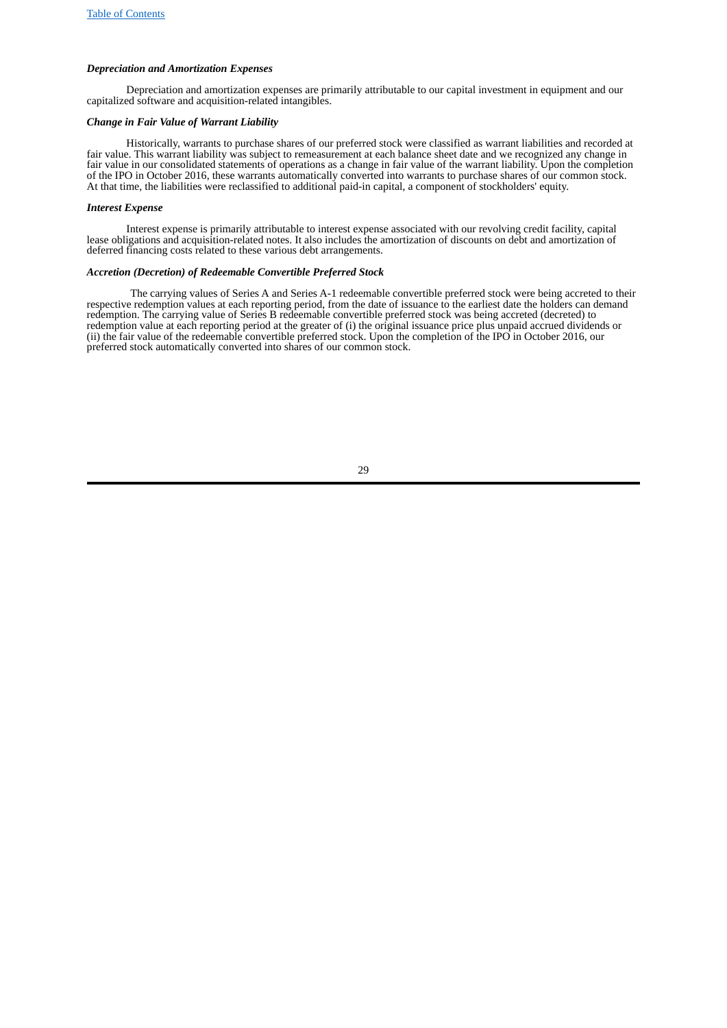# *Depreciation and Amortization Expenses*

Depreciation and amortization expenses are primarily attributable to our capital investment in equipment and our capitalized software and acquisition-related intangibles.

### *Change in Fair Value of Warrant Liability*

Historically, warrants to purchase shares of our preferred stock were classified as warrant liabilities and recorded at fair value. This warrant liability was subject to remeasurement at each balance sheet date and we recognized any change in fair value in our consolidated statements of operations as a change in fair value of the warrant liability. Upon the completion of the IPO in October 2016, these warrants automatically converted into warrants to purchase shares of our common stock. At that time, the liabilities were reclassified to additional paid-in capital, a component of stockholders' equity.

# *Interest Expense*

Interest expense is primarily attributable to interest expense associated with our revolving credit facility, capital lease obligations and acquisition-related notes. It also includes the amortization of discounts on debt and amortization of deferred financing costs related to these various debt arrangements.

# *Accretion (Decretion) of Redeemable Convertible Preferred Stock*

The carrying values of Series A and Series A-1 redeemable convertible preferred stock were being accreted to their respective redemption values at each reporting period, from the date of issuance to the earliest date the holders can demand redemption. The carrying value of Series B redeemable convertible preferred stock was being accreted (decreted) to redemption value at each reporting period at the greater of (i) the original issuance price plus unpaid accrued dividends or (ii) the fair value of the redeemable convertible preferred stock. Upon the completion of the IPO in October 2016, our preferred stock automatically converted into shares of our common stock.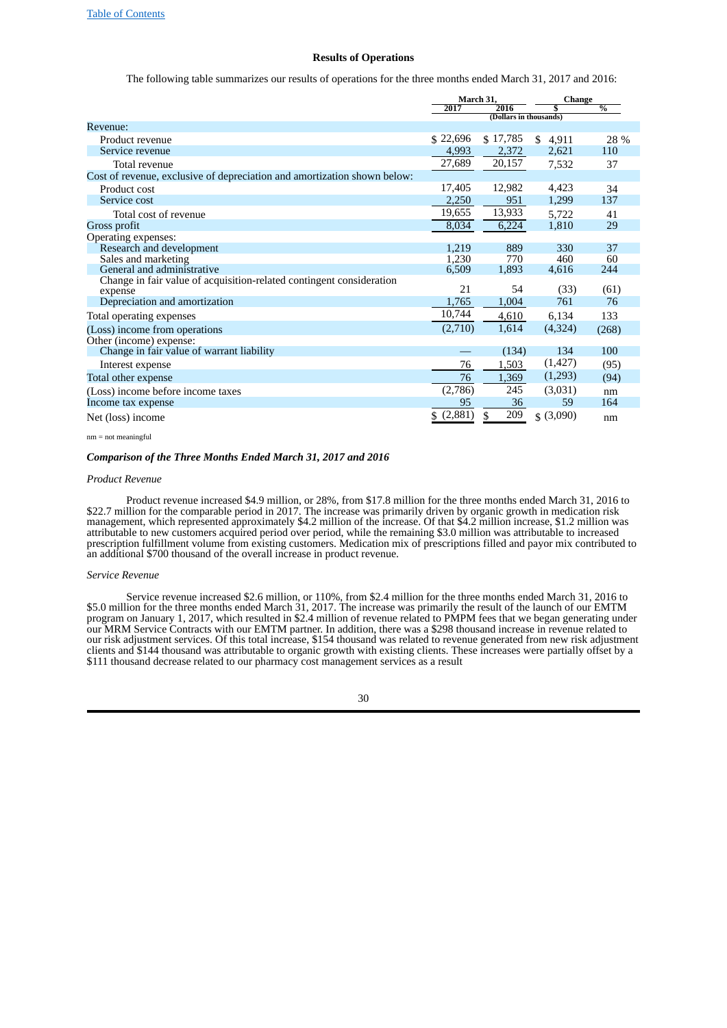# **Results of Operations**

The following table summarizes our results of operations for the three months ended March 31, 2017 and 2016:

|                                                                          | March 31,     |                                | <b>Change</b> |               |
|--------------------------------------------------------------------------|---------------|--------------------------------|---------------|---------------|
|                                                                          | 2017          | 2016<br>(Dollars in thousands) |               | $\frac{0}{0}$ |
| Revenue:                                                                 |               |                                |               |               |
| Product revenue                                                          | \$22,696      | \$17,785                       | \$<br>4,911   | 28 %          |
| Service revenue                                                          | 4,993         | 2,372                          | 2,621         | 110           |
| Total revenue                                                            | 27,689        | 20,157                         | 7,532         | 37            |
| Cost of revenue, exclusive of depreciation and amortization shown below: |               |                                |               |               |
| Product cost                                                             | 17,405        | 12,982                         | 4,423         | 34            |
| Service cost                                                             | 2,250         | 951                            | 1,299         | 137           |
| Total cost of revenue                                                    | 19,655        | 13,933                         | 5,722         | 41            |
| Gross profit                                                             | 8,034         | 6,224                          | 1,810         | 29            |
| Operating expenses:                                                      |               |                                |               |               |
| Research and development                                                 | 1,219         | 889                            | 330           | 37            |
| Sales and marketing                                                      | 1,230         | 770                            | 460           | 60            |
| General and administrative                                               | 6,509         | 1,893                          | 4,616         | 244           |
| Change in fair value of acquisition-related contingent consideration     | 21            | 54                             |               |               |
| expense                                                                  |               |                                | (33)          | (61)          |
| Depreciation and amortization                                            | 1,765         | 1,004                          | 761           | 76            |
| Total operating expenses                                                 | 10,744        | 4,610                          | 6,134         | 133           |
| (Loss) income from operations                                            | (2,710)       | 1,614                          | (4,324)       | (268)         |
| Other (income) expense:                                                  |               |                                |               |               |
| Change in fair value of warrant liability                                |               | (134)                          | 134           | 100           |
| Interest expense                                                         | 76            | 1,503                          | (1, 427)      | (95)          |
| Total other expense                                                      | 76            | 1,369                          | (1,293)       | (94)          |
| (Loss) income before income taxes                                        | (2,786)       | 245                            | (3,031)       | nm            |
| Income tax expense                                                       | 95            | <u>36</u>                      | 59            | 164           |
| Net (loss) income                                                        | $$^{(2,881)}$ | 209<br>\$                      | $$$ (3,090)   | nm            |

 $nm = not meaningful$ 

#### *Comparison of the Three Months Ended March 31, 2017 and 2016*

#### *Product Revenue*

Product revenue increased \$4.9 million, or 28%, from \$17.8 million for the three months ended March 31, 2016 to \$22.7 million for the comparable period in 2017. The increase was primarily driven by organic growth in medication risk management, which represented approximately \$4.2 million of the increase. Of that \$4.2 million increase, \$1.2 million was attributable to new customers acquired period over period, while the remaining \$3.0 million was attributable to increased prescription fulfillment volume from existing customers. Medication mix of prescriptions filled and payor mix contributed to an additional \$700 thousand of the overall increase in product revenue.

#### *Service Revenue*

Service revenue increased \$2.6 million, or 110%, from \$2.4 million for the three months ended March 31, 2016 to \$5.0 million for the three months ended March 31, 2017. The increase was primarily the result of the launch of our EMTM program on January 1, 2017, which resulted in \$2.4 million of revenue related to PMPM fees that we began generating under our MRM Service Contracts with our EMTM partner. In addition, there was a \$298 thousand increase in revenue related to our risk adjustment services. Of this total increase, \$154 thousand was related to revenue generated from new risk adjustment clients and \$144 thousand was attributable to organic growth with existing clients. These increases were partially offset by a \$111 thousand decrease related to our pharmacy cost management services as a result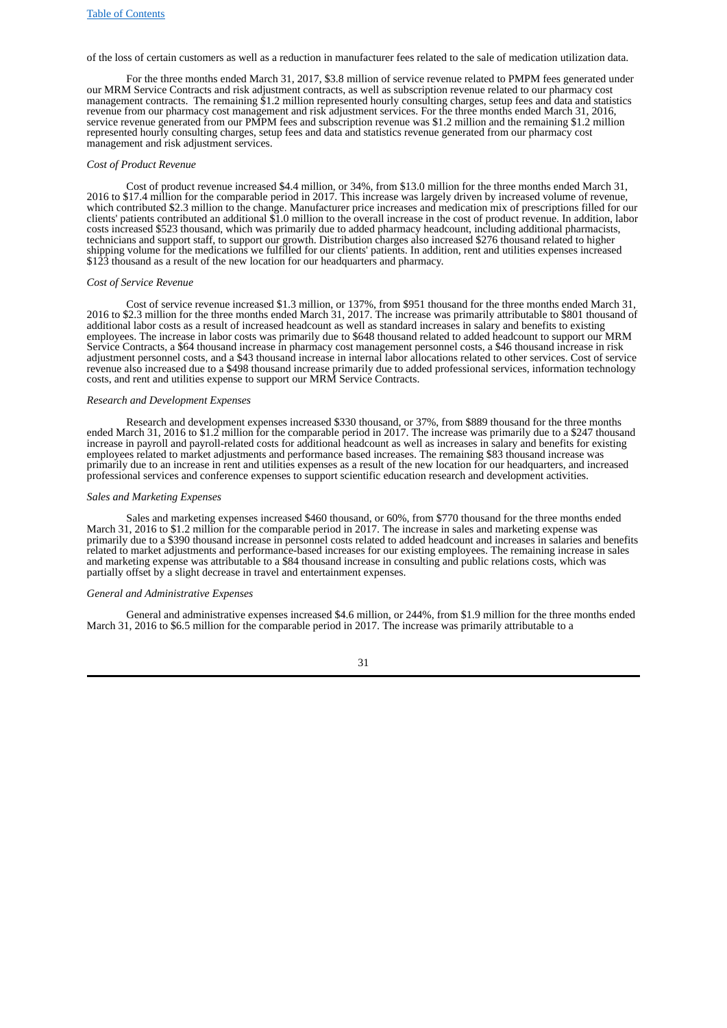of the loss of certain customers as well as a reduction in manufacturer fees related to the sale of medication utilization data.

For the three months ended March 31, 2017, \$3.8 million of service revenue related to PMPM fees generated under our MRM Service Contracts and risk adjustment contracts, as well as subscription revenue related to our pharmacy cost management contracts. The remaining \$1.2 million represented hourly consulting charges, setup fees and data and statistics revenue from our pharmacy cost management and risk adjustment services. For the three months ended March 31, 2016, service revenue generated from our PMPM fees and subscription revenue was \$1.2 million and the remaining \$1.2 million represented hourly consulting charges, setup fees and data and statistics revenue generated from our pharmacy cost management and risk adjustment services.

#### *Cost of Product Revenue*

Cost of product revenue increased \$4.4 million, or 34%, from \$13.0 million for the three months ended March 31, 2016 to \$17.4 million for the comparable period in 2017. This increase was largely driven by increased volume of revenue, which contributed \$2.3 million to the change. Manufacturer price increases and medication mix of prescriptions filled for our clients' patients contributed an additional \$1.0 million to the overall increase in the cost of product revenue. In addition, labor costs increased \$523 thousand, which was primarily due to added pharmacy headcount, including additional pharmacists, technicians and support staff, to support our growth. Distribution charges also increased \$276 thousand related to higher shipping volume for the medications we fulfilled for our clients' patients. In addition, rent and utilities expenses increased \$123 thousand as a result of the new location for our headquarters and pharmacy.

#### *Cost of Service Revenue*

Cost of service revenue increased \$1.3 million, or 137%, from \$951 thousand for the three months ended March 31, 2016 to \$2.3 million for the three months ended March 31, 2017. The increase was primarily attributable to \$801 thousand of additional labor costs as a result of increased headcount as well as standard increases in salary and benefits to existing employees. The increase in labor costs was primarily due to \$648 thousand related to added headcount to support our MRM Service Contracts, a \$64 thousand increase in pharmacy cost management personnel costs, a \$46 thousand increase in risk adjustment personnel costs, and a \$43 thousand increase in internal labor allocations related to other services. Cost of service revenue also increased due to a \$498 thousand increase primarily due to added professional services, information technology costs, and rent and utilities expense to support our MRM Service Contracts.

#### *Research and Development Expenses*

Research and development expenses increased \$330 thousand, or 37%, from \$889 thousand for the three months ended March 31, 2016 to \$1.2 million for the comparable period in 2017. The increase was primarily due to a \$247 thousand increase in payroll and payroll-related costs for additional headcount as well as increases in salary and benefits for existing employees related to market adjustments and performance based increases. The remaining \$83 thousand increase was primarily due to an increase in rent and utilities expenses as a result of the new location for our headquarters, and increased professional services and conference expenses to support scientific education research and development activities.

#### *Sales and Marketing Expenses*

Sales and marketing expenses increased \$460 thousand, or 60%, from \$770 thousand for the three months ended March 31, 2016 to \$1.2 million for the comparable period in 2017. The increase in sales and marketing expense was primarily due to a \$390 thousand increase in personnel costs related to added headcount and increases in salaries and benefits related to market adjustments and performance-based increases for our existing employees. The remaining increase in sales and marketing expense was attributable to a \$84 thousand increase in consulting and public relations costs, which was partially offset by a slight decrease in travel and entertainment expenses.

# *General and Administrative Expenses*

General and administrative expenses increased \$4.6 million, or 244%, from \$1.9 million for the three months ended March 31, 2016 to \$6.5 million for the comparable period in 2017. The increase was primarily attributable to a

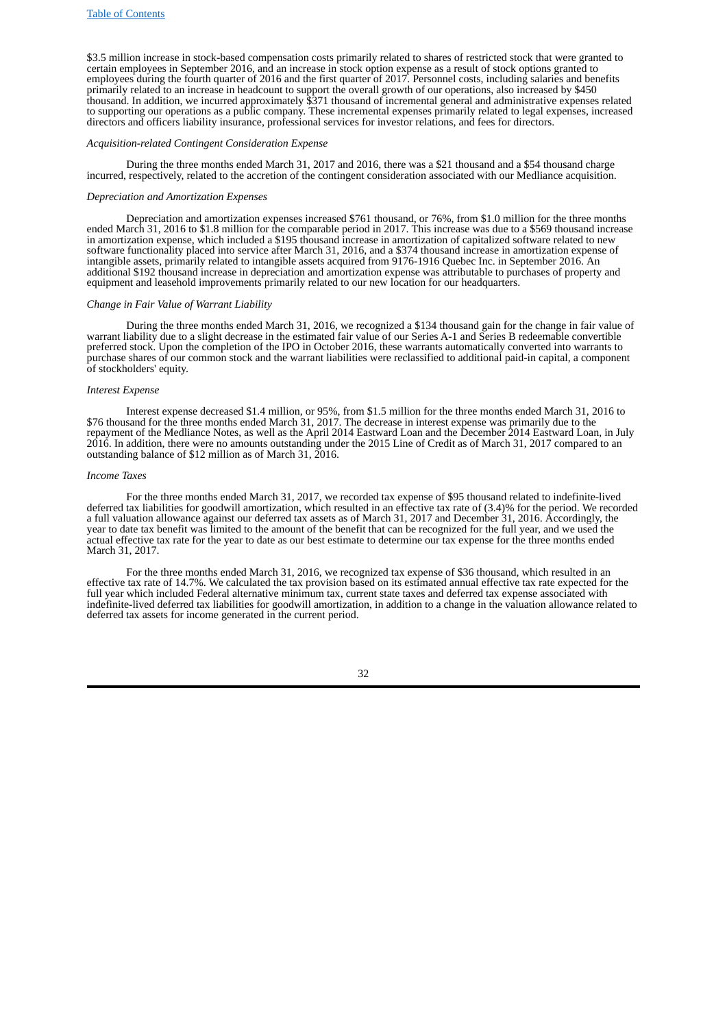\$3.5 million increase in stock-based compensation costs primarily related to shares of restricted stock that were granted to certain employees in September 2016, and an increase in stock option expense as a result of stock options granted to employees during the fourth quarter of 2016 and the first quarter of 2017. Personnel costs, including salaries and benefits primarily related to an increase in headcount to support the overall growth of our operations, also increased by \$450 thousand. In addition, we incurred approximately \$371 thousand of incremental general and administrative expenses related to supporting our operations as a public company. These incremental expenses primarily related to legal expenses, increased directors and officers liability insurance, professional services for investor relations, and fees for directors.

# *Acquisition-related Contingent Consideration Expense*

During the three months ended March 31, 2017 and 2016, there was a \$21 thousand and a \$54 thousand charge incurred, respectively, related to the accretion of the contingent consideration associated with our Medliance acquisition.

# *Depreciation and Amortization Expenses*

Depreciation and amortization expenses increased \$761 thousand, or 76%, from \$1.0 million for the three months ended March 31, 2016 to \$1.8 million for the comparable period in 2017. This increase was due to a \$569 thousand increase in amortization expense, which included a \$195 thousand increase in amortization of capitalized software related to new software functionality placed into service after March 31, 2016, and a \$374 thousand increase in amortization expense of intangible assets, primarily related to intangible assets acquired from 9176-1916 Quebec Inc. in September 2016. An additional \$192 thousand increase in depreciation and amortization expense was attributable to purchases of property and equipment and leasehold improvements primarily related to our new location for our headquarters.

# *Change in Fair Value of Warrant Liability*

During the three months ended March 31, 2016, we recognized a \$134 thousand gain for the change in fair value of warrant liability due to a slight decrease in the estimated fair value of our Series A-1 and Series B redeemable convertible preferred stock. Upon the completion of the IPO in October 2016, these warrants automatically converted into warrants to purchase shares of our common stock and the warrant liabilities were reclassified to additional paid-in capital, a component of stockholders' equity.

#### *Interest Expense*

Interest expense decreased \$1.4 million, or 95%, from \$1.5 million for the three months ended March 31, 2016 to \$76 thousand for the three months ended March 31, 2017. The decrease in interest expense was primarily due to the repayment of the Medliance Notes, as well as the April 2014 Eastward Loan and the December 2014 Eastward Loan, in July 2016. In addition, there were no amounts outstanding under the 2015 Line of Credit as of March 31, 2017 compared to an outstanding balance of \$12 million as of March 31, 2016.

#### *Income Taxes*

For the three months ended March 31, 2017, we recorded tax expense of \$95 thousand related to indefinite-lived deferred tax liabilities for goodwill amortization, which resulted in an effective tax rate of (3.4)% for the period. We recorded a full valuation allowance against our deferred tax assets as of March 31, 2017 and December 31, 2016. Accordingly, the year to date tax benefit was limited to the amount of the benefit that can be recognized for the full year, and we used the actual effective tax rate for the year to date as our best estimate to determine our tax expense for the three months ended March 31, 2017.

For the three months ended March 31, 2016, we recognized tax expense of \$36 thousand, which resulted in an effective tax rate of 14.7%. We calculated the tax provision based on its estimated annual effective tax rate expected for the full year which included Federal alternative minimum tax, current state taxes and deferred tax expense associated with indefinite-lived deferred tax liabilities for goodwill amortization, in addition to a change in the valuation allowance related to deferred tax assets for income generated in the current period.

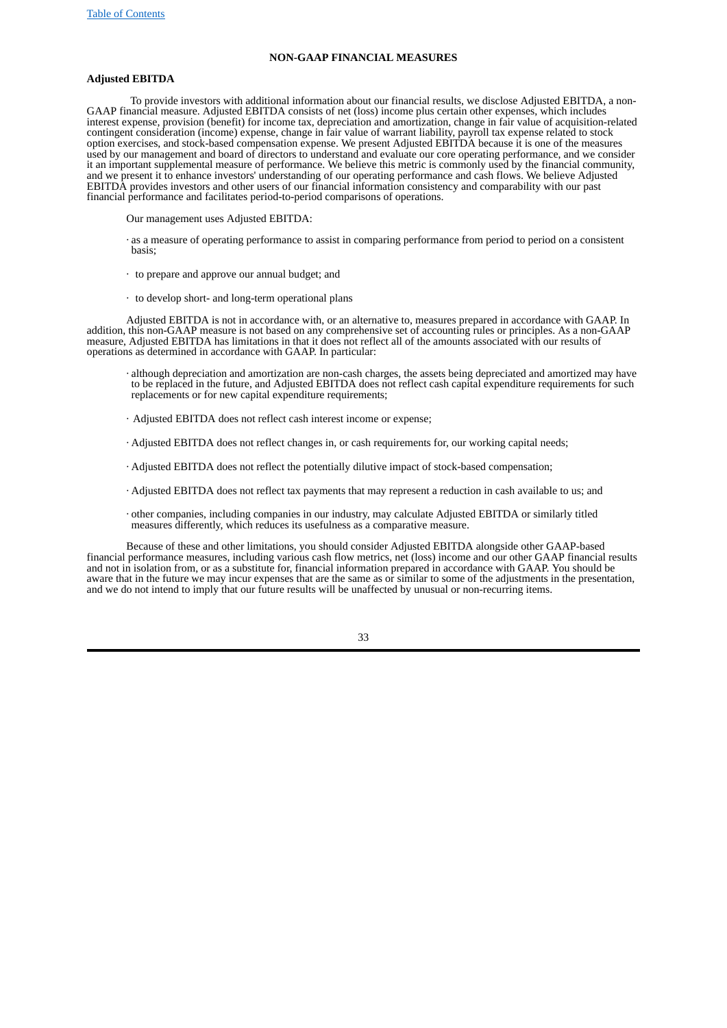### **NON-GAAP FINANCIAL MEASURES**

# **Adjusted EBITDA**

To provide investors with additional information about our financial results, we disclose Adjusted EBITDA, a non-GAAP financial measure. Adjusted EBITDA consists of net (loss) income plus certain other expenses, which includes interest expense, provision (benefit) for income tax, depreciation and amortization, change in fair value of acquisition-related contingent consideration (income) expense, change in fair value of warrant liability, payroll tax expense related to stock option exercises, and stock-based compensation expense. We present Adjusted EBITDA because it is one of the measures used by our management and board of directors to understand and evaluate our core operating performance, and we consider it an important supplemental measure of performance. We believe this metric is commonly used by the financial community, and we present it to enhance investors' understanding of our operating performance and cash flows. We believe Adjusted EBITDA provides investors and other users of our financial information consistency and comparability with our past financial performance and facilitates period-to-period comparisons of operations.

Our management uses Adjusted EBITDA:

- · as a measure of operating performance to assist in comparing performance from period to period on a consistent basis;
- · to prepare and approve our annual budget; and
- · to develop short- and long-term operational plans

Adjusted EBITDA is not in accordance with, or an alternative to, measures prepared in accordance with GAAP. In addition, this non-GAAP measure is not based on any comprehensive set of accounting rules or principles. As a non-GAAP measure, Adjusted EBITDA has limitations in that it does not reflect all of the amounts associated with our results of operations as determined in accordance with GAAP. In particular:

- · although depreciation and amortization are non-cash charges, the assets being depreciated and amortized may have to be replaced in the future, and Adjusted EBITDA does not reflect cash capital expenditure requirements for such replacements or for new capital expenditure requirements;
- · Adjusted EBITDA does not reflect cash interest income or expense;
- · Adjusted EBITDA does not reflect changes in, or cash requirements for, our working capital needs;
- · Adjusted EBITDA does not reflect the potentially dilutive impact of stock-based compensation;
- · Adjusted EBITDA does not reflect tax payments that may represent a reduction in cash available to us; and
- · other companies, including companies in our industry, may calculate Adjusted EBITDA or similarly titled measures differently, which reduces its usefulness as a comparative measure.

Because of these and other limitations, you should consider Adjusted EBITDA alongside other GAAP-based financial performance measures, including various cash flow metrics, net (loss) income and our other GAAP financial results and not in isolation from, or as a substitute for, financial information prepared in accordance with GAAP. You should be aware that in the future we may incur expenses that are the same as or similar to some of the adjustments in the presentation, and we do not intend to imply that our future results will be unaffected by unusual or non-recurring items.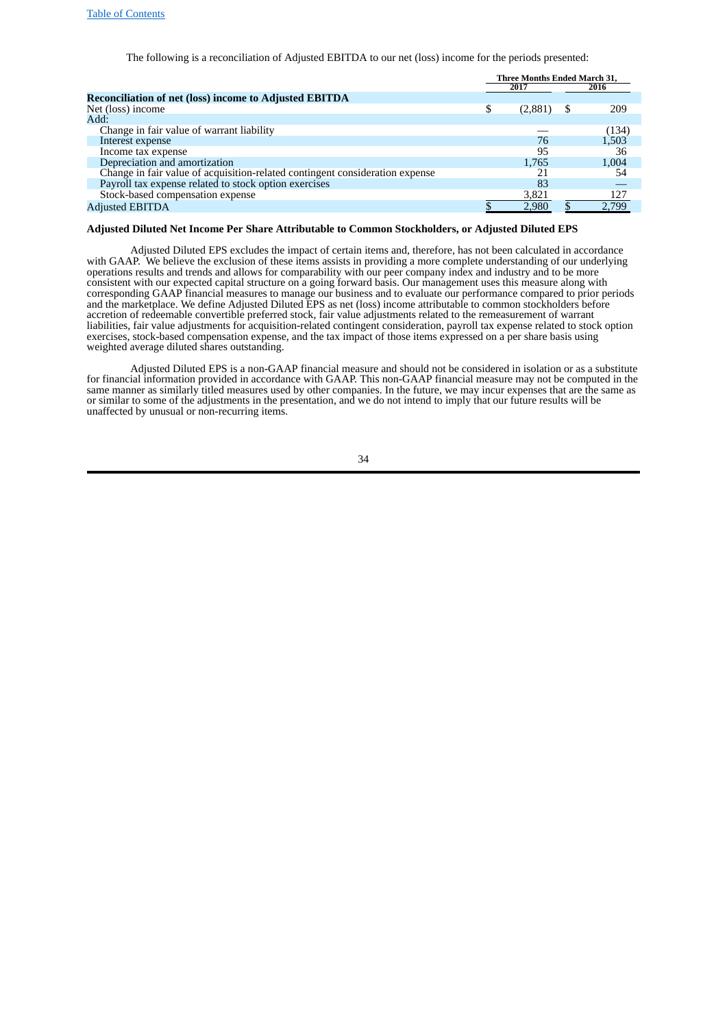The following is a reconciliation of Adjusted EBITDA to our net (loss) income for the periods presented:

|                                                                              | Three Months Ended March 31, |         |  |                    |  |
|------------------------------------------------------------------------------|------------------------------|---------|--|--------------------|--|
|                                                                              | 2017                         |         |  | 2016               |  |
| <b>Reconciliation of net (loss) income to Adjusted EBITDA</b>                |                              |         |  |                    |  |
| Net (loss) income                                                            | \$                           | (2,881) |  | 209                |  |
| Add:                                                                         |                              |         |  |                    |  |
| Change in fair value of warrant liability                                    |                              |         |  | $(134)$<br>$1,503$ |  |
| Interest expense                                                             |                              | 76      |  |                    |  |
| Income tax expense                                                           |                              | 95      |  | 36                 |  |
| Depreciation and amortization                                                |                              | 1,765   |  | 1,004              |  |
| Change in fair value of acquisition-related contingent consideration expense |                              |         |  | 54                 |  |
| Payroll tax expense related to stock option exercises                        |                              | 83      |  |                    |  |
| Stock-based compensation expense                                             |                              | 3,821   |  | 127                |  |
| <b>Adjusted EBITDA</b>                                                       |                              | 2,980   |  | 2,799              |  |

## **Adjusted Diluted Net Income Per Share Attributable to Common Stockholders, or Adjusted Diluted EPS**

Adjusted Diluted EPS excludes the impact of certain items and, therefore, has not been calculated in accordance with GAAP. We believe the exclusion of these items assists in providing a more complete understanding of our underlying operations results and trends and allows for comparability with our peer company index and industry and to be more consistent with our expected capital structure on a going forward basis. Our management uses this measure along with corresponding GAAP financial measures to manage our business and to evaluate our performance compared to prior periods and the marketplace. We define Adjusted Diluted EPS as net (loss) income attributable to common stockholders before accretion of redeemable convertible preferred stock, fair value adjustments related to the remeasurement of warrant liabilities, fair value adjustments for acquisition-related contingent consideration, payroll tax expense related to stock option exercises, stock-based compensation expense, and the tax impact of those items expressed on a per share basis using weighted average diluted shares outstanding.

Adjusted Diluted EPS is a non-GAAP financial measure and should not be considered in isolation or as a substitute for financial information provided in accordance with GAAP. This non-GAAP financial measure may not be computed in the same manner as similarly titled measures used by other companies. In the future, we may incur expenses that are the same as or similar to some of the adjustments in the presentation, and we do not intend to imply that our future results will be unaffected by unusual or non-recurring items.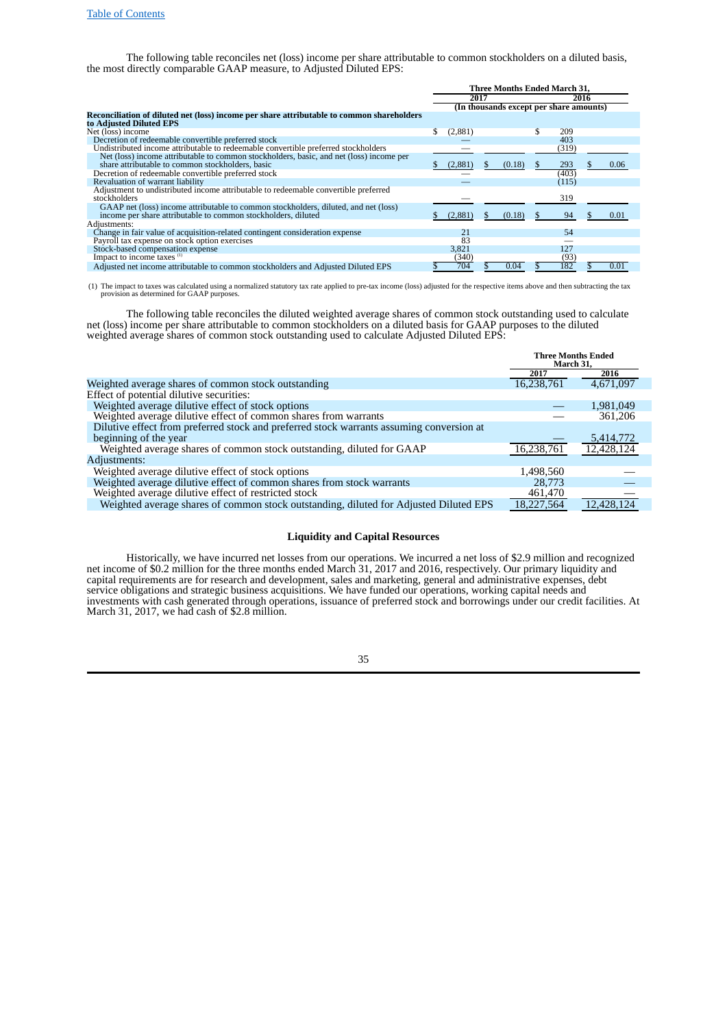The following table reconciles net (loss) income per share attributable to common stockholders on a diluted basis, the most directly comparable GAAP measure, to Adjusted Diluted EPS:

|                                                                                                                                                      | <b>Three Months Ended March 31.</b> |          |  |        |      |                                         |  |      |
|------------------------------------------------------------------------------------------------------------------------------------------------------|-------------------------------------|----------|--|--------|------|-----------------------------------------|--|------|
|                                                                                                                                                      |                                     | 2017     |  |        | 2016 |                                         |  |      |
|                                                                                                                                                      |                                     |          |  |        |      | (In thousands except per share amounts) |  |      |
| Reconciliation of diluted net (loss) income per share attributable to common shareholders<br>to Adjusted Diluted EPS                                 |                                     |          |  |        |      |                                         |  |      |
| Net (loss) income                                                                                                                                    | S                                   | (2,881)  |  |        |      | 209                                     |  |      |
| Decretion of redeemable convertible preferred stock                                                                                                  |                                     |          |  |        |      | 403                                     |  |      |
| Undistributed income attributable to redeemable convertible preferred stockholders                                                                   |                                     |          |  |        |      | (319)                                   |  |      |
| Net (loss) income attributable to common stockholders, basic, and net (loss) income per                                                              |                                     |          |  |        |      |                                         |  |      |
| share attributable to common stockholders, basic                                                                                                     |                                     | (2,881)  |  | (0.18) |      | 293                                     |  | 0.06 |
| Decretion of redeemable convertible preferred stock                                                                                                  |                                     |          |  |        |      | (403)                                   |  |      |
| Revaluation of warrant liability                                                                                                                     |                                     |          |  |        |      | (115)                                   |  |      |
| Adjustment to undistributed income attributable to redeemable convertible preferred<br>stockholders                                                  |                                     |          |  |        |      | 319                                     |  |      |
| GAAP net (loss) income attributable to common stockholders, diluted, and net (loss)<br>income per share attributable to common stockholders, diluted |                                     | (2, 881) |  | (0.18) |      | 94                                      |  | 0.01 |
| Adjustments:                                                                                                                                         |                                     |          |  |        |      |                                         |  |      |
| Change in fair value of acquisition-related contingent consideration expense                                                                         |                                     | 21       |  |        |      | 54                                      |  |      |
| Payroll tax expense on stock option exercises                                                                                                        |                                     | 83       |  |        |      |                                         |  |      |
| Stock-based compensation expense                                                                                                                     |                                     | 3,821    |  |        |      | 127                                     |  |      |
| Impact to income taxes <sup>(1)</sup>                                                                                                                |                                     | (340)    |  |        |      | (93)                                    |  |      |
| Adjusted net income attributable to common stockholders and Adjusted Diluted EPS                                                                     |                                     | 704      |  | 0.04   |      | 182                                     |  | 0.01 |

(1) The impact to taxes was calculated using a normalized statutory tax rate applied to pre-tax income (loss) adjusted for the respective items above and then subtracting the tax provision as determined for GAAP purposes.

The following table reconciles the diluted weighted average shares of common stock outstanding used to calculate net (loss) income per share attributable to common stockholders on a diluted basis for GAAP purposes to the diluted weighted average shares of common stock outstanding used to calculate Adjusted Diluted EPS:

|                                                                                          | <b>Three Months Ended</b><br>March 31. |            |
|------------------------------------------------------------------------------------------|----------------------------------------|------------|
|                                                                                          | 2017                                   | 2016       |
| Weighted average shares of common stock outstanding                                      | 16,238,761                             | 4,671,097  |
| Effect of potential dilutive securities:                                                 |                                        |            |
| Weighted average dilutive effect of stock options                                        |                                        | 1,981,049  |
| Weighted average dilutive effect of common shares from warrants                          |                                        | 361,206    |
| Dilutive effect from preferred stock and preferred stock warrants assuming conversion at |                                        |            |
| beginning of the year                                                                    |                                        | 5,414,772  |
| Weighted average shares of common stock outstanding, diluted for GAAP                    | 16,238,761                             | 12,428,124 |
| Adjustments:                                                                             |                                        |            |
| Weighted average dilutive effect of stock options                                        | 1,498,560                              |            |
| Weighted average dilutive effect of common shares from stock warrants                    | 28,773                                 |            |
| Weighted average dilutive effect of restricted stock                                     | 461,470                                |            |
| Weighted average shares of common stock outstanding, diluted for Adjusted Diluted EPS    | 18.227.564                             | 12.428.124 |

# **Liquidity and Capital Resources**

Historically, we have incurred net losses from our operations. We incurred a net loss of \$2.9 million and recognized net income of \$0.2 million for the three months ended March 31, 2017 and 2016, respectively. Our primary liquidity and capital requirements are for research and development, sales and marketing, general and administrative expenses, debt service obligations and strategic business acquisitions. We have funded our operations, working capital needs and investments with cash generated through operations, issuance of preferred stock and borrowings under our credit facilities. At March 31, 2017, we had cash of \$2.8 million.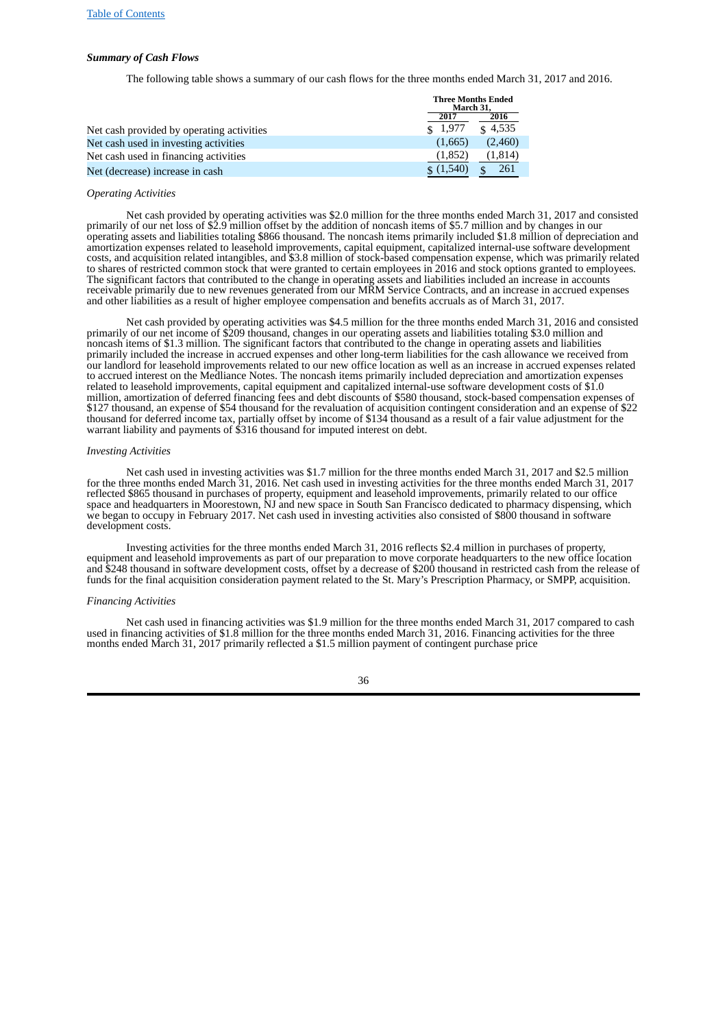# *Summary of Cash Flows*

The following table shows a summary of our cash flows for the three months ended March 31, 2017 and 2016.

|                                           | <b>Three Months Ended</b><br>March 31. |           |
|-------------------------------------------|----------------------------------------|-----------|
|                                           | 2017                                   | 2016      |
| Net cash provided by operating activities | \$1,977                                | \$4,535   |
| Net cash used in investing activities     | (1,665)                                | (2,460)   |
| Net cash used in financing activities     | (1,852)                                | (1,814)   |
| Net (decrease) increase in cash           | \$(1,540)                              | 261<br>\$ |

## *Operating Activities*

Net cash provided by operating activities was \$2.0 million for the three months ended March 31, 2017 and consisted primarily of our net loss of \$2.9 million offset by the addition of noncash items of \$5.7 million and by changes in our operating assets and liabilities totaling \$866 thousand. The noncash items primarily included \$1.8 million of depreciation and amortization expenses related to leasehold improvements, capital equipment, capitalized internal-use software development costs, and acquisition related intangibles, and \$3.8 million of stock-based compensation expense, which was primarily related to shares of restricted common stock that were granted to certain employees in 2016 and stock options granted to employees. The significant factors that contributed to the change in operating assets and liabilities included an increase in accounts receivable primarily due to new revenues generated from our MRM Service Contracts, and an increase in accrued expenses and other liabilities as a result of higher employee compensation and benefits accruals as of March 31, 2017.

Net cash provided by operating activities was \$4.5 million for the three months ended March 31, 2016 and consisted primarily of our net income of \$209 thousand, changes in our operating assets and liabilities totaling \$3.0 million and noncash items of \$1.3 million. The significant factors that contributed to the change in operating assets and liabilities primarily included the increase in accrued expenses and other long-term liabilities for the cash allowance we received from our landlord for leasehold improvements related to our new office location as well as an increase in accrued expenses related to accrued interest on the Medliance Notes. The noncash items primarily included depreciation and amortization expenses related to leasehold improvements, capital equipment and capitalized internal-use software development costs of \$1.0 million, amortization of deferred financing fees and debt discounts of \$580 thousand, stock-based compensation expenses of \$127 thousand, an expense of \$54 thousand for the revaluation of acquisition contingent consideration and an expense of \$22 thousand for deferred income tax, partially offset by income of \$134 thousand as a result of a fair value adjustment for the warrant liability and payments of \$316 thousand for imputed interest on debt.

#### *Investing Activities*

Net cash used in investing activities was \$1.7 million for the three months ended March 31, 2017 and \$2.5 million for the three months ended March 31, 2016. Net cash used in investing activities for the three months ended March 31, 2017 reflected \$865 thousand in purchases of property, equipment and leasehold improvements, primarily related to our office space and headquarters in Moorestown, NJ and new space in South San Francisco dedicated to pharmacy dispensing, which we began to occupy in February 2017. Net cash used in investing activities also consisted of \$800 thousand in software development costs.

Investing activities for the three months ended March 31, 2016 reflects \$2.4 million in purchases of property, equipment and leasehold improvements as part of our preparation to move corporate headquarters to the new office location and \$248 thousand in software development costs, offset by a decrease of \$200 thousand in restricted cash from the release of funds for the final acquisition consideration payment related to the St. Mary's Prescription Pharmacy, or SMPP, acquisition.

# *Financing Activities*

Net cash used in financing activities was \$1.9 million for the three months ended March 31, 2017 compared to cash used in financing activities of \$1.8 million for the three months ended March 31, 2016. Financing activities for the three months ended March 31, 2017 primarily reflected a \$1.5 million payment of contingent purchase price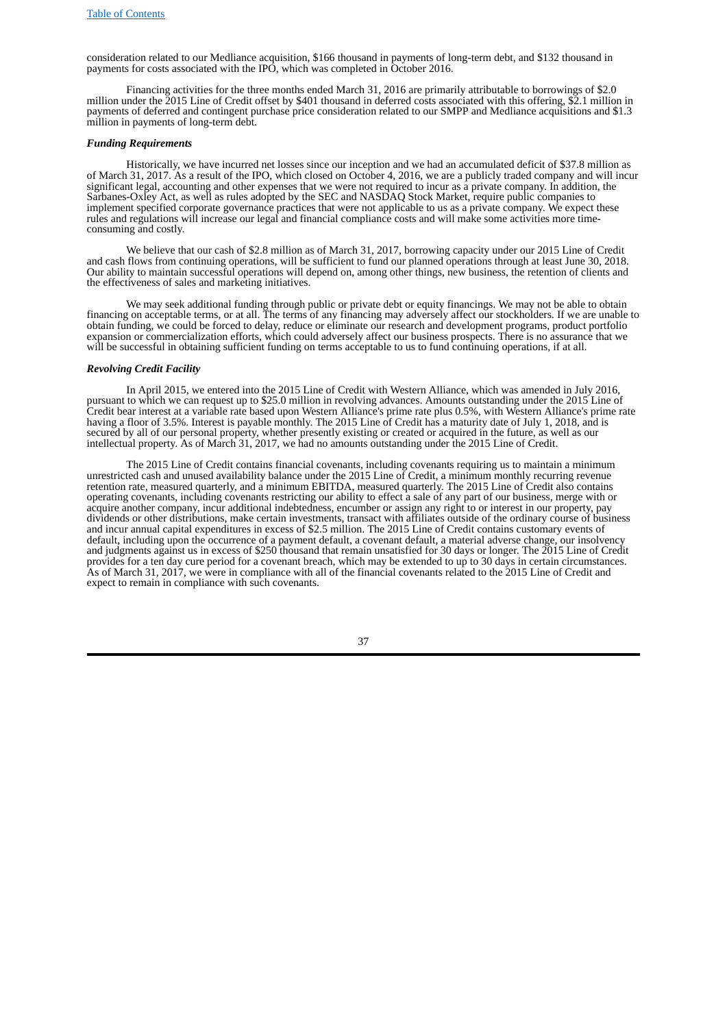consideration related to our Medliance acquisition, \$166 thousand in payments of long-term debt, and \$132 thousand in payments for costs associated with the IPO, which was completed in October 2016.

Financing activities for the three months ended March 31, 2016 are primarily attributable to borrowings of \$2.0 million under the 2015 Line of Credit offset by \$401 thousand in deferred costs associated with this offering, \$2.1 million in payments of deferred and contingent purchase price consideration related to our SMPP and Medliance acquisitions and \$1.3 million in payments of long-term debt.

# *Funding Requirements*

Historically, we have incurred net losses since our inception and we had an accumulated deficit of \$37.8 million as of March 31, 2017. As a result of the IPO, which closed on October 4, 2016, we are a publicly traded company and will incur significant legal, accounting and other expenses that we were not required to incur as a private company. In addition, the Sarbanes-Oxley Act, as well as rules adopted by the SEC and NASDAQ Stock Market, require public companies to implement specified corporate governance practices that were not applicable to us as a private company. We expect these rules and regulations will increase our legal and financial compliance costs and will make some activities more timeconsuming and costly.

We believe that our cash of \$2.8 million as of March 31, 2017, borrowing capacity under our 2015 Line of Credit and cash flows from continuing operations, will be sufficient to fund our planned operations through at least June 30, 2018. Our ability to maintain successful operations will depend on, among other things, new business, the retention of clients and the effectiveness of sales and marketing initiatives.

We may seek additional funding through public or private debt or equity financings. We may not be able to obtain financing on acceptable terms, or at all. The terms of any financing may adversely affect our stockholders. If we are unable to obtain funding, we could be forced to delay, reduce or eliminate our research and development programs, product portfolio expansion or commercialization efforts, which could adversely affect our business prospects. There is no assurance that we will be successful in obtaining sufficient funding on terms acceptable to us to fund continuing operations, if at all.

#### *Revolving Credit Facility*

In April 2015, we entered into the 2015 Line of Credit with Western Alliance, which was amended in July 2016, pursuant to which we can request up to \$25.0 million in revolving advances. Amounts outstanding under the 2015 Line of Credit bear interest at a variable rate based upon Western Alliance's prime rate plus 0.5%, with Western Alliance's prime rate having a floor of 3.5%. Interest is payable monthly. The 2015 Line of Credit has a maturity date of July 1, 2018, and is secured by all of our personal property, whether presently existing or created or acquired in the future, as well as our intellectual property. As of March 31, 2017, we had no amounts outstanding under the 2015 Line of Credit.

The 2015 Line of Credit contains financial covenants, including covenants requiring us to maintain a minimum unrestricted cash and unused availability balance under the 2015 Line of Credit, a minimum monthly recurring revenue retention rate, measured quarterly, and a minimum EBITDA, measured quarterly. The 2015 Line of Credit also contains operating covenants, including covenants restricting our ability to effect a sale of any part of our business, merge with or acquire another company, incur additional indebtedness, encumber or assign any right to or interest in our property, pay dividends or other distributions, make certain investments, transact with affiliates outside of the ordinary course of business and incur annual capital expenditures in excess of \$2.5 million. The 2015 Line of Credit contains customary events of default, including upon the occurrence of a payment default, a covenant default, a material adverse change, our insolvency and judgments against us in excess of \$250 thousand that remain unsatisfied for 30 days or longer. The 2015 Line of Credit provides for a ten day cure period for a covenant breach, which may be extended to up to 30 days in certain circumstances. As of March 31, 2017, we were in compliance with all of the financial covenants related to the 2015 Line of Credit and expect to remain in compliance with such covenants.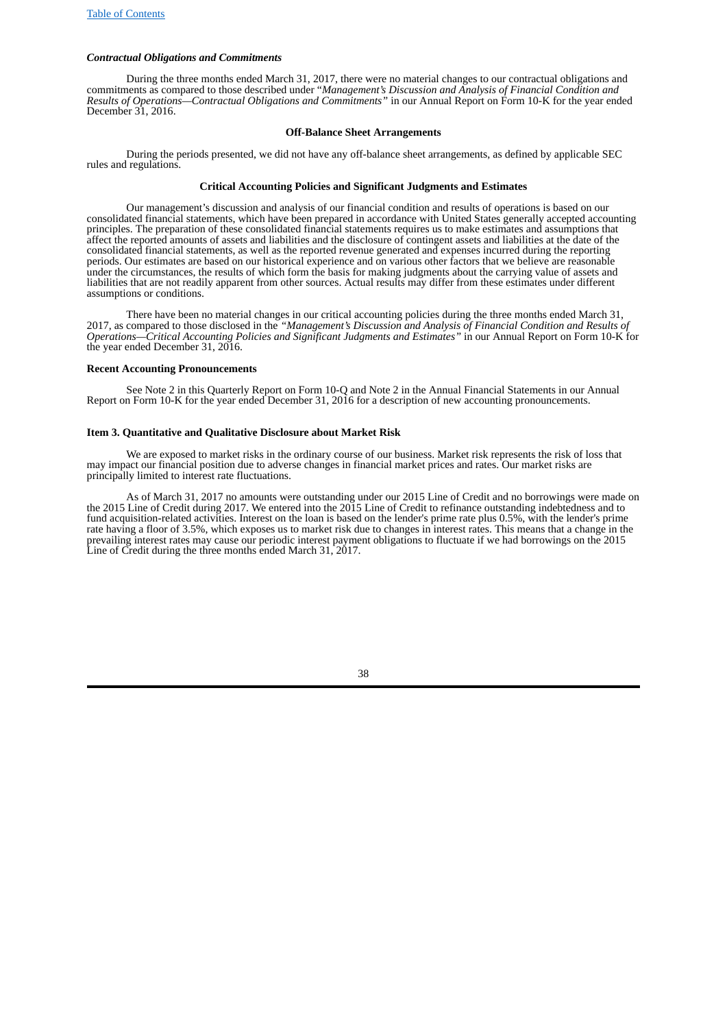#### *Contractual Obligations and Commitments*

During the three months ended March 31, 2017, there were no material changes to our contractual obligations and commitments as compared to those described under "*Management's Discussion and Analysis of Financial Condition and Results of Operations—Contractual Obligations and Commitments"* in our Annual Report on Form 10-K for the year ended December 31, 2016.

#### **Off-Balance Sheet Arrangements**

During the periods presented, we did not have any off-balance sheet arrangements, as defined by applicable SEC rules and regulations.

# **Critical Accounting Policies and Significant Judgments and Estimates**

Our management's discussion and analysis of our financial condition and results of operations is based on our consolidated financial statements, which have been prepared in accordance with United States generally accepted accounting principles. The preparation of these consolidated financial statements requires us to make estimates and assumptions that affect the reported amounts of assets and liabilities and the disclosure of contingent assets and liabilities at the date of the consolidated financial statements, as well as the reported revenue generated and expenses incurred during the reporting periods. Our estimates are based on our historical experience and on various other factors that we believe are reasonable under the circumstances, the results of which form the basis for making judgments about the carrying value of assets and liabilities that are not readily apparent from other sources. Actual results may differ from these estimates under different assumptions or conditions.

There have been no material changes in our critical accounting policies during the three months ended March 31, 2017, as compared to those disclosed in the *"Management's Discussion and Analysis of Financial Condition and Results of Operations—Critical Accounting Policies and Significant Judgments and Estimates"* in our Annual Report on Form 10-K for the year ended December 31, 2016.

#### **Recent Accounting Pronouncements**

See Note 2 in this Quarterly Report on Form 10-Q and Note 2 in the Annual Financial Statements in our Annual Report on Form 10-K for the year ended December 31, 2016 for a description of new accounting pronouncements.

# **Item 3. Quantitative and Qualitative Disclosure about Market Risk**

We are exposed to market risks in the ordinary course of our business. Market risk represents the risk of loss that may impact our financial position due to adverse changes in financial market prices and rates. Our market risks are principally limited to interest rate fluctuations.

As of March 31, 2017 no amounts were outstanding under our 2015 Line of Credit and no borrowings were made on the 2015 Line of Credit during 2017. We entered into the 2015 Line of Credit to refinance outstanding indebtedness and to fund acquisition-related activities. Interest on the loan is based on the lender's prime rate plus 0.5%, with the lender's prime rate having a floor of 3.5%, which exposes us to market risk due to changes in interest rates. This means that a change in the prevailing interest rates may cause our periodic interest payment obligations to fluctuate if we had borrowings on the 2015 Line of Credit during the three months ended March 31, 2017.

<span id="page-37-0"></span>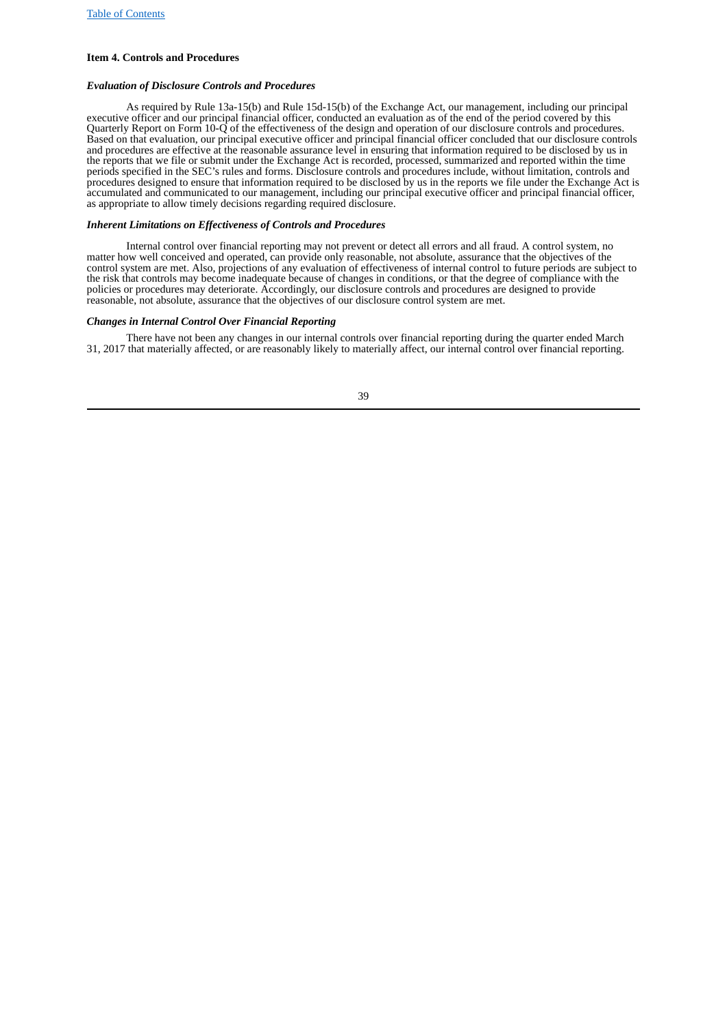# <span id="page-38-0"></span>**Item 4. Controls and Procedures**

# *Evaluation of Disclosure Controls and Procedures*

As required by Rule 13a-15(b) and Rule 15d-15(b) of the Exchange Act, our management, including our principal executive officer and our principal financial officer, conducted an evaluation as of the end of the period covered by this Quarterly Report on Form 10-Q of the effectiveness of the design and operation of our disclosure controls and procedures. Based on that evaluation, our principal executive officer and principal financial officer concluded that our disclosure controls and procedures are effective at the reasonable assurance level in ensuring that information required to be disclosed by us in the reports that we file or submit under the Exchange Act is recorded, processed, summarized and reported within the time periods specified in the SEC's rules and forms. Disclosure controls and procedures include, without limitation, controls and procedures designed to ensure that information required to be disclosed by us in the reports we file under the Exchange Act is accumulated and communicated to our management, including our principal executive officer and principal financial officer, as appropriate to allow timely decisions regarding required disclosure.

# *Inherent Limitations on Effectiveness of Controls and Procedures*

Internal control over financial reporting may not prevent or detect all errors and all fraud. A control system, no matter how well conceived and operated, can provide only reasonable, not absolute, assurance that the objectives of the control system are met. Also, projections of any evaluation of effectiveness of internal control to future periods are subject to the risk that controls may become inadequate because of changes in conditions, or that the degree of compliance with the policies or procedures may deteriorate. Accordingly, our disclosure controls and procedures are designed to provide reasonable, not absolute, assurance that the objectives of our disclosure control system are met.

#### *Changes in Internal Control Over Financial Reporting*

There have not been any changes in our internal controls over financial reporting during the quarter ended March 31, 2017 that materially affected, or are reasonably likely to materially affect, our internal control over financial reporting.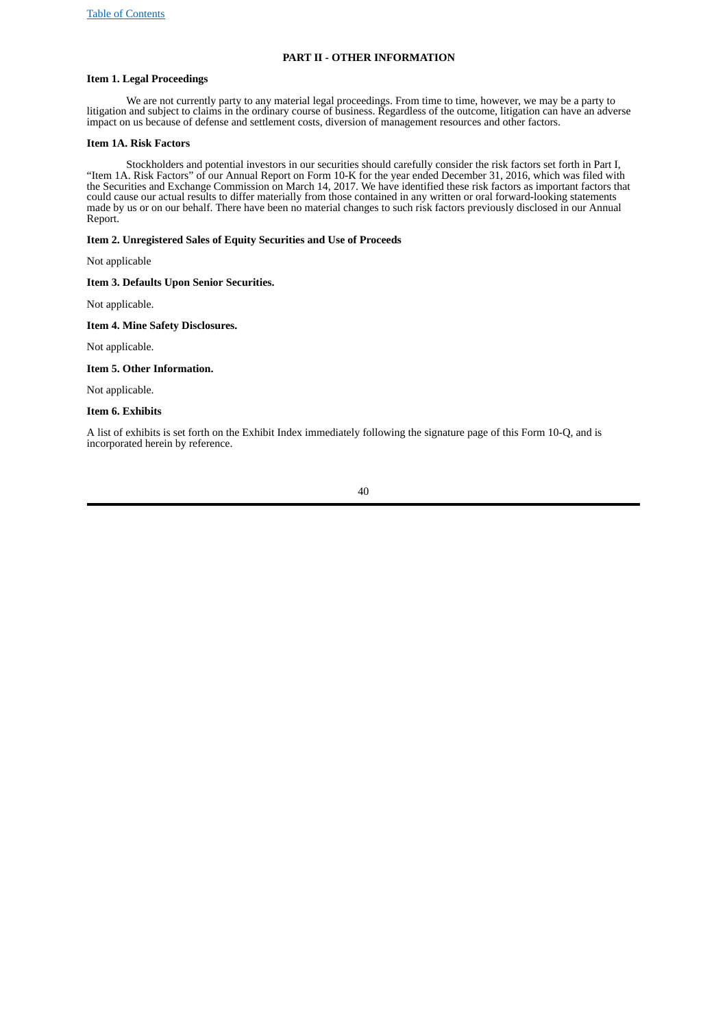# <span id="page-39-3"></span><span id="page-39-1"></span><span id="page-39-0"></span>**PART II - OTHER INFORMATION**

# **Item 1. Legal Proceedings**

We are not currently party to any material legal proceedings. From time to time, however, we may be a party to litigation and subject to claims in the ordinary course of business. Regardless of the outcome, litigation can have an adverse impact on us because of defense and settlement costs, diversion of management resources and other factors.

# <span id="page-39-2"></span>**Item 1A. Risk Factors**

Stockholders and potential investors in our securities should carefully consider the risk factors set forth in Part I, "Item 1A. Risk Factors" of our Annual Report on Form 10-K for the year ended December 31, 2016, which was filed with the Securities and Exchange Commission on March 14, 2017. We have identified these risk factors as important factors that could cause our actual results to differ materially from those contained in any written or oral forward-looking statements made by us or on our behalf. There have been no material changes to such risk factors previously disclosed in our Annual Report.

# **Item 2. Unregistered Sales of Equity Securities and Use of Proceeds**

Not applicable

## <span id="page-39-4"></span>**Item 3. Defaults Upon Senior Securities.**

Not applicable.

## <span id="page-39-5"></span>**Item 4. Mine Safety Disclosures.**

Not applicable.

<span id="page-39-6"></span>**Item 5. Other Information.**

Not applicable.

### <span id="page-39-7"></span>**Item 6. Exhibits**

A list of exhibits is set forth on the Exhibit Index immediately following the signature page of this Form 10-Q, and is incorporated herein by reference.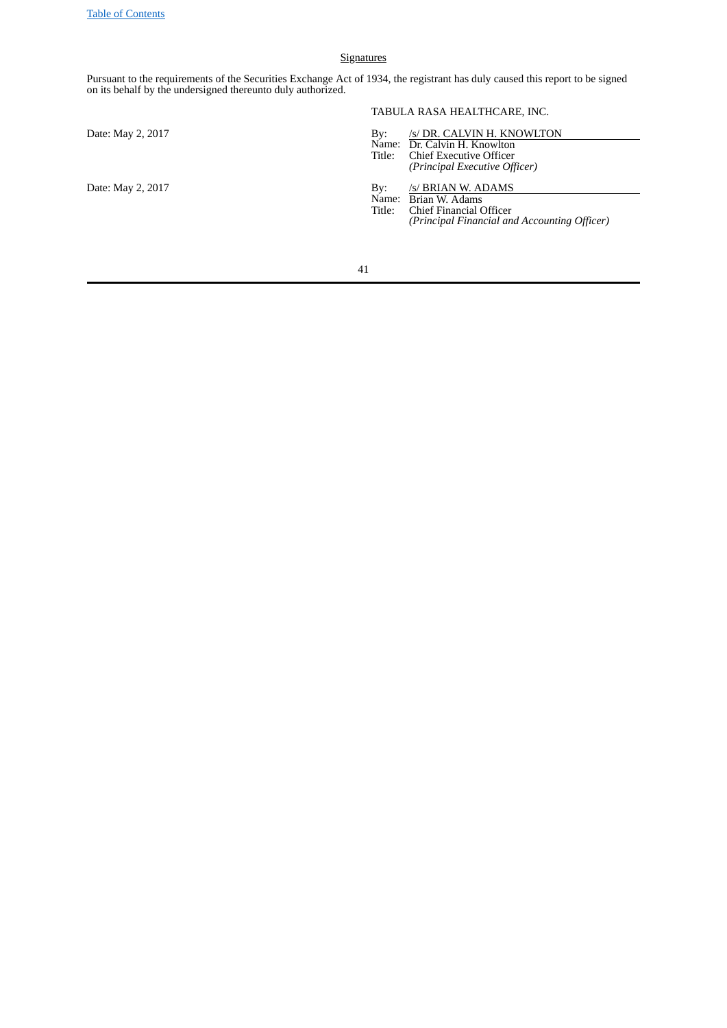<span id="page-40-0"></span>**Signatures** 

Pursuant to the requirements of the Securities Exchange Act of 1934, the registrant has duly caused this report to be signed on its behalf by the undersigned thereunto duly authorized.

Date: May 2, 2017

Date: May 2, 2017

# TABULA RASA HEALTHCARE, INC.

| By:    | /s/ DR. CALVIN H. KNOWLTON    |
|--------|-------------------------------|
|        | Name: Dr. Calvin H. Knowlton  |
| Title: | Chief Executive Officer       |
|        | (Principal Executive Officer) |
| By:    | /s/ BRIAN W. ADAMS            |
|        | Name: Brian W. Adams          |

Title: Chief Financial Officer *(Principal Financial and Accounting Officer)*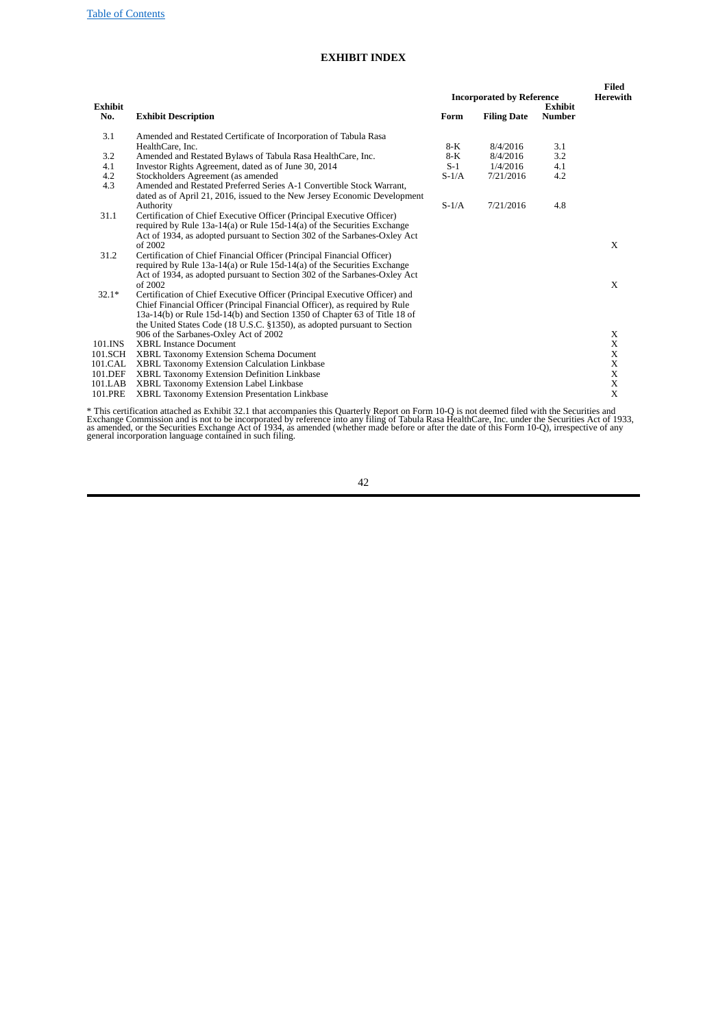# <span id="page-41-0"></span>**EXHIBIT INDEX**

| Exhibit      |                                                                                                                                                   |         | <b>Incorporated by Reference</b><br>Exhibit |        |             |
|--------------|---------------------------------------------------------------------------------------------------------------------------------------------------|---------|---------------------------------------------|--------|-------------|
| No.          | <b>Exhibit Description</b>                                                                                                                        | Form    | <b>Filing Date</b>                          | Number |             |
| 3.1          | Amended and Restated Certificate of Incorporation of Tabula Rasa                                                                                  |         |                                             |        |             |
|              | HealthCare, Inc.                                                                                                                                  | 8-K     | 8/4/2016                                    | 3.1    |             |
| 3.2          | Amended and Restated Bylaws of Tabula Rasa HealthCare, Inc.                                                                                       | $8-K$   | 8/4/2016                                    | 3.2    |             |
| 4.1          | Investor Rights Agreement, dated as of June 30, 2014                                                                                              | $S-1$   | 1/4/2016                                    | 4.1    |             |
| 4.2          | Stockholders Agreement (as amended                                                                                                                | $S-1/A$ | 7/21/2016                                   | 4.2    |             |
| 4.3          | Amended and Restated Preferred Series A-1 Convertible Stock Warrant.                                                                              |         |                                             |        |             |
|              | dated as of April 21, 2016, issued to the New Jersey Economic Development<br>Authority                                                            | $S-1/A$ | 7/21/2016                                   | 4.8    |             |
| 31.1<br>31.2 | Certification of Chief Executive Officer (Principal Executive Officer)<br>required by Rule 13a-14(a) or Rule 15d-14(a) of the Securities Exchange |         |                                             |        |             |
|              | Act of 1934, as adopted pursuant to Section 302 of the Sarbanes-Oxley Act                                                                         |         |                                             |        |             |
|              | of 2002                                                                                                                                           |         |                                             |        | X           |
|              | Certification of Chief Financial Officer (Principal Financial Officer)                                                                            |         |                                             |        |             |
|              | required by Rule 13a-14(a) or Rule 15d-14(a) of the Securities Exchange                                                                           |         |                                             |        |             |
|              | Act of 1934, as adopted pursuant to Section 302 of the Sarbanes-Oxley Act<br>of 2002                                                              |         |                                             |        | X           |
| $32.1*$      | Certification of Chief Executive Officer (Principal Executive Officer) and                                                                        |         |                                             |        |             |
|              | Chief Financial Officer (Principal Financial Officer), as required by Rule                                                                        |         |                                             |        |             |
|              | 13a-14(b) or Rule 15d-14(b) and Section 1350 of Chapter 63 of Title 18 of                                                                         |         |                                             |        |             |
|              | the United States Code (18 U.S.C. §1350), as adopted pursuant to Section                                                                          |         |                                             |        |             |
|              | 906 of the Sarbanes-Oxley Act of 2002                                                                                                             |         |                                             |        | X           |
| 101.INS      | <b>XBRL Instance Document</b>                                                                                                                     |         |                                             |        | $\mathbf X$ |
| 101.SCH      | XBRL Taxonomy Extension Schema Document                                                                                                           |         |                                             |        | $\mathbf X$ |
| 101.CAL      | XBRL Taxonomy Extension Calculation Linkbase                                                                                                      |         |                                             |        | $\mathbf X$ |
| 101.DEF      | XBRL Taxonomy Extension Definition Linkbase                                                                                                       |         |                                             |        | X           |
| 101.LAB      | XBRL Taxonomy Extension Label Linkbase                                                                                                            |         |                                             |        | $\mathbf X$ |
| 101.PRE      | XBRL Taxonomy Extension Presentation Linkbase                                                                                                     |         |                                             |        | X           |
|              | This cortification attached as Exhibit 32.1 that accompanies this Quarterly Report on Form $10-0$ is not deemed filed with the Securities and     |         |                                             |        |             |

\* This certification attached as Exhibit 32.1 that accompanies this Quarterly Report on Form 10-Q is not deemed filed with the Securities and<br>Exchange Commission and is not to be incorporated by reference into any filing o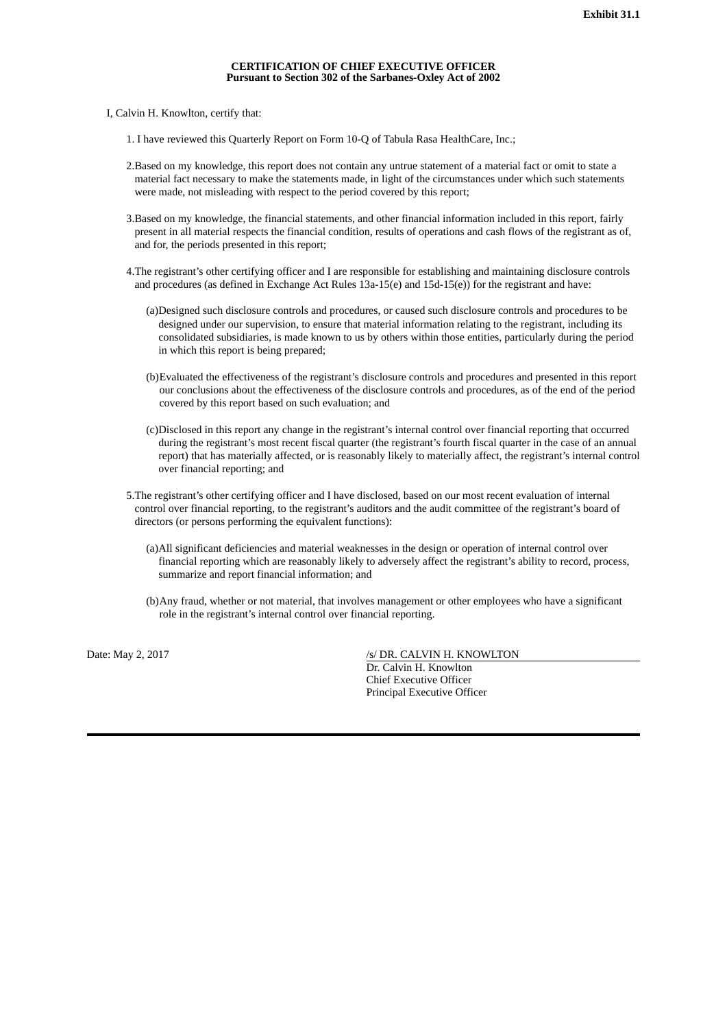# **CERTIFICATION OF CHIEF EXECUTIVE OFFICER Pursuant to Section 302 of the Sarbanes-Oxley Act of 2002**

- I, Calvin H. Knowlton, certify that:
	- 1. I have reviewed this Quarterly Report on Form 10-Q of Tabula Rasa HealthCare, Inc.;
	- 2.Based on my knowledge, this report does not contain any untrue statement of a material fact or omit to state a material fact necessary to make the statements made, in light of the circumstances under which such statements were made, not misleading with respect to the period covered by this report;
	- 3.Based on my knowledge, the financial statements, and other financial information included in this report, fairly present in all material respects the financial condition, results of operations and cash flows of the registrant as of, and for, the periods presented in this report;
	- 4.The registrant's other certifying officer and I are responsible for establishing and maintaining disclosure controls and procedures (as defined in Exchange Act Rules 13a-15(e) and 15d-15(e)) for the registrant and have:
		- (a)Designed such disclosure controls and procedures, or caused such disclosure controls and procedures to be designed under our supervision, to ensure that material information relating to the registrant, including its consolidated subsidiaries, is made known to us by others within those entities, particularly during the period in which this report is being prepared;
		- (b)Evaluated the effectiveness of the registrant's disclosure controls and procedures and presented in this report our conclusions about the effectiveness of the disclosure controls and procedures, as of the end of the period covered by this report based on such evaluation; and
		- (c)Disclosed in this report any change in the registrant's internal control over financial reporting that occurred during the registrant's most recent fiscal quarter (the registrant's fourth fiscal quarter in the case of an annual report) that has materially affected, or is reasonably likely to materially affect, the registrant's internal control over financial reporting; and
	- 5.The registrant's other certifying officer and I have disclosed, based on our most recent evaluation of internal control over financial reporting, to the registrant's auditors and the audit committee of the registrant's board of directors (or persons performing the equivalent functions):
		- (a)All significant deficiencies and material weaknesses in the design or operation of internal control over financial reporting which are reasonably likely to adversely affect the registrant's ability to record, process, summarize and report financial information; and
		- (b)Any fraud, whether or not material, that involves management or other employees who have a significant role in the registrant's internal control over financial reporting.

Date: May 2, 2017 /s/ DR. CALVIN H. KNOWLTON

Dr. Calvin H. Knowlton Chief Executive Officer Principal Executive Officer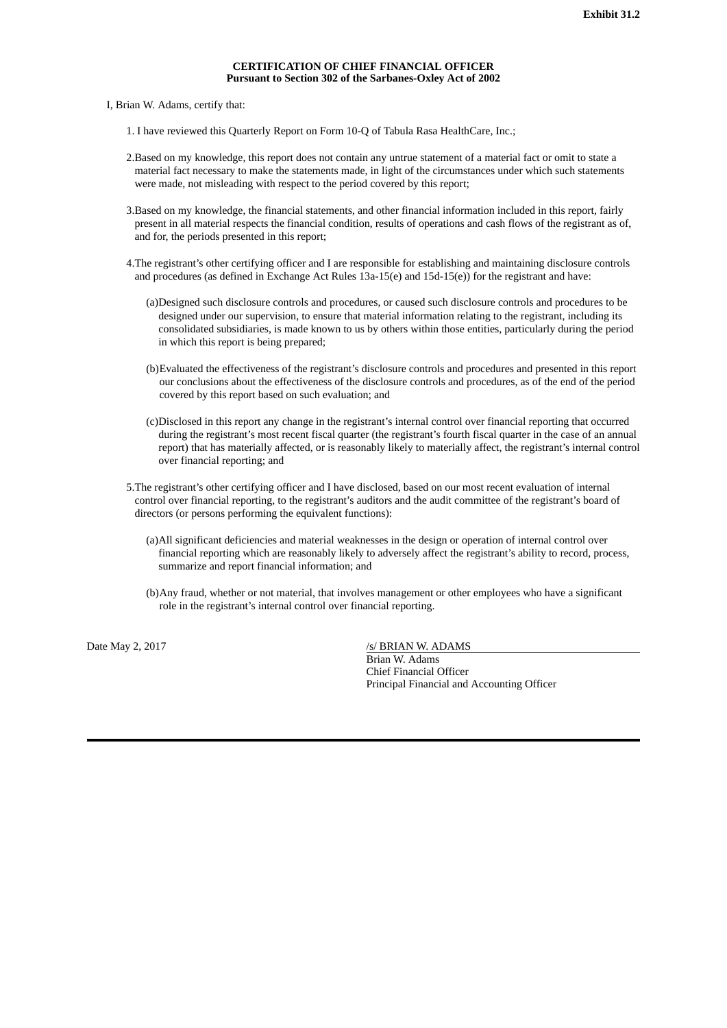# **CERTIFICATION OF CHIEF FINANCIAL OFFICER Pursuant to Section 302 of the Sarbanes-Oxley Act of 2002**

I, Brian W. Adams, certify that:

1. I have reviewed this Quarterly Report on Form 10-Q of Tabula Rasa HealthCare, Inc.;

- 2.Based on my knowledge, this report does not contain any untrue statement of a material fact or omit to state a material fact necessary to make the statements made, in light of the circumstances under which such statements were made, not misleading with respect to the period covered by this report;
- 3.Based on my knowledge, the financial statements, and other financial information included in this report, fairly present in all material respects the financial condition, results of operations and cash flows of the registrant as of, and for, the periods presented in this report;
- 4.The registrant's other certifying officer and I are responsible for establishing and maintaining disclosure controls and procedures (as defined in Exchange Act Rules 13a-15(e) and 15d-15(e)) for the registrant and have:
	- (a)Designed such disclosure controls and procedures, or caused such disclosure controls and procedures to be designed under our supervision, to ensure that material information relating to the registrant, including its consolidated subsidiaries, is made known to us by others within those entities, particularly during the period in which this report is being prepared;
	- (b)Evaluated the effectiveness of the registrant's disclosure controls and procedures and presented in this report our conclusions about the effectiveness of the disclosure controls and procedures, as of the end of the period covered by this report based on such evaluation; and
	- (c)Disclosed in this report any change in the registrant's internal control over financial reporting that occurred during the registrant's most recent fiscal quarter (the registrant's fourth fiscal quarter in the case of an annual report) that has materially affected, or is reasonably likely to materially affect, the registrant's internal control over financial reporting; and
- 5.The registrant's other certifying officer and I have disclosed, based on our most recent evaluation of internal control over financial reporting, to the registrant's auditors and the audit committee of the registrant's board of directors (or persons performing the equivalent functions):
	- (a)All significant deficiencies and material weaknesses in the design or operation of internal control over financial reporting which are reasonably likely to adversely affect the registrant's ability to record, process, summarize and report financial information; and
	- (b)Any fraud, whether or not material, that involves management or other employees who have a significant role in the registrant's internal control over financial reporting.

Date May 2, 2017 /s/ BRIAN W. ADAMS

Brian W. Adams Chief Financial Officer Principal Financial and Accounting Officer